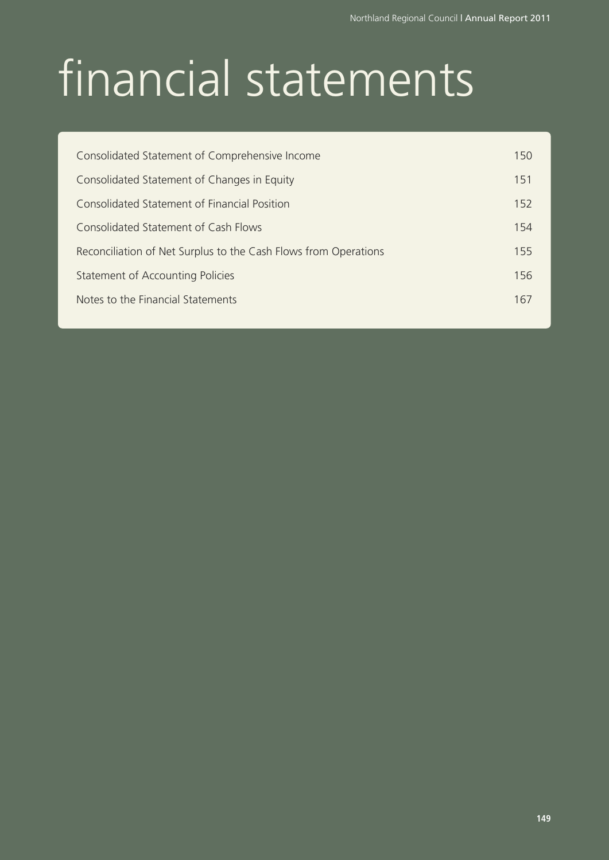# financial statements

| Consolidated Statement of Comprehensive Income                  | 150 |
|-----------------------------------------------------------------|-----|
| Consolidated Statement of Changes in Equity                     | 151 |
| Consolidated Statement of Financial Position                    | 152 |
| Consolidated Statement of Cash Flows                            | 154 |
| Reconciliation of Net Surplus to the Cash Flows from Operations | 155 |
| Statement of Accounting Policies                                | 156 |
| Notes to the Financial Statements                               | 167 |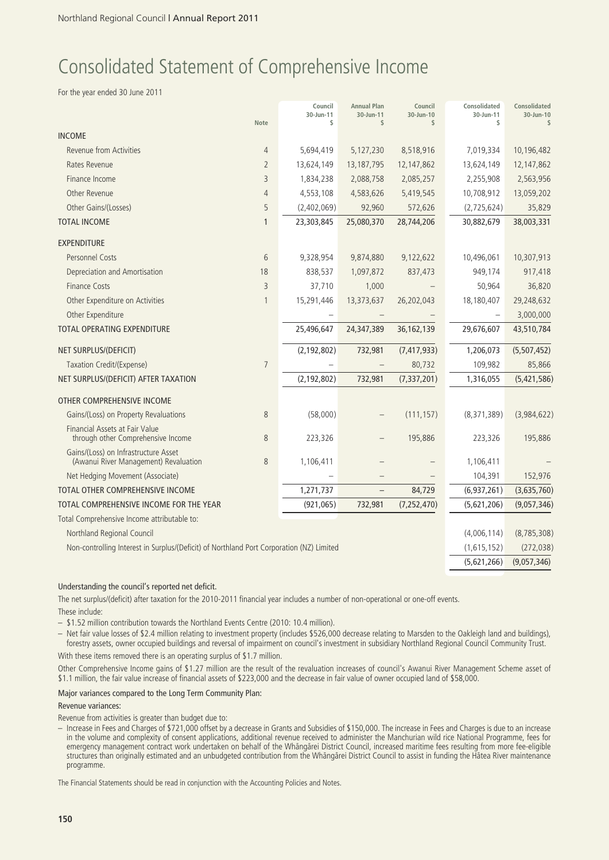# Consolidated Statement of Comprehensive Income

For the year ended 30 June 2011

|                                                                                          |                | Council<br>30-Jun-11 | <b>Annual Plan</b><br>30-Jun-11 | Council<br>30-Jun-10 | Consolidated<br>30-Jun-11 | Consolidated<br>30-Jun-10 |
|------------------------------------------------------------------------------------------|----------------|----------------------|---------------------------------|----------------------|---------------------------|---------------------------|
|                                                                                          | <b>Note</b>    | \$                   | \$                              | \$                   | \$                        | $\mathsf{\$}$             |
| <b>INCOME</b>                                                                            |                |                      |                                 |                      |                           |                           |
| Revenue from Activities                                                                  | $\overline{4}$ | 5,694,419            | 5,127,230                       | 8,518,916            | 7,019,334                 | 10,196,482                |
| Rates Revenue                                                                            | $\overline{2}$ | 13,624,149           | 13, 187, 795                    | 12, 147, 862         | 13,624,149                | 12,147,862                |
| Finance Income                                                                           | 3              | 1,834,238            | 2,088,758                       | 2,085,257            | 2,255,908                 | 2,563,956                 |
| Other Revenue                                                                            | $\overline{4}$ | 4,553,108            | 4,583,626                       | 5,419,545            | 10,708,912                | 13,059,202                |
| Other Gains/(Losses)                                                                     | 5              | (2,402,069)          | 92,960                          | 572,626              | (2,725,624)               | 35,829                    |
| <b>TOTAL INCOME</b>                                                                      | $\mathbf{1}$   | 23,303,845           | 25,080,370                      | 28,744,206           | 30,882,679                | 38,003,331                |
| <b>EXPENDITURE</b>                                                                       |                |                      |                                 |                      |                           |                           |
| <b>Personnel Costs</b>                                                                   | 6              | 9,328,954            | 9,874,880                       | 9,122,622            | 10,496,061                | 10,307,913                |
| Depreciation and Amortisation                                                            | 18             | 838,537              | 1,097,872                       | 837,473              | 949,174                   | 917,418                   |
| <b>Finance Costs</b>                                                                     | 3              | 37,710               | 1,000                           |                      | 50,964                    | 36,820                    |
| Other Expenditure on Activities                                                          | $\mathbf{1}$   | 15,291,446           | 13,373,637                      | 26,202,043           | 18,180,407                | 29,248,632                |
| Other Expenditure                                                                        |                |                      |                                 |                      |                           | 3,000,000                 |
| TOTAL OPERATING EXPENDITURE                                                              |                | 25,496,647           | 24,347,389                      | 36, 162, 139         | 29,676,607                | 43,510,784                |
| NET SURPLUS/(DEFICIT)                                                                    |                | (2, 192, 802)        | 732,981                         | (7, 417, 933)        | 1,206,073                 | (5,507,452)               |
| Taxation Credit/(Expense)                                                                | $\overline{7}$ |                      |                                 | 80,732               | 109,982                   | 85,866                    |
| NET SURPLUS/(DEFICIT) AFTER TAXATION                                                     |                | (2, 192, 802)        | 732,981                         | (7, 337, 201)        | 1,316,055                 | (5,421,586)               |
| OTHER COMPREHENSIVE INCOME                                                               |                |                      |                                 |                      |                           |                           |
| Gains/(Loss) on Property Revaluations                                                    | 8              | (58,000)             |                                 | (111, 157)           | (8,371,389)               | (3,984,622)               |
| Financial Assets at Fair Value<br>through other Comprehensive Income                     | 8              | 223,326              |                                 | 195,886              | 223,326                   | 195,886                   |
| Gains/(Loss) on Infrastructure Asset<br>(Awanui River Management) Revaluation            | 8              | 1,106,411            |                                 |                      | 1,106,411                 |                           |
| Net Hedging Movement (Associate)                                                         |                |                      |                                 |                      | 104,391                   | 152,976                   |
| TOTAL OTHER COMPREHENSIVE INCOME                                                         |                | 1,271,737            |                                 | 84,729               | (6,937,261)               | (3,635,760)               |
| TOTAL COMPREHENSIVE INCOME FOR THE YEAR                                                  |                | (921, 065)           | 732,981                         | (7, 252, 470)        | (5,621,206)               | (9,057,346)               |
| Total Comprehensive Income attributable to:                                              |                |                      |                                 |                      |                           |                           |
| Northland Regional Council                                                               |                |                      |                                 |                      | (4,006,114)               | (8, 785, 308)             |
| Non-controlling Interest in Surplus/(Deficit) of Northland Port Corporation (NZ) Limited |                |                      |                                 |                      | (1,615,152)               | (272, 038)                |
|                                                                                          |                |                      |                                 |                      | (5,621,266)               | (9,057,346)               |
|                                                                                          |                |                      |                                 |                      |                           |                           |

### Understanding the council's reported net deficit.

The net surplus/(deficit) after taxation for the 2010-2011 financial year includes a number of non-operational or one-off events. These include:

– \$1.52 million contribution towards the Northland Events Centre (2010: 10.4 million).

– Net fair value losses of \$2.4 million relating to investment property (includes \$526,000 decrease relating to Marsden to the Oakleigh land and buildings), forestry assets, owner occupied buildings and reversal of impairment on council's investment in subsidiary Northland Regional Council Community Trust.

With these items removed there is an operating surplus of \$1.7 million.

Other Comprehensive Income gains of \$1.27 million are the result of the revaluation increases of council's Awanui River Management Scheme asset of \$1.1 million, the fair value increase of financial assets of \$223,000 and the decrease in fair value of owner occupied land of \$58,000.

#### Major variances compared to the Long Term Community Plan:

#### Revenue variances:

Revenue from activities is greater than budget due to:

– Increase in Fees and Charges of \$721,000 offset by a decrease in Grants and Subsidies of \$150,000. The increase in Fees and Charges is due to an increase in the volume and complexity of consent applications, additional revenue received to administer the Manchurian wild rice National Programme, fees for emergency management contract work undertaken on behalf of the Whängärei District Council, increased maritime fees resulting from more fee-eligible structures than originally estimated and an unbudgeted contribution from the Whängärei District Council to assist in funding the Hätea River maintenance programme.

The Financial Statements should be read in conjunction with the Accounting Policies and Notes.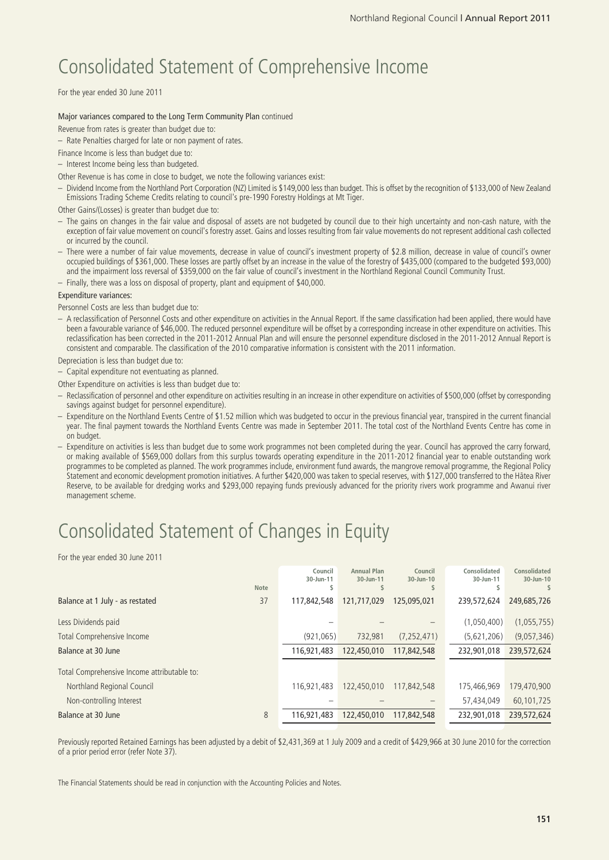# Consolidated Statement of Comprehensive Income

For the year ended 30 June 2011

Major variances compared to the Long Term Community Plan continued

Revenue from rates is greater than budget due to:

– Rate Penalties charged for late or non payment of rates.

Finance Income is less than budget due to:

– Interest Income being less than budgeted.

Other Revenue is has come in close to budget, we note the following variances exist:

– Dividend Income from the Northland Port Corporation (NZ) Limited is \$149,000 less than budget. This is offset by the recognition of \$133,000 of New Zealand Emissions Trading Scheme Credits relating to council's pre-1990 Forestry Holdings at Mt Tiger.

Other Gains/(Losses) is greater than budget due to:

- The gains on changes in the fair value and disposal of assets are not budgeted by council due to their high uncertainty and non-cash nature, with the exception of fair value movement on council's forestry asset. Gains and losses resulting from fair value movements do not represent additional cash collected or incurred by the council.
- There were a number of fair value movements, decrease in value of council's investment property of \$2.8 million, decrease in value of council's owner occupied buildings of \$361,000. These losses are partly offset by an increase in the value of the forestry of \$435,000 (compared to the budgeted \$93,000) and the impairment loss reversal of \$359,000 on the fair value of council's investment in the Northland Regional Council Community Trust.
- Finally, there was a loss on disposal of property, plant and equipment of \$40,000.

#### Expenditure variances:

Personnel Costs are less than budget due to:

– A reclassification of Personnel Costs and other expenditure on activities in the Annual Report. If the same classification had been applied, there would have been a favourable variance of \$46,000. The reduced personnel expenditure will be offset by a corresponding increase in other expenditure on activities. This reclassification has been corrected in the 2011-2012 Annual Plan and will ensure the personnel expenditure disclosed in the 2011-2012 Annual Report is consistent and comparable. The classification of the 2010 comparative information is consistent with the 2011 information.

Depreciation is less than budget due to:

– Capital expenditure not eventuating as planned.

Other Expenditure on activities is less than budget due to:

- Reclassification of personnel and other expenditure on activities resulting in an increase in other expenditure on activities of \$500,000 (offset by corresponding savings against budget for personnel expenditure).
- Expenditure on the Northland Events Centre of \$1.52 million which was budgeted to occur in the previous financial year, transpired in the current financial year. The final payment towards the Northland Events Centre was made in September 2011. The total cost of the Northland Events Centre has come in on budget.
- Expenditure on activities is less than budget due to some work programmes not been completed during the year. Council has approved the carry forward, or making available of \$569,000 dollars from this surplus towards operating expenditure in the 2011-2012 financial year to enable outstanding work programmes to be completed as planned. The work programmes include, environment fund awards, the mangrove removal programme, the Regional Policy Statement and economic development promotion initiatives. A further \$420,000 was taken to special reserves, with \$127,000 transferred to the Hätea River Reserve, to be available for dredging works and \$293,000 repaying funds previously advanced for the priority rivers work programme and Awanui river management scheme.

# Consolidated Statement of Changes in Equity

For the year ended 30 June 2011

|                                             |             | Council     | <b>Annual Plan</b> | Council       | Consolidated | Consolidated |
|---------------------------------------------|-------------|-------------|--------------------|---------------|--------------|--------------|
|                                             |             | 30-Jun-11   | 30-Jun-11          | 30-Jun-10     | 30-Jun-11    | 30-Jun-10    |
|                                             | <b>Note</b> |             |                    |               |              |              |
| Balance at 1 July - as restated             | 37          | 117,842,548 | 121,717,029        | 125,095,021   | 239,572,624  | 249,685,726  |
| Less Dividends paid                         |             |             |                    |               | (1,050,400)  | (1,055,755)  |
| Total Comprehensive Income                  |             | (921.065)   | 732.981            | (7, 252, 471) | (5,621,206)  | (9,057,346)  |
| Balance at 30 June                          |             | 116,921,483 | 122,450,010        | 117,842,548   | 232,901,018  | 239,572,624  |
| Total Comprehensive Income attributable to: |             |             |                    |               |              |              |
| Northland Regional Council                  |             | 116.921.483 | 122.450.010        | 117.842.548   | 175.466.969  | 179,470,900  |
| Non-controlling Interest                    |             |             |                    |               | 57,434,049   | 60,101,725   |
| Balance at 30 June                          | 8           | 116,921,483 | 122,450,010        | 117,842,548   | 232,901,018  | 239,572,624  |

Previously reported Retained Earnings has been adjusted by a debit of \$2,431,369 at 1 July 2009 and a credit of \$429,966 at 30 June 2010 for the correction of a prior period error (refer Note 37).

The Financial Statements should be read in conjunction with the Accounting Policies and Notes.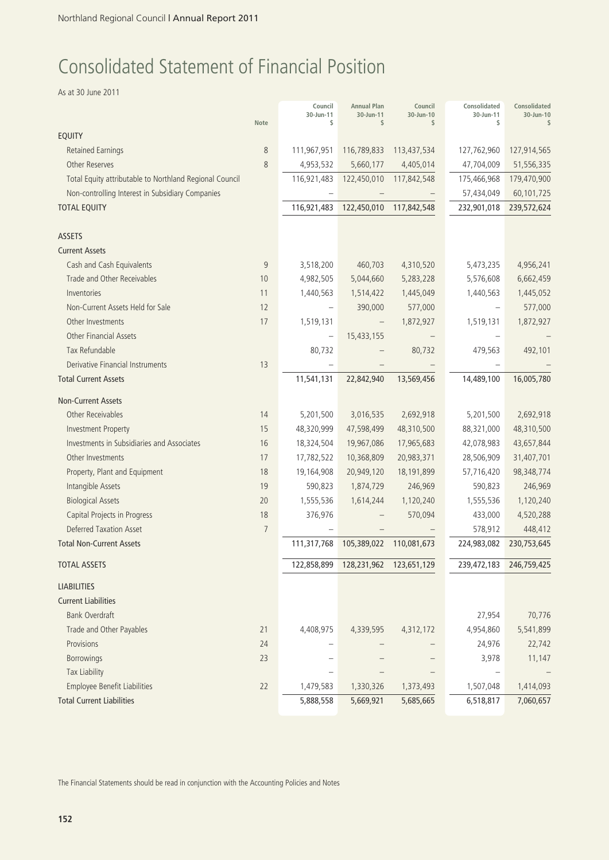# Consolidated Statement of Financial Position

As at 30 June 2011

|                                                         |                | Council<br>30-Jun-11     | <b>Annual Plan</b><br>30-Jun-11 | Council<br>30-Jun-10 | Consolidated<br>30-Jun-11 | Consolidated<br>30-Jun-10 |
|---------------------------------------------------------|----------------|--------------------------|---------------------------------|----------------------|---------------------------|---------------------------|
|                                                         | <b>Note</b>    | \$                       | \$                              | \$                   | \$                        | \$                        |
| <b>EQUITY</b>                                           |                |                          |                                 |                      |                           |                           |
| <b>Retained Earnings</b>                                | 8              | 111,967,951              | 116,789,833                     | 113,437,534          | 127,762,960               | 127,914,565               |
| <b>Other Reserves</b>                                   | 8              | 4,953,532                | 5,660,177                       | 4,405,014            | 47,704,009                | 51,556,335                |
| Total Equity attributable to Northland Regional Council |                | 116,921,483              | 122,450,010                     | 117,842,548          | 175,466,968               | 179,470,900               |
| Non-controlling Interest in Subsidiary Companies        |                |                          | 122,450,010                     |                      | 57,434,049                | 60,101,725                |
| <b>TOTAL EQUITY</b>                                     |                | 116,921,483              |                                 | 117,842,548          | 232,901,018               | 239,572,624               |
| <b>ASSETS</b>                                           |                |                          |                                 |                      |                           |                           |
| <b>Current Assets</b>                                   |                |                          |                                 |                      |                           |                           |
| Cash and Cash Equivalents                               | 9              | 3,518,200                | 460,703                         | 4,310,520            | 5,473,235                 | 4,956,241                 |
| Trade and Other Receivables                             | 10             | 4,982,505                | 5,044,660                       | 5,283,228            | 5,576,608                 | 6,662,459                 |
| Inventories                                             | 11             | 1,440,563                | 1,514,422                       | 1,445,049            | 1,440,563                 | 1,445,052                 |
| Non-Current Assets Held for Sale                        | 12             | $\overline{\phantom{m}}$ | 390,000                         | 577,000              |                           | 577,000                   |
| Other Investments                                       | 17             | 1,519,131                |                                 | 1,872,927            | 1,519,131                 | 1,872,927                 |
| <b>Other Financial Assets</b>                           |                | $\overline{\phantom{0}}$ | 15,433,155                      |                      |                           |                           |
| Tax Refundable                                          |                | 80,732                   |                                 | 80,732               | 479,563                   | 492,101                   |
| Derivative Financial Instruments                        | 13             |                          |                                 |                      |                           |                           |
| <b>Total Current Assets</b>                             |                | 11,541,131               | 22,842,940                      | 13,569,456           | 14,489,100                | 16,005,780                |
| <b>Non-Current Assets</b>                               |                |                          |                                 |                      |                           |                           |
| <b>Other Receivables</b>                                | 14             | 5,201,500                | 3,016,535                       | 2,692,918            | 5,201,500                 | 2,692,918                 |
| <b>Investment Property</b>                              | 15             | 48,320,999               | 47,598,499                      | 48,310,500           | 88,321,000                | 48,310,500                |
| Investments in Subsidiaries and Associates              | 16             | 18,324,504               | 19,967,086                      | 17,965,683           | 42,078,983                | 43,657,844                |
| Other Investments                                       | 17             | 17,782,522               | 10,368,809                      | 20,983,371           | 28,506,909                | 31,407,701                |
| Property, Plant and Equipment                           | 18             | 19,164,908               | 20,949,120                      | 18,191,899           | 57,716,420                | 98,348,774                |
| Intangible Assets                                       | 19             | 590,823                  | 1,874,729                       | 246,969              | 590,823                   | 246,969                   |
| <b>Biological Assets</b>                                | 20             | 1,555,536                | 1,614,244                       | 1,120,240            | 1,555,536                 | 1,120,240                 |
| Capital Projects in Progress                            | 18             | 376,976                  |                                 | 570,094              | 433,000                   | 4,520,288                 |
| <b>Deferred Taxation Asset</b>                          | $\overline{7}$ |                          |                                 |                      | 578,912                   | 448,412                   |
| <b>Total Non-Current Assets</b>                         |                | 111,317,768              | 105,389,022                     | 110,081,673          | 224,983,082               | 230,753,645               |
| <b>TOTAL ASSETS</b>                                     |                | 122,858,899              | 128,231,962                     | 123,651,129          | 239,472,183               | 246,759,425               |
| <b>LIABILITIES</b>                                      |                |                          |                                 |                      |                           |                           |
| <b>Current Liabilities</b>                              |                |                          |                                 |                      |                           |                           |
| <b>Bank Overdraft</b>                                   |                |                          |                                 |                      | 27,954                    | 70,776                    |
| Trade and Other Payables                                | 21             | 4,408,975                | 4,339,595                       | 4,312,172            | 4,954,860                 | 5,541,899                 |
| Provisions                                              | 24             |                          |                                 |                      | 24,976                    | 22,742                    |
| <b>Borrowings</b>                                       | 23             |                          |                                 |                      | 3,978                     | 11,147                    |
| <b>Tax Liability</b>                                    |                | $\overline{\phantom{0}}$ |                                 |                      |                           |                           |
| <b>Employee Benefit Liabilities</b>                     | 22             | 1,479,583                | 1,330,326                       | 1,373,493            | 1,507,048                 | 1,414,093                 |
| <b>Total Current Liabilities</b>                        |                | 5,888,558                | 5,669,921                       | 5,685,665            | 6,518,817                 | 7,060,657                 |

The Financial Statements should be read in conjunction with the Accounting Policies and Notes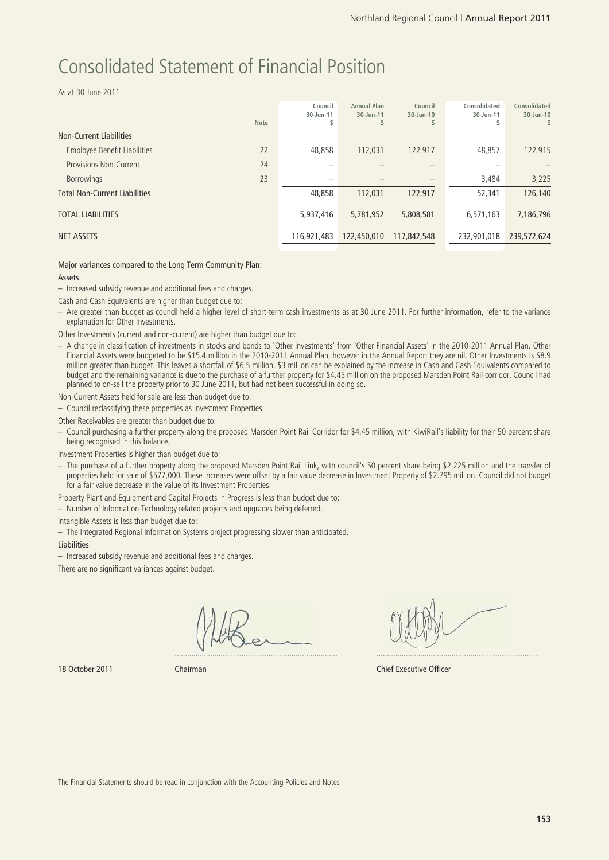# Consolidated Statement of Financial Position

As at 30 June 2011

|                                      | <b>Note</b> | Council<br>30-Jun-11 | <b>Annual Plan</b><br>30-Jun-11 | Council<br>30-Jun-10     | Consolidated<br>30-Jun-11 | Consolidated<br>30-Jun-10<br>Ъ |
|--------------------------------------|-------------|----------------------|---------------------------------|--------------------------|---------------------------|--------------------------------|
| Non-Current Liabilities              |             |                      |                                 |                          |                           |                                |
| Employee Benefit Liabilities         | 22          | 48,858               | 112.031                         | 122,917                  | 48,857                    | 122,915                        |
| <b>Provisions Non-Current</b>        | 24          |                      |                                 |                          |                           |                                |
| <b>Borrowings</b>                    | 23          | -                    |                                 | $\overline{\phantom{m}}$ | 3,484                     | 3,225                          |
| <b>Total Non-Current Liabilities</b> |             | 48,858               | 112,031                         | 122,917                  | 52,341                    | 126,140                        |
| <b>TOTAL LIABILITIES</b>             |             | 5,937,416            | 5,781,952                       | 5,808,581                | 6,571,163                 | 7,186,796                      |
| <b>NET ASSETS</b>                    |             | 116,921,483          | 122,450,010                     | 117,842,548              | 232,901,018               | 239,572,624                    |
|                                      |             |                      |                                 |                          |                           |                                |

Major variances compared to the Long Term Community Plan: Assets

– Increased subsidy revenue and additional fees and charges.

Cash and Cash Equivalents are higher than budget due to:

– Are greater than budget as council held a higher level of short-term cash investments as at 30 June 2011. For further information, refer to the variance explanation for Other Investments.

Other Investments (current and non-current) are higher than budget due to:

– A change in classification of investments in stocks and bonds to 'Other Investments' from 'Other Financial Assets' in the 2010-2011 Annual Plan. Other Financial Assets were budgeted to be \$15.4 million in the 2010-2011 Annual Plan, however in the Annual Report they are nil. Other Investments is \$8.9 million greater than budget. This leaves a shortfall of \$6.5 million. \$3 million can be explained by the increase in Cash and Cash Equivalents compared to budget and the remaining variance is due to the purchase of a further property for \$4.45 million on the proposed Marsden Point Rail corridor. Council had planned to on-sell the property prior to 30 June 2011, but had not been successful in doing so.

Non-Current Assets held for sale are less than budget due to:

– Council reclassifying these properties as Investment Properties.

Other Receivables are greater than budget due to:

– Council purchasing a further property along the proposed Marsden Point Rail Corridor for \$4.45 million, with KiwiRail's liability for their 50 percent share being recognised in this balance.

Investment Properties is higher than budget due to:

- The purchase of a further property along the proposed Marsden Point Rail Link, with council's 50 percent share being \$2.225 million and the transfer of properties held for sale of \$577,000. These increases were offset by a fair value decrease in Investment Property of \$2.795 million. Council did not budget for a fair value decrease in the value of its Investment Properties.
- Property Plant and Equipment and Capital Projects in Progress is less than budget due to:
- Number of Information Technology related projects and upgrades being deferred.

Intangible Assets is less than budget due to:

– The Integrated Regional Information Systems project progressing slower than anticipated.

Liabilities

– Increased subsidy revenue and additional fees and charges.

There are no significant variances against budget.

.............................................................................. ..............................................................................

18 October 2011 Chairman Chief Executive Officer

The Financial Statements should be read in conjunction with the Accounting Policies and Notes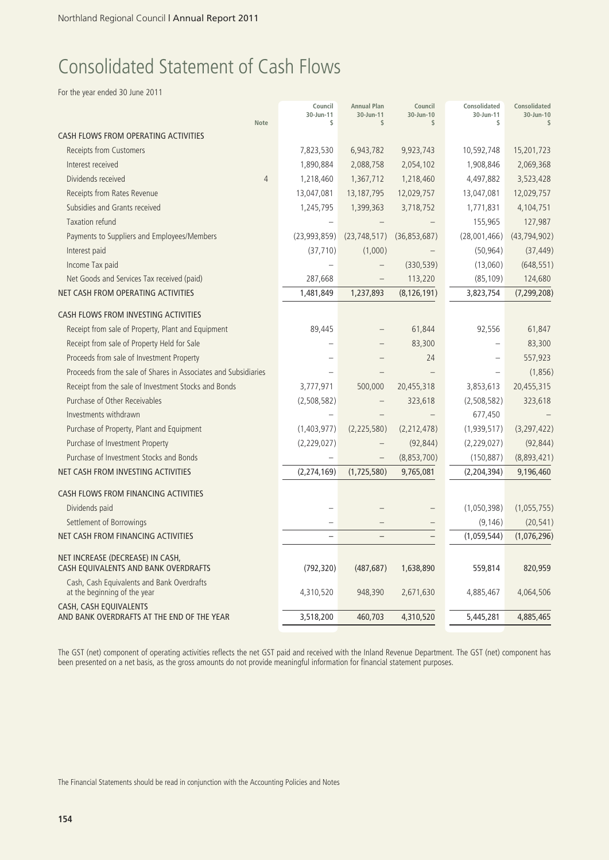# Consolidated Statement of Cash Flows

For the year ended 30 June 2011

| <b>Note</b>                                                                 | Council<br>30-Jun-11<br>\$ | Annual Plan<br>30-Jun-11<br>\$ | Council<br>30-Jun-10<br>\$ | Consolidated<br>30-Jun-11<br>\$ | Consolidated<br>30-Jun-10 |
|-----------------------------------------------------------------------------|----------------------------|--------------------------------|----------------------------|---------------------------------|---------------------------|
| CASH FLOWS FROM OPERATING ACTIVITIES                                        |                            |                                |                            |                                 |                           |
| Receipts from Customers                                                     | 7,823,530                  | 6,943,782                      | 9,923,743                  | 10,592,748                      | 15,201,723                |
| Interest received                                                           | 1,890,884                  | 2,088,758                      | 2,054,102                  | 1,908,846                       | 2,069,368                 |
| Dividends received<br>$\overline{4}$                                        | 1,218,460                  | 1,367,712                      | 1,218,460                  | 4,497,882                       | 3,523,428                 |
| Receipts from Rates Revenue                                                 | 13,047,081                 | 13, 187, 795                   | 12,029,757                 | 13,047,081                      | 12,029,757                |
| Subsidies and Grants received                                               | 1,245,795                  | 1,399,363                      | 3,718,752                  | 1,771,831                       | 4,104,751                 |
| <b>Taxation refund</b>                                                      | $\overline{\phantom{0}}$   |                                |                            | 155,965                         | 127,987                   |
| Payments to Suppliers and Employees/Members                                 | (23, 993, 859)             | (23, 748, 517)                 | (36, 853, 687)             | (28,001,466)                    | (43, 794, 902)            |
| Interest paid                                                               | (37, 710)                  | (1,000)                        |                            | (50, 964)                       | (37, 449)                 |
| Income Tax paid                                                             |                            |                                | (330, 539)                 | (13,060)                        | (648, 551)                |
| Net Goods and Services Tax received (paid)                                  | 287,668                    |                                | 113,220                    | (85, 109)                       | 124,680                   |
| NET CASH FROM OPERATING ACTIVITIES                                          | 1,481,849                  | 1,237,893                      | (8, 126, 191)              | 3,823,754                       | (7, 299, 208)             |
| CASH FLOWS FROM INVESTING ACTIVITIES                                        |                            |                                |                            |                                 |                           |
| Receipt from sale of Property, Plant and Equipment                          | 89,445                     |                                | 61,844                     | 92,556                          | 61,847                    |
| Receipt from sale of Property Held for Sale                                 | $\overline{\phantom{0}}$   |                                | 83,300                     | $\overline{\phantom{0}}$        | 83,300                    |
| Proceeds from sale of Investment Property                                   |                            |                                | 24                         | $\overline{\phantom{0}}$        | 557,923                   |
| Proceeds from the sale of Shares in Associates and Subsidiaries             |                            |                                |                            |                                 | (1,856)                   |
| Receipt from the sale of Investment Stocks and Bonds                        | 3,777,971                  | 500,000                        | 20,455,318                 | 3,853,613                       | 20,455,315                |
| Purchase of Other Receivables                                               | (2,508,582)                |                                | 323,618                    | (2,508,582)                     | 323,618                   |
| Investments withdrawn                                                       | $\equiv$                   |                                |                            | 677,450                         |                           |
| Purchase of Property, Plant and Equipment                                   | (1,403,977)                | (2, 225, 580)                  | (2, 212, 478)              | (1,939,517)                     | (3, 297, 422)             |
| Purchase of Investment Property                                             | (2, 229, 027)              |                                | (92, 844)                  | (2, 229, 027)                   | (92, 844)                 |
| Purchase of Investment Stocks and Bonds                                     |                            |                                | (8, 853, 700)              | (150, 887)                      | (8,893,421)               |
| NET CASH FROM INVESTING ACTIVITIES                                          | (2, 274, 169)              | (1,725,580)                    | 9,765,081                  | (2, 204, 394)                   | 9,196,460                 |
| <b>CASH FLOWS FROM FINANCING ACTIVITIES</b>                                 |                            |                                |                            |                                 |                           |
| Dividends paid                                                              |                            |                                |                            | (1,050,398)                     | (1,055,755)               |
| Settlement of Borrowings                                                    |                            |                                | —                          | (9, 146)                        | (20, 541)                 |
| NET CASH FROM FINANCING ACTIVITIES                                          | $\equiv$                   |                                |                            | (1,059,544)                     | (1,076,296)               |
| NET INCREASE (DECREASE) IN CASH,<br>CASH EQUIVALENTS AND BANK OVERDRAFTS    | (792, 320)                 | (487, 687)                     | 1,638,890                  | 559,814                         | 820,959                   |
| Cash, Cash Equivalents and Bank Overdrafts<br>at the beginning of the year  | 4,310,520                  | 948,390                        | 2,671,630                  | 4,885,467                       | 4,064,506                 |
| <b>CASH, CASH EQUIVALENTS</b><br>AND BANK OVERDRAFTS AT THE END OF THE YEAR | 3,518,200                  | 460,703                        | 4,310,520                  | 5,445,281                       | 4,885,465                 |
|                                                                             |                            |                                |                            |                                 |                           |

The GST (net) component of operating activities reflects the net GST paid and received with the Inland Revenue Department. The GST (net) component has been presented on a net basis, as the gross amounts do not provide meaningful information for financial statement purposes.

The Financial Statements should be read in conjunction with the Accounting Policies and Notes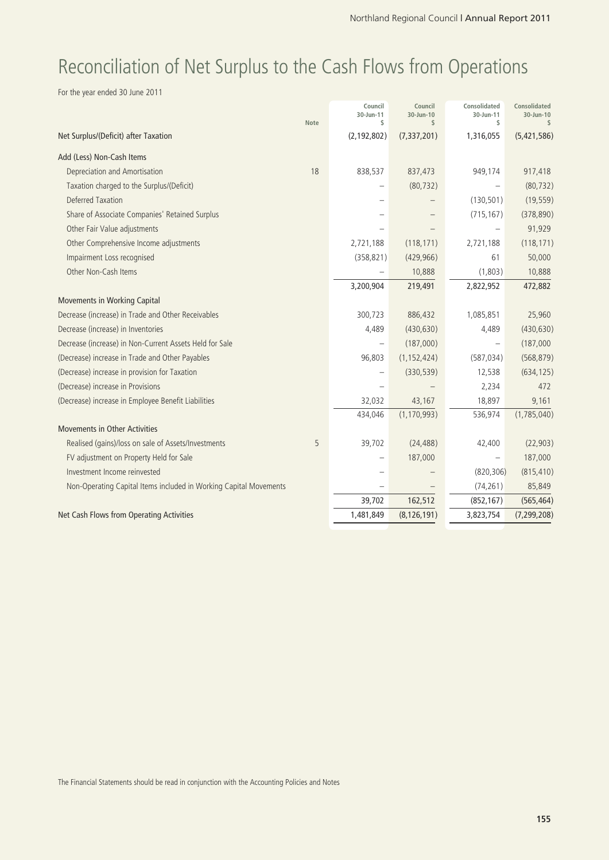# Reconciliation of Net Surplus to the Cash Flows from Operations

| <b>Note</b>                                                       |    | Council<br>30-Jun-11<br>\$ | Council<br>30-Jun-10<br>\$ | Consolidated<br>30-Jun-11<br>\$ | Consolidated<br>30-Jun-10 |
|-------------------------------------------------------------------|----|----------------------------|----------------------------|---------------------------------|---------------------------|
| Net Surplus/(Deficit) after Taxation                              |    | (2, 192, 802)              | (7, 337, 201)              | 1,316,055                       | (5,421,586)               |
| Add (Less) Non-Cash Items                                         |    |                            |                            |                                 |                           |
| Depreciation and Amortisation                                     | 18 | 838,537                    | 837,473                    | 949,174                         | 917,418                   |
| Taxation charged to the Surplus/(Deficit)                         |    |                            | (80, 732)                  |                                 | (80, 732)                 |
| <b>Deferred Taxation</b>                                          |    |                            |                            | (130, 501)                      | (19, 559)                 |
| Share of Associate Companies' Retained Surplus                    |    |                            |                            | (715, 167)                      | (378, 890)                |
| Other Fair Value adjustments                                      |    |                            |                            |                                 | 91,929                    |
| Other Comprehensive Income adjustments                            |    | 2,721,188                  | (118, 171)                 | 2,721,188                       | (118, 171)                |
| Impairment Loss recognised                                        |    | (358, 821)                 | (429, 966)                 | 61                              | 50,000                    |
| Other Non-Cash Items                                              |    |                            | 10,888                     | (1,803)                         | 10,888                    |
|                                                                   |    | 3,200,904                  | 219,491                    | 2,822,952                       | 472,882                   |
| <b>Movements in Working Capital</b>                               |    |                            |                            |                                 |                           |
| Decrease (increase) in Trade and Other Receivables                |    | 300,723                    | 886,432                    | 1,085,851                       | 25,960                    |
| Decrease (increase) in Inventories                                |    | 4,489                      | (430, 630)                 | 4,489                           | (430, 630)                |
| Decrease (increase) in Non-Current Assets Held for Sale           |    |                            | (187,000)                  |                                 | (187,000)                 |
| (Decrease) increase in Trade and Other Payables                   |    | 96,803                     | (1, 152, 424)              | (587, 034)                      | (568, 879)                |
| (Decrease) increase in provision for Taxation                     |    |                            | (330, 539)                 | 12,538                          | (634, 125)                |
| (Decrease) increase in Provisions                                 |    |                            |                            | 2,234                           | 472                       |
| (Decrease) increase in Employee Benefit Liabilities               |    | 32,032                     | 43,167                     | 18,897                          | 9,161                     |
|                                                                   |    | 434,046                    | (1, 170, 993)              | 536,974                         | (1,785,040)               |
| <b>Movements in Other Activities</b>                              |    |                            |                            |                                 |                           |
| Realised (gains)/loss on sale of Assets/Investments               | 5  | 39,702                     | (24, 488)                  | 42,400                          | (22, 903)                 |
| FV adjustment on Property Held for Sale                           |    |                            | 187,000                    |                                 | 187,000                   |
| Investment Income reinvested                                      |    |                            |                            | (820, 306)                      | (815, 410)                |
| Non-Operating Capital Items included in Working Capital Movements |    |                            |                            | (74, 261)                       | 85,849                    |
|                                                                   |    | 39,702                     | 162,512                    | (852, 167)                      | (565, 464)                |
| Net Cash Flows from Operating Activities                          |    | 1,481,849                  | (8, 126, 191)              | 3,823,754                       | (7, 299, 208)             |
|                                                                   |    |                            |                            |                                 |                           |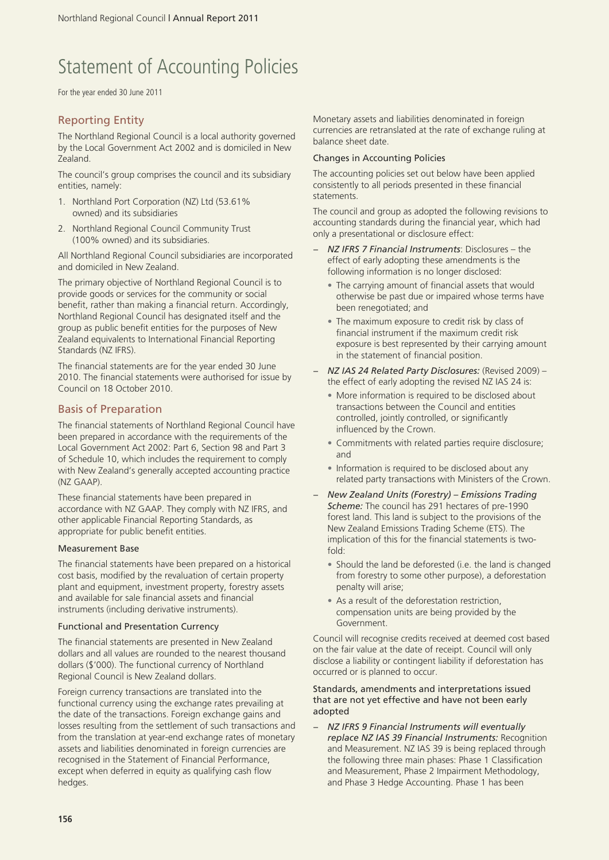For the year ended 30 June 2011

# Reporting Entity

The Northland Regional Council is a local authority governed by the Local Government Act 2002 and is domiciled in New Zealand.

The council's group comprises the council and its subsidiary entities, namely:

- 1. Northland Port Corporation (NZ) Ltd (53.61% owned) and its subsidiaries
- 2. Northland Regional Council Community Trust (100% owned) and its subsidiaries.

All Northland Regional Council subsidiaries are incorporated and domiciled in New Zealand.

The primary objective of Northland Regional Council is to provide goods or services for the community or social benefit, rather than making a financial return. Accordingly, Northland Regional Council has designated itself and the group as public benefit entities for the purposes of New Zealand equivalents to International Financial Reporting Standards (NZ IFRS).

The financial statements are for the year ended 30 June 2010. The financial statements were authorised for issue by Council on 18 October 2010.

# Basis of Preparation

The financial statements of Northland Regional Council have been prepared in accordance with the requirements of the Local Government Act 2002: Part 6, Section 98 and Part 3 of Schedule 10, which includes the requirement to comply with New Zealand's generally accepted accounting practice (NZ GAAP).

These financial statements have been prepared in accordance with NZ GAAP. They comply with NZ IFRS, and other applicable Financial Reporting Standards, as appropriate for public benefit entities.

### Measurement Base

The financial statements have been prepared on a historical cost basis, modified by the revaluation of certain property plant and equipment, investment property, forestry assets and available for sale financial assets and financial instruments (including derivative instruments).

### Functional and Presentation Currency

The financial statements are presented in New Zealand dollars and all values are rounded to the nearest thousand dollars (\$'000). The functional currency of Northland Regional Council is New Zealand dollars.

Foreign currency transactions are translated into the functional currency using the exchange rates prevailing at the date of the transactions. Foreign exchange gains and losses resulting from the settlement of such transactions and from the translation at year-end exchange rates of monetary assets and liabilities denominated in foreign currencies are recognised in the Statement of Financial Performance, except when deferred in equity as qualifying cash flow hedges.

Monetary assets and liabilities denominated in foreign currencies are retranslated at the rate of exchange ruling at balance sheet date.

### Changes in Accounting Policies

The accounting policies set out below have been applied consistently to all periods presented in these financial statements.

The council and group as adopted the following revisions to accounting standards during the financial year, which had only a presentational or disclosure effect:

- − *NZ IFRS 7 Financial Instruments*: Disclosures the effect of early adopting these amendments is the following information is no longer disclosed:
	- The carrying amount of financial assets that would otherwise be past due or impaired whose terms have been renegotiated; and
	- The maximum exposure to credit risk by class of financial instrument if the maximum credit risk exposure is best represented by their carrying amount in the statement of financial position.
- − *NZ IAS 24 Related Party Disclosures:* (Revised 2009) the effect of early adopting the revised NZ IAS 24 is:
	- More information is required to be disclosed about transactions between the Council and entities controlled, jointly controlled, or significantly influenced by the Crown.
	- Commitments with related parties require disclosure; and
	- Information is required to be disclosed about any related party transactions with Ministers of the Crown.
	- − *New Zealand Units (Forestry) – Emissions Trading Scheme:* The council has 291 hectares of pre-1990 forest land. This land is subject to the provisions of the New Zealand Emissions Trading Scheme (ETS). The implication of this for the financial statements is twofold:
		- Should the land be deforested (i.e. the land is changed from forestry to some other purpose), a deforestation penalty will arise;
		- As a result of the deforestation restriction, compensation units are being provided by the Government.

Council will recognise credits received at deemed cost based on the fair value at the date of receipt. Council will only disclose a liability or contingent liability if deforestation has occurred or is planned to occur.

### Standards, amendments and interpretations issued that are not yet effective and have not been early adopted

− *NZ IFRS 9 Financial Instruments will eventually replace NZ IAS 39 Financial Instruments:* Recognition and Measurement. NZ IAS 39 is being replaced through the following three main phases: Phase 1 Classification and Measurement, Phase 2 Impairment Methodology, and Phase 3 Hedge Accounting. Phase 1 has been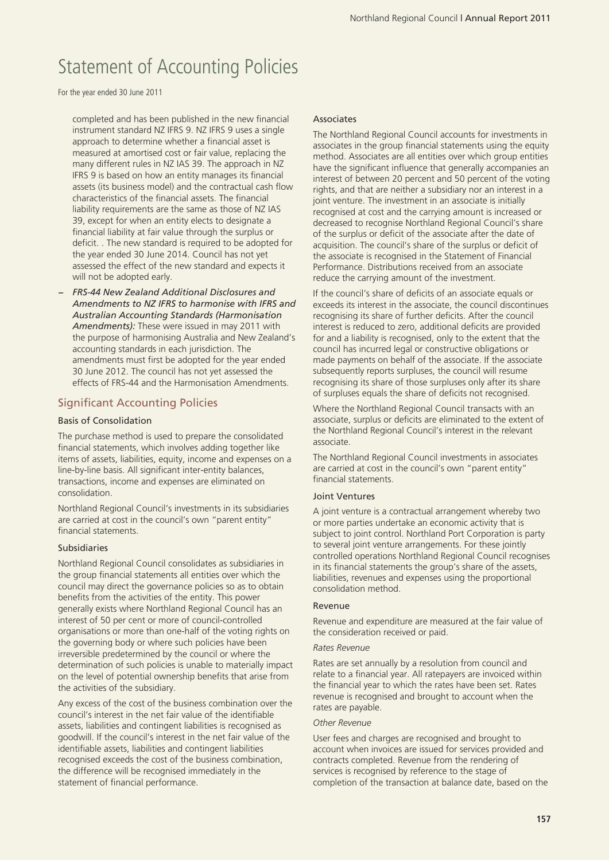For the year ended 30 June 2011

completed and has been published in the new financial instrument standard NZ IFRS 9. NZ IFRS 9 uses a single approach to determine whether a financial asset is measured at amortised cost or fair value, replacing the many different rules in NZ IAS 39. The approach in NZ IFRS 9 is based on how an entity manages its financial assets (its business model) and the contractual cash flow characteristics of the financial assets. The financial liability requirements are the same as those of NZ IAS 39, except for when an entity elects to designate a financial liability at fair value through the surplus or deficit. . The new standard is required to be adopted for the year ended 30 June 2014. Council has not yet assessed the effect of the new standard and expects it will not be adopted early.

*− FRS-44 New Zealand Additional Disclosures and Amendments to NZ IFRS to harmonise with IFRS and Australian Accounting Standards (Harmonisation Amendments):* These were issued in may 2011 with the purpose of harmonising Australia and New Zealand's accounting standards in each jurisdiction. The amendments must first be adopted for the year ended 30 June 2012. The council has not yet assessed the effects of FRS-44 and the Harmonisation Amendments.

# Significant Accounting Policies

### Basis of Consolidation

The purchase method is used to prepare the consolidated financial statements, which involves adding together like items of assets, liabilities, equity, income and expenses on a line-by-line basis. All significant inter-entity balances, transactions, income and expenses are eliminated on consolidation.

Northland Regional Council's investments in its subsidiaries are carried at cost in the council's own "parent entity" financial statements.

### Subsidiaries

Northland Regional Council consolidates as subsidiaries in the group financial statements all entities over which the council may direct the governance policies so as to obtain benefits from the activities of the entity. This power generally exists where Northland Regional Council has an interest of 50 per cent or more of council-controlled organisations or more than one-half of the voting rights on the governing body or where such policies have been irreversible predetermined by the council or where the determination of such policies is unable to materially impact on the level of potential ownership benefits that arise from the activities of the subsidiary.

Any excess of the cost of the business combination over the council's interest in the net fair value of the identifiable assets, liabilities and contingent liabilities is recognised as goodwill. If the council's interest in the net fair value of the identifiable assets, liabilities and contingent liabilities recognised exceeds the cost of the business combination, the difference will be recognised immediately in the statement of financial performance.

#### Associates

The Northland Regional Council accounts for investments in associates in the group financial statements using the equity method. Associates are all entities over which group entities have the significant influence that generally accompanies an interest of between 20 percent and 50 percent of the voting rights, and that are neither a subsidiary nor an interest in a joint venture. The investment in an associate is initially recognised at cost and the carrying amount is increased or decreased to recognise Northland Regional Council's share of the surplus or deficit of the associate after the date of acquisition. The council's share of the surplus or deficit of the associate is recognised in the Statement of Financial Performance. Distributions received from an associate reduce the carrying amount of the investment.

If the council's share of deficits of an associate equals or exceeds its interest in the associate, the council discontinues recognising its share of further deficits. After the council interest is reduced to zero, additional deficits are provided for and a liability is recognised, only to the extent that the council has incurred legal or constructive obligations or made payments on behalf of the associate. If the associate subsequently reports surpluses, the council will resume recognising its share of those surpluses only after its share of surpluses equals the share of deficits not recognised.

Where the Northland Regional Council transacts with an associate, surplus or deficits are eliminated to the extent of the Northland Regional Council's interest in the relevant associate.

The Northland Regional Council investments in associates are carried at cost in the council's own "parent entity" financial statements.

### Joint Ventures

A joint venture is a contractual arrangement whereby two or more parties undertake an economic activity that is subject to joint control. Northland Port Corporation is party to several joint venture arrangements. For these jointly controlled operations Northland Regional Council recognises in its financial statements the group's share of the assets, liabilities, revenues and expenses using the proportional consolidation method.

### **Revenue**

Revenue and expenditure are measured at the fair value of the consideration received or paid.

#### *Rates Revenue*

Rates are set annually by a resolution from council and relate to a financial year. All ratepayers are invoiced within the financial year to which the rates have been set. Rates revenue is recognised and brought to account when the rates are payable.

#### *Other Revenue*

User fees and charges are recognised and brought to account when invoices are issued for services provided and contracts completed. Revenue from the rendering of services is recognised by reference to the stage of completion of the transaction at balance date, based on the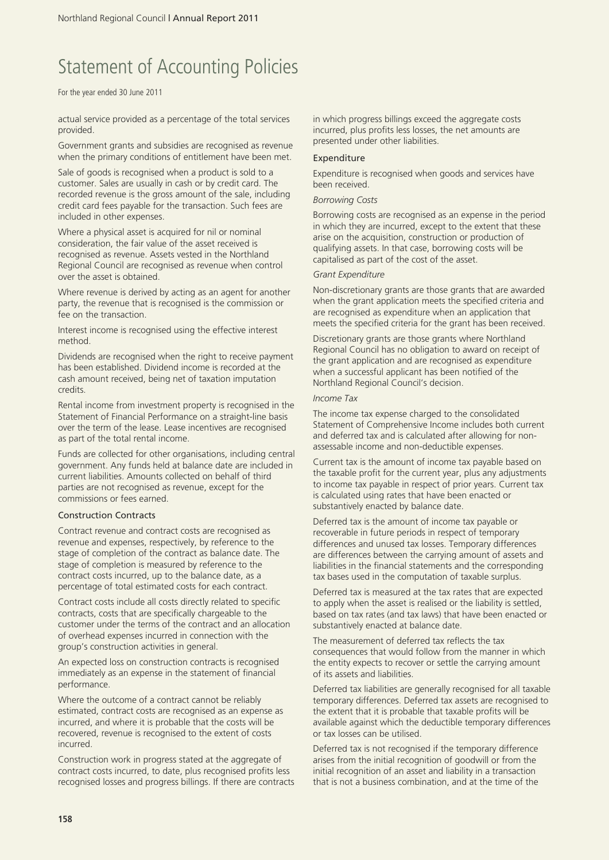For the year ended 30 June 2011

actual service provided as a percentage of the total services provided.

Government grants and subsidies are recognised as revenue when the primary conditions of entitlement have been met.

Sale of goods is recognised when a product is sold to a customer. Sales are usually in cash or by credit card. The recorded revenue is the gross amount of the sale, including credit card fees payable for the transaction. Such fees are included in other expenses.

Where a physical asset is acquired for nil or nominal consideration, the fair value of the asset received is recognised as revenue. Assets vested in the Northland Regional Council are recognised as revenue when control over the asset is obtained.

Where revenue is derived by acting as an agent for another party, the revenue that is recognised is the commission or fee on the transaction.

Interest income is recognised using the effective interest method.

Dividends are recognised when the right to receive payment has been established. Dividend income is recorded at the cash amount received, being net of taxation imputation credits.

Rental income from investment property is recognised in the Statement of Financial Performance on a straight-line basis over the term of the lease. Lease incentives are recognised as part of the total rental income.

Funds are collected for other organisations, including central government. Any funds held at balance date are included in current liabilities. Amounts collected on behalf of third parties are not recognised as revenue, except for the commissions or fees earned.

### Construction Contracts

Contract revenue and contract costs are recognised as revenue and expenses, respectively, by reference to the stage of completion of the contract as balance date. The stage of completion is measured by reference to the contract costs incurred, up to the balance date, as a percentage of total estimated costs for each contract.

Contract costs include all costs directly related to specific contracts, costs that are specifically chargeable to the customer under the terms of the contract and an allocation of overhead expenses incurred in connection with the group's construction activities in general.

An expected loss on construction contracts is recognised immediately as an expense in the statement of financial performance.

Where the outcome of a contract cannot be reliably estimated, contract costs are recognised as an expense as incurred, and where it is probable that the costs will be recovered, revenue is recognised to the extent of costs incurred.

Construction work in progress stated at the aggregate of contract costs incurred, to date, plus recognised profits less recognised losses and progress billings. If there are contracts in which progress billings exceed the aggregate costs incurred, plus profits less losses, the net amounts are presented under other liabilities.

### Expenditure

Expenditure is recognised when goods and services have been received.

#### *Borrowing Costs*

Borrowing costs are recognised as an expense in the period in which they are incurred, except to the extent that these arise on the acquisition, construction or production of qualifying assets. In that case, borrowing costs will be capitalised as part of the cost of the asset.

### *Grant Expenditure*

Non-discretionary grants are those grants that are awarded when the grant application meets the specified criteria and are recognised as expenditure when an application that meets the specified criteria for the grant has been received.

Discretionary grants are those grants where Northland Regional Council has no obligation to award on receipt of the grant application and are recognised as expenditure when a successful applicant has been notified of the Northland Regional Council's decision.

### *Income Tax*

The income tax expense charged to the consolidated Statement of Comprehensive Income includes both current and deferred tax and is calculated after allowing for nonassessable income and non-deductible expenses.

Current tax is the amount of income tax payable based on the taxable profit for the current year, plus any adjustments to income tax payable in respect of prior years. Current tax is calculated using rates that have been enacted or substantively enacted by balance date.

Deferred tax is the amount of income tax payable or recoverable in future periods in respect of temporary differences and unused tax losses. Temporary differences are differences between the carrying amount of assets and liabilities in the financial statements and the corresponding tax bases used in the computation of taxable surplus.

Deferred tax is measured at the tax rates that are expected to apply when the asset is realised or the liability is settled, based on tax rates (and tax laws) that have been enacted or substantively enacted at balance date.

The measurement of deferred tax reflects the tax consequences that would follow from the manner in which the entity expects to recover or settle the carrying amount of its assets and liabilities.

Deferred tax liabilities are generally recognised for all taxable temporary differences. Deferred tax assets are recognised to the extent that it is probable that taxable profits will be available against which the deductible temporary differences or tax losses can be utilised.

Deferred tax is not recognised if the temporary difference arises from the initial recognition of goodwill or from the initial recognition of an asset and liability in a transaction that is not a business combination, and at the time of the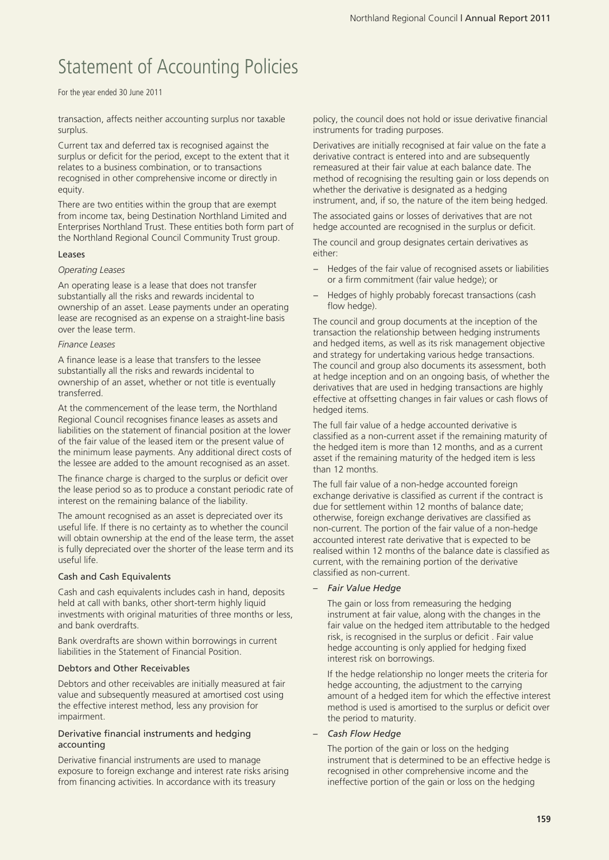For the year ended 30 June 2011

transaction, affects neither accounting surplus nor taxable surplus.

Current tax and deferred tax is recognised against the surplus or deficit for the period, except to the extent that it relates to a business combination, or to transactions recognised in other comprehensive income or directly in equity.

There are two entities within the group that are exempt from income tax, being Destination Northland Limited and Enterprises Northland Trust. These entities both form part of the Northland Regional Council Community Trust group.

### Leases

### *Operating Leases*

An operating lease is a lease that does not transfer substantially all the risks and rewards incidental to ownership of an asset. Lease payments under an operating lease are recognised as an expense on a straight-line basis over the lease term.

### *Finance Leases*

A finance lease is a lease that transfers to the lessee substantially all the risks and rewards incidental to ownership of an asset, whether or not title is eventually transferred.

At the commencement of the lease term, the Northland Regional Council recognises finance leases as assets and liabilities on the statement of financial position at the lower of the fair value of the leased item or the present value of the minimum lease payments. Any additional direct costs of the lessee are added to the amount recognised as an asset.

The finance charge is charged to the surplus or deficit over the lease period so as to produce a constant periodic rate of interest on the remaining balance of the liability.

The amount recognised as an asset is depreciated over its useful life. If there is no certainty as to whether the council will obtain ownership at the end of the lease term, the asset is fully depreciated over the shorter of the lease term and its useful life.

# Cash and Cash Equivalents

Cash and cash equivalents includes cash in hand, deposits held at call with banks, other short-term highly liquid investments with original maturities of three months or less, and bank overdrafts.

Bank overdrafts are shown within borrowings in current liabilities in the Statement of Financial Position.

# Debtors and Other Receivables

Debtors and other receivables are initially measured at fair value and subsequently measured at amortised cost using the effective interest method, less any provision for impairment.

### Derivative financial instruments and hedging accounting

Derivative financial instruments are used to manage exposure to foreign exchange and interest rate risks arising from financing activities. In accordance with its treasury

policy, the council does not hold or issue derivative financial instruments for trading purposes.

Derivatives are initially recognised at fair value on the fate a derivative contract is entered into and are subsequently remeasured at their fair value at each balance date. The method of recognising the resulting gain or loss depends on whether the derivative is designated as a hedging instrument, and, if so, the nature of the item being hedged.

The associated gains or losses of derivatives that are not hedge accounted are recognised in the surplus or deficit.

The council and group designates certain derivatives as either:

- − Hedges of the fair value of recognised assets or liabilities or a firm commitment (fair value hedge); or
- − Hedges of highly probably forecast transactions (cash flow hedge).

The council and group documents at the inception of the transaction the relationship between hedging instruments and hedged items, as well as its risk management objective and strategy for undertaking various hedge transactions. The council and group also documents its assessment, both at hedge inception and on an ongoing basis, of whether the derivatives that are used in hedging transactions are highly effective at offsetting changes in fair values or cash flows of hedged items.

The full fair value of a hedge accounted derivative is classified as a non-current asset if the remaining maturity of the hedged item is more than 12 months, and as a current asset if the remaining maturity of the hedged item is less than 12 months.

The full fair value of a non-hedge accounted foreign exchange derivative is classified as current if the contract is due for settlement within 12 months of balance date; otherwise, foreign exchange derivatives are classified as non-current. The portion of the fair value of a non-hedge accounted interest rate derivative that is expected to be realised within 12 months of the balance date is classified as current, with the remaining portion of the derivative classified as non-current.

# *– Fair Value Hedge*

The gain or loss from remeasuring the hedging instrument at fair value, along with the changes in the fair value on the hedged item attributable to the hedged risk, is recognised in the surplus or deficit . Fair value hedge accounting is only applied for hedging fixed interest risk on borrowings.

If the hedge relationship no longer meets the criteria for hedge accounting, the adjustment to the carrying amount of a hedged item for which the effective interest method is used is amortised to the surplus or deficit over the period to maturity.

# *– Cash Flow Hedge*

The portion of the gain or loss on the hedging instrument that is determined to be an effective hedge is recognised in other comprehensive income and the ineffective portion of the gain or loss on the hedging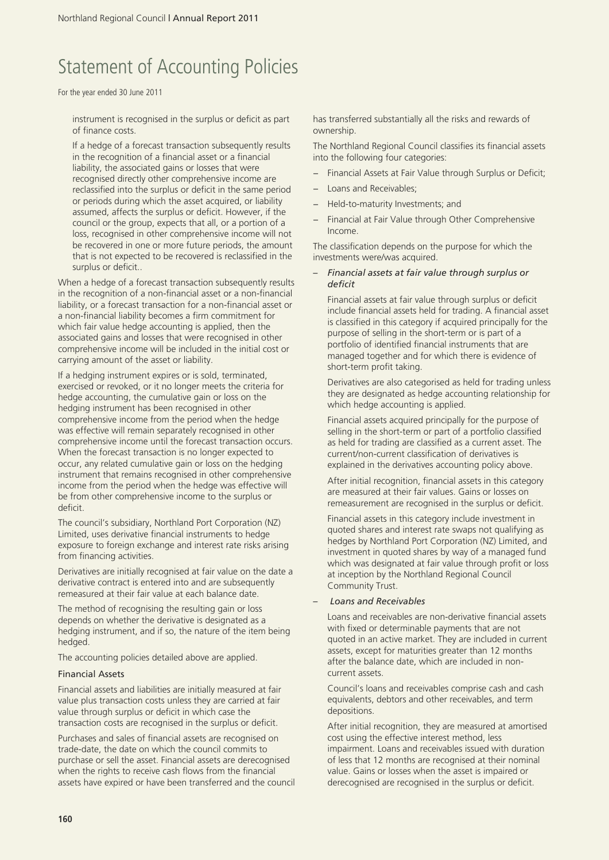For the year ended 30 June 2011

instrument is recognised in the surplus or deficit as part of finance costs.

If a hedge of a forecast transaction subsequently results in the recognition of a financial asset or a financial liability, the associated gains or losses that were recognised directly other comprehensive income are reclassified into the surplus or deficit in the same period or periods during which the asset acquired, or liability assumed, affects the surplus or deficit. However, if the council or the group, expects that all, or a portion of a loss, recognised in other comprehensive income will not be recovered in one or more future periods, the amount that is not expected to be recovered is reclassified in the surplus or deficit..

When a hedge of a forecast transaction subsequently results in the recognition of a non-financial asset or a non-financial liability, or a forecast transaction for a non-financial asset or a non-financial liability becomes a firm commitment for which fair value hedge accounting is applied, then the associated gains and losses that were recognised in other comprehensive income will be included in the initial cost or carrying amount of the asset or liability.

If a hedging instrument expires or is sold, terminated, exercised or revoked, or it no longer meets the criteria for hedge accounting, the cumulative gain or loss on the hedging instrument has been recognised in other comprehensive income from the period when the hedge was effective will remain separately recognised in other comprehensive income until the forecast transaction occurs. When the forecast transaction is no longer expected to occur, any related cumulative gain or loss on the hedging instrument that remains recognised in other comprehensive income from the period when the hedge was effective will be from other comprehensive income to the surplus or deficit.

The council's subsidiary, Northland Port Corporation (NZ) Limited, uses derivative financial instruments to hedge exposure to foreign exchange and interest rate risks arising from financing activities.

Derivatives are initially recognised at fair value on the date a derivative contract is entered into and are subsequently remeasured at their fair value at each balance date.

The method of recognising the resulting gain or loss depends on whether the derivative is designated as a hedging instrument, and if so, the nature of the item being hedged.

The accounting policies detailed above are applied.

### Financial Assets

Financial assets and liabilities are initially measured at fair value plus transaction costs unless they are carried at fair value through surplus or deficit in which case the transaction costs are recognised in the surplus or deficit.

Purchases and sales of financial assets are recognised on trade-date, the date on which the council commits to purchase or sell the asset. Financial assets are derecognised when the rights to receive cash flows from the financial assets have expired or have been transferred and the council has transferred substantially all the risks and rewards of ownership.

The Northland Regional Council classifies its financial assets into the following four categories:

- Financial Assets at Fair Value through Surplus or Deficit;
- − Loans and Receivables;
- − Held-to-maturity Investments; and
- Financial at Fair Value through Other Comprehensive Income.

The classification depends on the purpose for which the investments were/was acquired.

### *– Financial assets at fair value through surplus or deficit*

Financial assets at fair value through surplus or deficit include financial assets held for trading. A financial asset is classified in this category if acquired principally for the purpose of selling in the short-term or is part of a portfolio of identified financial instruments that are managed together and for which there is evidence of short-term profit taking.

Derivatives are also categorised as held for trading unless they are designated as hedge accounting relationship for which hedge accounting is applied.

Financial assets acquired principally for the purpose of selling in the short-term or part of a portfolio classified as held for trading are classified as a current asset. The current/non-current classification of derivatives is explained in the derivatives accounting policy above.

After initial recognition, financial assets in this category are measured at their fair values. Gains or losses on remeasurement are recognised in the surplus or deficit.

Financial assets in this category include investment in quoted shares and interest rate swaps not qualifying as hedges by Northland Port Corporation (NZ) Limited, and investment in quoted shares by way of a managed fund which was designated at fair value through profit or loss at inception by the Northland Regional Council Community Trust.

#### *– Loans and Receivables*

Loans and receivables are non-derivative financial assets with fixed or determinable payments that are not quoted in an active market. They are included in current assets, except for maturities greater than 12 months after the balance date, which are included in noncurrent assets.

Council's loans and receivables comprise cash and cash equivalents, debtors and other receivables, and term depositions.

After initial recognition, they are measured at amortised cost using the effective interest method, less impairment. Loans and receivables issued with duration of less that 12 months are recognised at their nominal value. Gains or losses when the asset is impaired or derecognised are recognised in the surplus or deficit.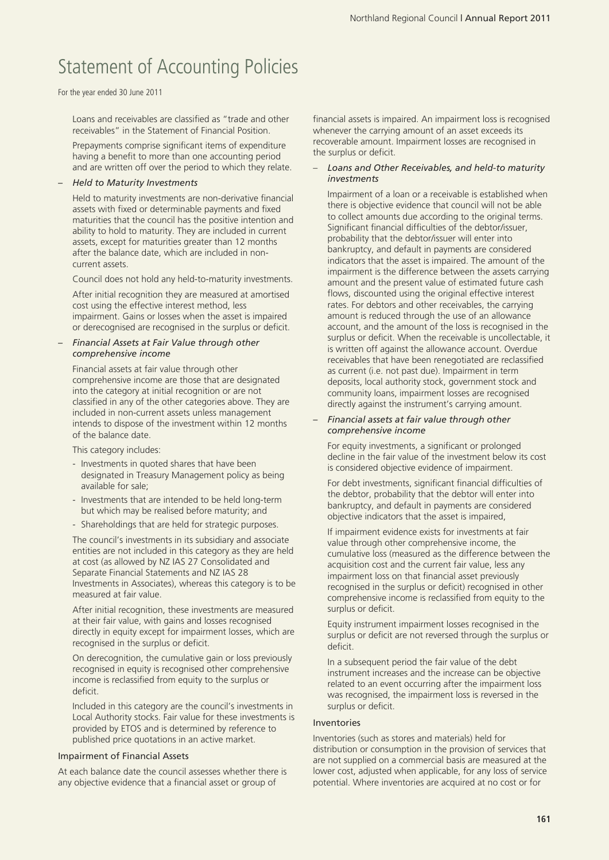For the year ended 30 June 2011

Loans and receivables are classified as "trade and other receivables" in the Statement of Financial Position.

Prepayments comprise significant items of expenditure having a benefit to more than one accounting period and are written off over the period to which they relate.

### *– Held to Maturity Investments*

Held to maturity investments are non-derivative financial assets with fixed or determinable payments and fixed maturities that the council has the positive intention and ability to hold to maturity. They are included in current assets, except for maturities greater than 12 months after the balance date, which are included in noncurrent assets.

Council does not hold any held-to-maturity investments.

After initial recognition they are measured at amortised cost using the effective interest method, less impairment. Gains or losses when the asset is impaired or derecognised are recognised in the surplus or deficit.

### *– Financial Assets at Fair Value through other comprehensive income*

Financial assets at fair value through other comprehensive income are those that are designated into the category at initial recognition or are not classified in any of the other categories above. They are included in non-current assets unless management intends to dispose of the investment within 12 months of the balance date.

This category includes:

- Investments in quoted shares that have been designated in Treasury Management policy as being available for sale;
- Investments that are intended to be held long-term but which may be realised before maturity; and
- Shareholdings that are held for strategic purposes.

The council's investments in its subsidiary and associate entities are not included in this category as they are held at cost (as allowed by NZ IAS 27 Consolidated and Separate Financial Statements and NZ IAS 28 Investments in Associates), whereas this category is to be measured at fair value.

After initial recognition, these investments are measured at their fair value, with gains and losses recognised directly in equity except for impairment losses, which are recognised in the surplus or deficit.

On derecognition, the cumulative gain or loss previously recognised in equity is recognised other comprehensive income is reclassified from equity to the surplus or deficit.

Included in this category are the council's investments in Local Authority stocks. Fair value for these investments is provided by ETOS and is determined by reference to published price quotations in an active market.

### Impairment of Financial Assets

At each balance date the council assesses whether there is any objective evidence that a financial asset or group of

financial assets is impaired. An impairment loss is recognised whenever the carrying amount of an asset exceeds its recoverable amount. Impairment losses are recognised in the surplus or deficit.

### – *Loans and Other Receivables, and held-to maturity investments*

Impairment of a loan or a receivable is established when there is objective evidence that council will not be able to collect amounts due according to the original terms. Significant financial difficulties of the debtor/issuer, probability that the debtor/issuer will enter into bankruptcy, and default in payments are considered indicators that the asset is impaired. The amount of the impairment is the difference between the assets carrying amount and the present value of estimated future cash flows, discounted using the original effective interest rates. For debtors and other receivables, the carrying amount is reduced through the use of an allowance account, and the amount of the loss is recognised in the surplus or deficit. When the receivable is uncollectable, it is written off against the allowance account. Overdue receivables that have been renegotiated are reclassified as current (i.e. not past due). Impairment in term deposits, local authority stock, government stock and community loans, impairment losses are recognised directly against the instrument's carrying amount.

### *– Financial assets at fair value through other comprehensive income*

For equity investments, a significant or prolonged decline in the fair value of the investment below its cost is considered objective evidence of impairment.

For debt investments, significant financial difficulties of the debtor, probability that the debtor will enter into bankruptcy, and default in payments are considered objective indicators that the asset is impaired,

If impairment evidence exists for investments at fair value through other comprehensive income, the cumulative loss (measured as the difference between the acquisition cost and the current fair value, less any impairment loss on that financial asset previously recognised in the surplus or deficit) recognised in other comprehensive income is reclassified from equity to the surplus or deficit.

Equity instrument impairment losses recognised in the surplus or deficit are not reversed through the surplus or deficit.

In a subsequent period the fair value of the debt instrument increases and the increase can be objective related to an event occurring after the impairment loss was recognised, the impairment loss is reversed in the surplus or deficit.

### Inventories

Inventories (such as stores and materials) held for distribution or consumption in the provision of services that are not supplied on a commercial basis are measured at the lower cost, adjusted when applicable, for any loss of service potential. Where inventories are acquired at no cost or for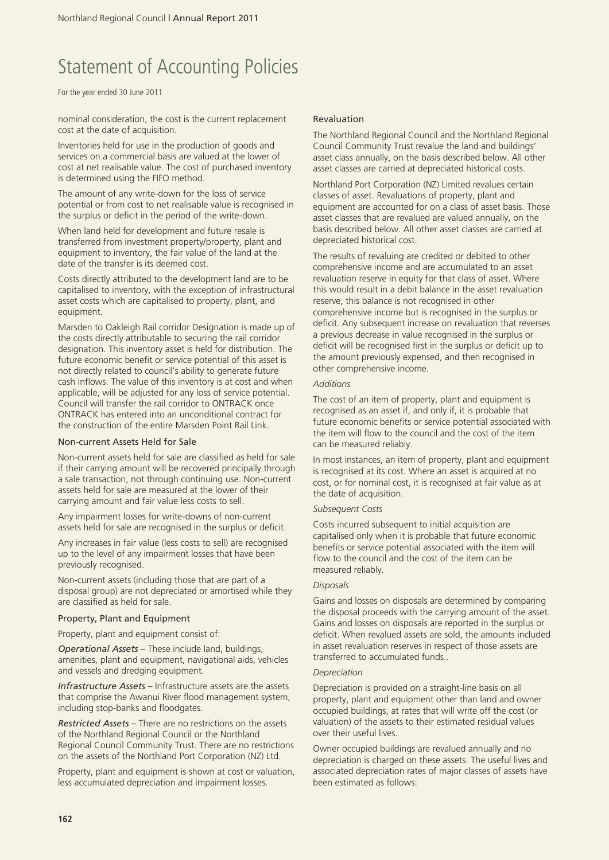For the year ended 30 June 2011

nominal consideration, the cost is the current replacement cost at the date of acquisition.

Inventories held for use in the production of goods and services on a commercial basis are valued at the lower of cost at net realisable value. The cost of purchased inventory is determined using the FIFO method.

The amount of any write-down for the loss of service potential or from cost to net realisable value is recognised in the surplus or deficit in the period of the write-down.

When land held for development and future resale is transferred from investment property/property, plant and equipment to inventory, the fair value of the land at the date of the transfer is its deemed cost.

Costs directly attributed to the development land are to be capitalised to inventory, with the exception of infrastructural asset costs which are capitalised to property, plant, and equipment.

Marsden to Oakleigh Rail corridor Designation is made up of the costs directly attributable to securing the rail corridor designation. This inventory asset is held for distribution. The future economic benefit or service potential of this asset is not directly related to council's ability to generate future cash inflows. The value of this inventory is at cost and when applicable, will be adjusted for any loss of service potential. Council will transfer the rail corridor to ONTRACK once ONTRACK has entered into an unconditional contract for the construction of the entire Marsden Point Rail Link.

### Non-current Assets Held for Sale

Non-current assets held for sale are classified as held for sale if their carrying amount will be recovered principally through a sale transaction, not through continuing use. Non-current assets held for sale are measured at the lower of their carrying amount and fair value less costs to sell.

Any impairment losses for write-downs of non-current assets held for sale are recognised in the surplus or deficit.

Any increases in fair value (less costs to sell) are recognised up to the level of any impairment losses that have been previously recognised.

Non-current assets (including those that are part of a disposal group) are not depreciated or amortised while they are classified as held for sale.

### Property, Plant and Equipment

Property, plant and equipment consist of:

*Operational Assets* – These include land, buildings, amenities, plant and equipment, navigational aids, vehicles and vessels and dredging equipment.

*Infrastructure Assets* – Infrastructure assets are the assets that comprise the Awanui River flood management system, including stop-banks and floodgates.

*Restricted Assets* – There are no restrictions on the assets of the Northland Regional Council or the Northland Regional Council Community Trust. There are no restrictions on the assets of the Northland Port Corporation (NZ) Ltd.

Property, plant and equipment is shown at cost or valuation, less accumulated depreciation and impairment losses.

### Revaluation

The Northland Regional Council and the Northland Regional Council Community Trust revalue the land and buildings' asset class annually, on the basis described below. All other asset classes are carried at depreciated historical costs.

Northland Port Corporation (NZ) Limited revalues certain classes of asset. Revaluations of property, plant and equipment are accounted for on a class of asset basis. Those asset classes that are revalued are valued annually, on the basis described below. All other asset classes are carried at depreciated historical cost.

The results of revaluing are credited or debited to other comprehensive income and are accumulated to an asset revaluation reserve in equity for that class of asset. Where this would result in a debit balance in the asset revaluation reserve, this balance is not recognised in other comprehensive income but is recognised in the surplus or deficit. Any subsequent increase on revaluation that reverses a previous decrease in value recognised in the surplus or deficit will be recognised first in the surplus or deficit up to the amount previously expensed, and then recognised in other comprehensive income.

### *Additions*

The cost of an item of property, plant and equipment is recognised as an asset if, and only if, it is probable that future economic benefits or service potential associated with the item will flow to the council and the cost of the item can be measured reliably.

In most instances, an item of property, plant and equipment is recognised at its cost. Where an asset is acquired at no cost, or for nominal cost, it is recognised at fair value as at the date of acquisition.

### *Subsequent Costs*

Costs incurred subsequent to initial acquisition are capitalised only when it is probable that future economic benefits or service potential associated with the item will flow to the council and the cost of the item can be measured reliably.

### *Disposals*

Gains and losses on disposals are determined by comparing the disposal proceeds with the carrying amount of the asset. Gains and losses on disposals are reported in the surplus or deficit. When revalued assets are sold, the amounts included in asset revaluation reserves in respect of those assets are transferred to accumulated funds..

### *Depreciation*

Depreciation is provided on a straight-line basis on all property, plant and equipment other than land and owner occupied buildings, at rates that will write off the cost (or valuation) of the assets to their estimated residual values over their useful lives.

Owner occupied buildings are revalued annually and no depreciation is charged on these assets. The useful lives and associated depreciation rates of major classes of assets have been estimated as follows: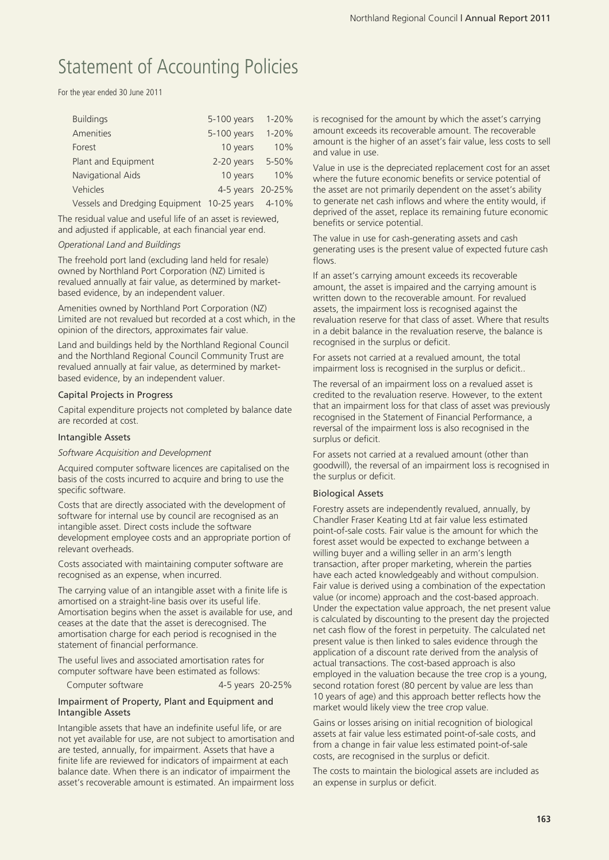For the year ended 30 June 2011

| <b>Buildings</b>                           | 5-100 years      | $1 - 20%$ |
|--------------------------------------------|------------------|-----------|
| Amenities                                  | 5-100 years      | $1 - 20%$ |
| Forest                                     | 10 years         | 10%       |
| Plant and Equipment                        | 2-20 years       | 5-50%     |
| Navigational Aids                          | 10 years         | 10%       |
| Vehicles                                   | 4-5 years 20-25% |           |
| Vessels and Dredging Equipment 10-25 years |                  | $4 - 10%$ |

The residual value and useful life of an asset is reviewed, and adjusted if applicable, at each financial year end.

#### *Operational Land and Buildings*

The freehold port land (excluding land held for resale) owned by Northland Port Corporation (NZ) Limited is revalued annually at fair value, as determined by marketbased evidence, by an independent valuer.

Amenities owned by Northland Port Corporation (NZ) Limited are not revalued but recorded at a cost which, in the opinion of the directors, approximates fair value.

Land and buildings held by the Northland Regional Council and the Northland Regional Council Community Trust are revalued annually at fair value, as determined by marketbased evidence, by an independent valuer.

### Capital Projects in Progress

Capital expenditure projects not completed by balance date are recorded at cost.

#### Intangible Assets

*Software Acquisition and Development*

Acquired computer software licences are capitalised on the basis of the costs incurred to acquire and bring to use the specific software.

Costs that are directly associated with the development of software for internal use by council are recognised as an intangible asset. Direct costs include the software development employee costs and an appropriate portion of relevant overheads.

Costs associated with maintaining computer software are recognised as an expense, when incurred.

The carrying value of an intangible asset with a finite life is amortised on a straight-line basis over its useful life. Amortisation begins when the asset is available for use, and ceases at the date that the asset is derecognised. The amortisation charge for each period is recognised in the statement of financial performance.

The useful lives and associated amortisation rates for computer software have been estimated as follows:

Computer software 4-5 years 20-25%

### Impairment of Property, Plant and Equipment and Intangible Assets

Intangible assets that have an indefinite useful life, or are not yet available for use, are not subject to amortisation and are tested, annually, for impairment. Assets that have a finite life are reviewed for indicators of impairment at each balance date. When there is an indicator of impairment the asset's recoverable amount is estimated. An impairment loss is recognised for the amount by which the asset's carrying amount exceeds its recoverable amount. The recoverable amount is the higher of an asset's fair value, less costs to sell and value in use.

Value in use is the depreciated replacement cost for an asset where the future economic benefits or service potential of the asset are not primarily dependent on the asset's ability to generate net cash inflows and where the entity would, if deprived of the asset, replace its remaining future economic benefits or service potential.

The value in use for cash-generating assets and cash generating uses is the present value of expected future cash flows.

If an asset's carrying amount exceeds its recoverable amount, the asset is impaired and the carrying amount is written down to the recoverable amount. For revalued assets, the impairment loss is recognised against the revaluation reserve for that class of asset. Where that results in a debit balance in the revaluation reserve, the balance is recognised in the surplus or deficit.

For assets not carried at a revalued amount, the total impairment loss is recognised in the surplus or deficit..

The reversal of an impairment loss on a revalued asset is credited to the revaluation reserve. However, to the extent that an impairment loss for that class of asset was previously recognised in the Statement of Financial Performance, a reversal of the impairment loss is also recognised in the surplus or deficit.

For assets not carried at a revalued amount (other than goodwill), the reversal of an impairment loss is recognised in the surplus or deficit.

#### Biological Assets

Forestry assets are independently revalued, annually, by Chandler Fraser Keating Ltd at fair value less estimated point-of-sale costs. Fair value is the amount for which the forest asset would be expected to exchange between a willing buyer and a willing seller in an arm's length transaction, after proper marketing, wherein the parties have each acted knowledgeably and without compulsion. Fair value is derived using a combination of the expectation value (or income) approach and the cost-based approach. Under the expectation value approach, the net present value is calculated by discounting to the present day the projected net cash flow of the forest in perpetuity. The calculated net present value is then linked to sales evidence through the application of a discount rate derived from the analysis of actual transactions. The cost-based approach is also employed in the valuation because the tree crop is a young, second rotation forest (80 percent by value are less than 10 years of age) and this approach better reflects how the market would likely view the tree crop value.

Gains or losses arising on initial recognition of biological assets at fair value less estimated point-of-sale costs, and from a change in fair value less estimated point-of-sale costs, are recognised in the surplus or deficit.

The costs to maintain the biological assets are included as an expense in surplus or deficit.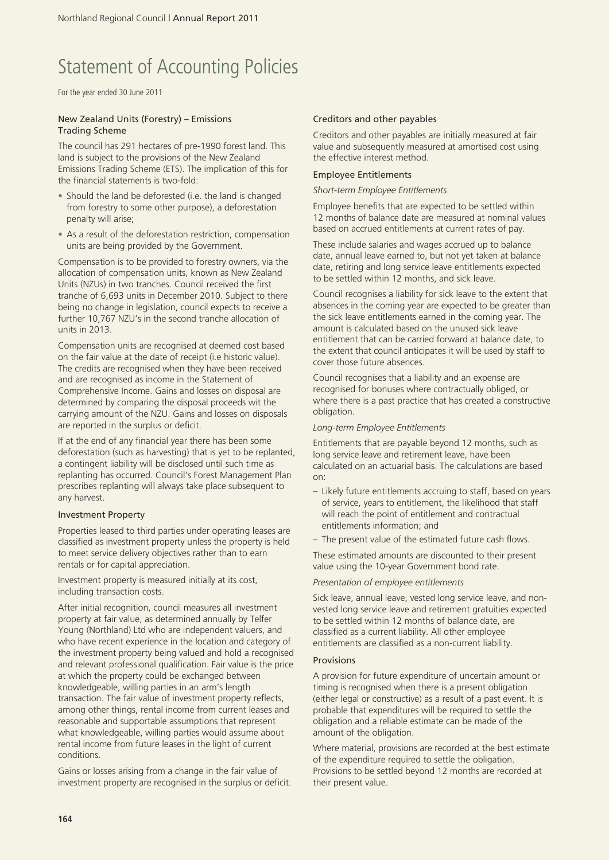For the year ended 30 June 2011

# New Zealand Units (Forestry) – Emissions Trading Scheme

The council has 291 hectares of pre-1990 forest land. This land is subject to the provisions of the New Zealand Emissions Trading Scheme (ETS). The implication of this for the financial statements is two-fold:

- Should the land be deforested (i.e. the land is changed from forestry to some other purpose), a deforestation penalty will arise;
- As a result of the deforestation restriction, compensation units are being provided by the Government.

Compensation is to be provided to forestry owners, via the allocation of compensation units, known as New Zealand Units (NZUs) in two tranches. Council received the first tranche of 6,693 units in December 2010. Subject to there being no change in legislation, council expects to receive a further 10,767 NZU's in the second tranche allocation of units in 2013.

Compensation units are recognised at deemed cost based on the fair value at the date of receipt (i.e historic value). The credits are recognised when they have been received and are recognised as income in the Statement of Comprehensive Income. Gains and losses on disposal are determined by comparing the disposal proceeds wit the carrying amount of the NZU. Gains and losses on disposals are reported in the surplus or deficit.

If at the end of any financial year there has been some deforestation (such as harvesting) that is yet to be replanted, a contingent liability will be disclosed until such time as replanting has occurred. Council's Forest Management Plan prescribes replanting will always take place subsequent to any harvest.

# Investment Property

Properties leased to third parties under operating leases are classified as investment property unless the property is held to meet service delivery objectives rather than to earn rentals or for capital appreciation.

Investment property is measured initially at its cost, including transaction costs.

After initial recognition, council measures all investment property at fair value, as determined annually by Telfer Young (Northland) Ltd who are independent valuers, and who have recent experience in the location and category of the investment property being valued and hold a recognised and relevant professional qualification. Fair value is the price at which the property could be exchanged between knowledgeable, willing parties in an arm's length transaction. The fair value of investment property reflects, among other things, rental income from current leases and reasonable and supportable assumptions that represent what knowledgeable, willing parties would assume about rental income from future leases in the light of current conditions.

Gains or losses arising from a change in the fair value of investment property are recognised in the surplus or deficit.

### Creditors and other payables

Creditors and other payables are initially measured at fair value and subsequently measured at amortised cost using the effective interest method.

### Employee Entitlements

### *Short-term Employee Entitlements*

Employee benefits that are expected to be settled within 12 months of balance date are measured at nominal values based on accrued entitlements at current rates of pay.

These include salaries and wages accrued up to balance date, annual leave earned to, but not yet taken at balance date, retiring and long service leave entitlements expected to be settled within 12 months, and sick leave.

Council recognises a liability for sick leave to the extent that absences in the coming year are expected to be greater than the sick leave entitlements earned in the coming year. The amount is calculated based on the unused sick leave entitlement that can be carried forward at balance date, to the extent that council anticipates it will be used by staff to cover those future absences.

Council recognises that a liability and an expense are recognised for bonuses where contractually obliged, or where there is a past practice that has created a constructive obligation.

### *Long-term Employee Entitlements*

Entitlements that are payable beyond 12 months, such as long service leave and retirement leave, have been calculated on an actuarial basis. The calculations are based on:

- Likely future entitlements accruing to staff, based on years of service, years to entitlement, the likelihood that staff will reach the point of entitlement and contractual entitlements information; and
- The present value of the estimated future cash flows.

These estimated amounts are discounted to their present value using the 10-year Government bond rate.

### *Presentation of employee entitlements*

Sick leave, annual leave, vested long service leave, and nonvested long service leave and retirement gratuities expected to be settled within 12 months of balance date, are classified as a current liability. All other employee entitlements are classified as a non-current liability.

### Provisions

A provision for future expenditure of uncertain amount or timing is recognised when there is a present obligation (either legal or constructive) as a result of a past event. It is probable that expenditures will be required to settle the obligation and a reliable estimate can be made of the amount of the obligation.

Where material, provisions are recorded at the best estimate of the expenditure required to settle the obligation. Provisions to be settled beyond 12 months are recorded at their present value.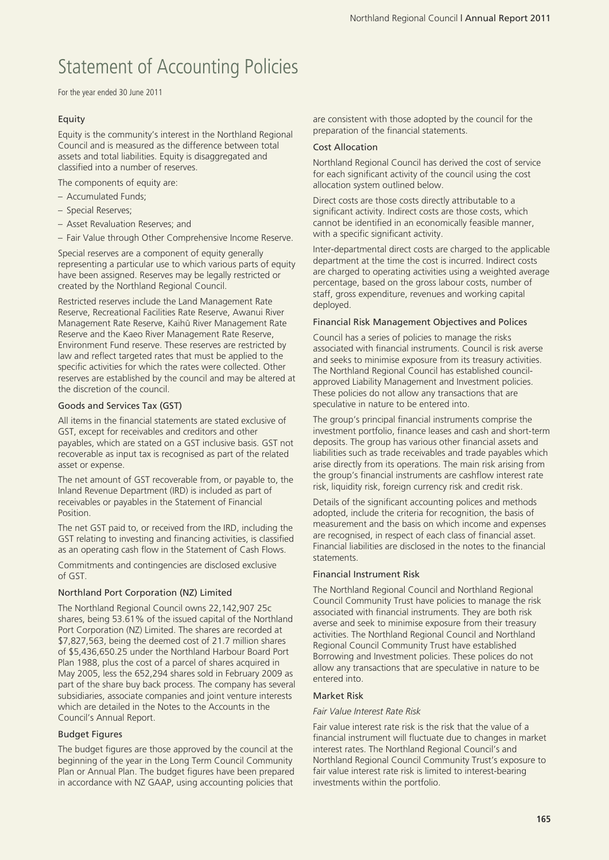For the year ended 30 June 2011

# Equity

Equity is the community's interest in the Northland Regional Council and is measured as the difference between total assets and total liabilities. Equity is disaggregated and classified into a number of reserves.

The components of equity are:

- Accumulated Funds;
- Special Reserves;
- Asset Revaluation Reserves; and
- Fair Value through Other Comprehensive Income Reserve.

Special reserves are a component of equity generally representing a particular use to which various parts of equity have been assigned. Reserves may be legally restricted or created by the Northland Regional Council.

Restricted reserves include the Land Management Rate Reserve, Recreational Facilities Rate Reserve, Awanui River Management Rate Reserve, Kaihü River Management Rate Reserve and the Kaeo River Management Rate Reserve, Environment Fund reserve. These reserves are restricted by law and reflect targeted rates that must be applied to the specific activities for which the rates were collected. Other reserves are established by the council and may be altered at the discretion of the council.

### Goods and Services Tax (GST)

All items in the financial statements are stated exclusive of GST, except for receivables and creditors and other payables, which are stated on a GST inclusive basis. GST not recoverable as input tax is recognised as part of the related asset or expense.

The net amount of GST recoverable from, or payable to, the Inland Revenue Department (IRD) is included as part of receivables or payables in the Statement of Financial **Position** 

The net GST paid to, or received from the IRD, including the GST relating to investing and financing activities, is classified as an operating cash flow in the Statement of Cash Flows.

Commitments and contingencies are disclosed exclusive of GST.

# Northland Port Corporation (NZ) Limited

The Northland Regional Council owns 22,142,907 25c shares, being 53.61% of the issued capital of the Northland Port Corporation (NZ) Limited. The shares are recorded at \$7,827,563, being the deemed cost of 21.7 million shares of \$5,436,650.25 under the Northland Harbour Board Port Plan 1988, plus the cost of a parcel of shares acquired in May 2005, less the 652,294 shares sold in February 2009 as part of the share buy back process. The company has several subsidiaries, associate companies and joint venture interests which are detailed in the Notes to the Accounts in the Council's Annual Report.

# Budget Figures

The budget figures are those approved by the council at the beginning of the year in the Long Term Council Community Plan or Annual Plan. The budget figures have been prepared in accordance with NZ GAAP, using accounting policies that

are consistent with those adopted by the council for the preparation of the financial statements.

### Cost Allocation

Northland Regional Council has derived the cost of service for each significant activity of the council using the cost allocation system outlined below.

Direct costs are those costs directly attributable to a significant activity. Indirect costs are those costs, which cannot be identified in an economically feasible manner, with a specific significant activity.

Inter-departmental direct costs are charged to the applicable department at the time the cost is incurred. Indirect costs are charged to operating activities using a weighted average percentage, based on the gross labour costs, number of staff, gross expenditure, revenues and working capital deployed.

### Financial Risk Management Objectives and Polices

Council has a series of policies to manage the risks associated with financial instruments. Council is risk averse and seeks to minimise exposure from its treasury activities. The Northland Regional Council has established councilapproved Liability Management and Investment policies. These policies do not allow any transactions that are speculative in nature to be entered into.

The group's principal financial instruments comprise the investment portfolio, finance leases and cash and short-term deposits. The group has various other financial assets and liabilities such as trade receivables and trade payables which arise directly from its operations. The main risk arising from the group's financial instruments are cashflow interest rate risk, liquidity risk, foreign currency risk and credit risk.

Details of the significant accounting polices and methods adopted, include the criteria for recognition, the basis of measurement and the basis on which income and expenses are recognised, in respect of each class of financial asset. Financial liabilities are disclosed in the notes to the financial statements.

### Financial Instrument Risk

The Northland Regional Council and Northland Regional Council Community Trust have policies to manage the risk associated with financial instruments. They are both risk averse and seek to minimise exposure from their treasury activities. The Northland Regional Council and Northland Regional Council Community Trust have established Borrowing and Investment policies. These polices do not allow any transactions that are speculative in nature to be entered into.

### Market Risk

### *Fair Value Interest Rate Risk*

Fair value interest rate risk is the risk that the value of a financial instrument will fluctuate due to changes in market interest rates. The Northland Regional Council's and Northland Regional Council Community Trust's exposure to fair value interest rate risk is limited to interest-bearing investments within the portfolio.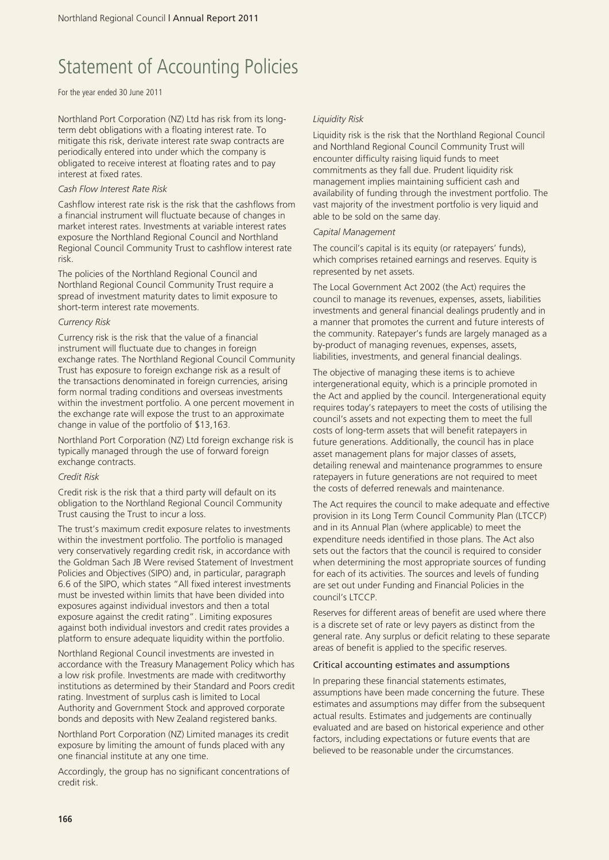For the year ended 30 June 2011

Northland Port Corporation (NZ) Ltd has risk from its longterm debt obligations with a floating interest rate. To mitigate this risk, derivate interest rate swap contracts are periodically entered into under which the company is obligated to receive interest at floating rates and to pay interest at fixed rates.

### *Cash Flow Interest Rate Risk*

Cashflow interest rate risk is the risk that the cashflows from a financial instrument will fluctuate because of changes in market interest rates. Investments at variable interest rates exposure the Northland Regional Council and Northland Regional Council Community Trust to cashflow interest rate risk.

The policies of the Northland Regional Council and Northland Regional Council Community Trust require a spread of investment maturity dates to limit exposure to short-term interest rate movements.

#### *Currency Risk*

Currency risk is the risk that the value of a financial instrument will fluctuate due to changes in foreign exchange rates. The Northland Regional Council Community Trust has exposure to foreign exchange risk as a result of the transactions denominated in foreign currencies, arising form normal trading conditions and overseas investments within the investment portfolio. A one percent movement in the exchange rate will expose the trust to an approximate change in value of the portfolio of \$13,163.

Northland Port Corporation (NZ) Ltd foreign exchange risk is typically managed through the use of forward foreign exchange contracts.

### *Credit Risk*

Credit risk is the risk that a third party will default on its obligation to the Northland Regional Council Community Trust causing the Trust to incur a loss.

The trust's maximum credit exposure relates to investments within the investment portfolio. The portfolio is managed very conservatively regarding credit risk, in accordance with the Goldman Sach JB Were revised Statement of Investment Policies and Objectives (SIPO) and, in particular, paragraph 6.6 of the SIPO, which states "All fixed interest investments must be invested within limits that have been divided into exposures against individual investors and then a total exposure against the credit rating". Limiting exposures against both individual investors and credit rates provides a platform to ensure adequate liquidity within the portfolio.

Northland Regional Council investments are invested in accordance with the Treasury Management Policy which has a low risk profile. Investments are made with creditworthy institutions as determined by their Standard and Poors credit rating. Investment of surplus cash is limited to Local Authority and Government Stock and approved corporate bonds and deposits with New Zealand registered banks.

Northland Port Corporation (NZ) Limited manages its credit exposure by limiting the amount of funds placed with any one financial institute at any one time.

Accordingly, the group has no significant concentrations of credit risk.

### *Liquidity Risk*

Liquidity risk is the risk that the Northland Regional Council and Northland Regional Council Community Trust will encounter difficulty raising liquid funds to meet commitments as they fall due. Prudent liquidity risk management implies maintaining sufficient cash and availability of funding through the investment portfolio. The vast majority of the investment portfolio is very liquid and able to be sold on the same day.

#### *Capital Management*

The council's capital is its equity (or ratepayers' funds), which comprises retained earnings and reserves. Equity is represented by net assets.

The Local Government Act 2002 (the Act) requires the council to manage its revenues, expenses, assets, liabilities investments and general financial dealings prudently and in a manner that promotes the current and future interests of the community. Ratepayer's funds are largely managed as a by-product of managing revenues, expenses, assets, liabilities, investments, and general financial dealings.

The objective of managing these items is to achieve intergenerational equity, which is a principle promoted in the Act and applied by the council. Intergenerational equity requires today's ratepayers to meet the costs of utilising the council's assets and not expecting them to meet the full costs of long-term assets that will benefit ratepayers in future generations. Additionally, the council has in place asset management plans for major classes of assets, detailing renewal and maintenance programmes to ensure ratepayers in future generations are not required to meet the costs of deferred renewals and maintenance.

The Act requires the council to make adequate and effective provision in its Long Term Council Community Plan (LTCCP) and in its Annual Plan (where applicable) to meet the expenditure needs identified in those plans. The Act also sets out the factors that the council is required to consider when determining the most appropriate sources of funding for each of its activities. The sources and levels of funding are set out under Funding and Financial Policies in the council's LTCCP.

Reserves for different areas of benefit are used where there is a discrete set of rate or levy payers as distinct from the general rate. Any surplus or deficit relating to these separate areas of benefit is applied to the specific reserves.

#### Critical accounting estimates and assumptions

In preparing these financial statements estimates, assumptions have been made concerning the future. These estimates and assumptions may differ from the subsequent actual results. Estimates and judgements are continually evaluated and are based on historical experience and other factors, including expectations or future events that are believed to be reasonable under the circumstances.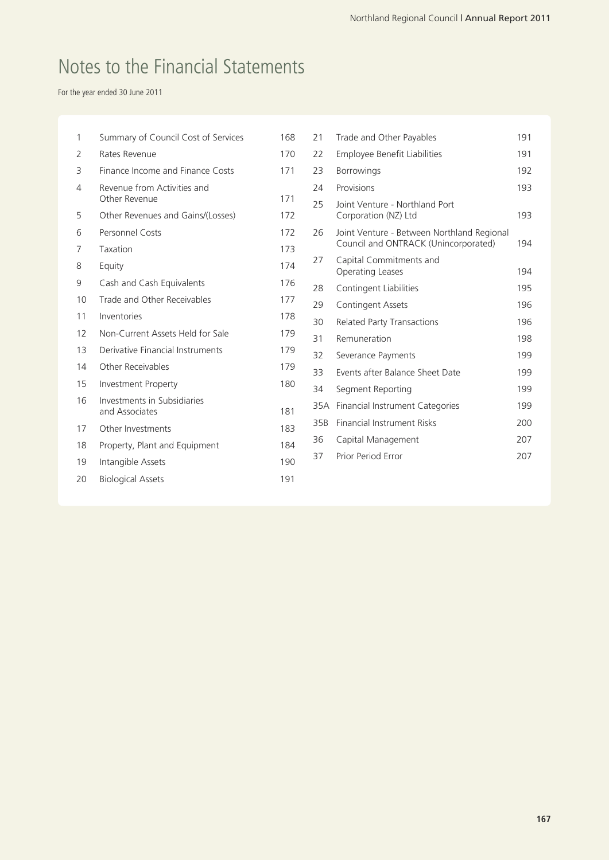| 1  | Summary of Council Cost of Services           | 168 | 21       | Trade and Other Payables                               | 191 |
|----|-----------------------------------------------|-----|----------|--------------------------------------------------------|-----|
| 2  | Rates Revenue                                 | 170 | 22       | Employee Benefit Liabilities                           | 191 |
| 3  | Finance Income and Finance Costs              | 171 | 23       | <b>Borrowings</b>                                      | 192 |
| 4  | Revenue from Activities and<br>Other Revenue  | 171 | 24<br>25 | Provisions                                             | 193 |
| 5  | Other Revenues and Gains/(Losses)             | 172 |          | Joint Venture - Northland Port<br>Corporation (NZ) Ltd | 193 |
| 6  | Personnel Costs                               | 172 | 26       | Joint Venture - Between Northland Regional             |     |
| 7  | Taxation                                      | 173 |          | Council and ONTRACK (Unincorporated)                   | 194 |
| 8  | Equity                                        | 174 | 27       | Capital Commitments and<br>Operating Leases            | 194 |
| 9  | Cash and Cash Equivalents                     | 176 | 28       | Contingent Liabilities                                 | 195 |
| 10 | Trade and Other Receivables                   | 177 | 29       | <b>Contingent Assets</b>                               | 196 |
| 11 | Inventories                                   | 178 | 30       | <b>Related Party Transactions</b>                      | 196 |
| 12 | Non-Current Assets Held for Sale              | 179 | 31       | Remuneration                                           | 198 |
| 13 | Derivative Financial Instruments              | 179 | 32       | Severance Payments                                     | 199 |
| 14 | <b>Other Receivables</b>                      | 179 | 33       | Events after Balance Sheet Date                        | 199 |
| 15 | Investment Property                           | 180 | 34       | Segment Reporting                                      | 199 |
| 16 | Investments in Subsidiaries<br>and Associates | 181 | 35A      | Financial Instrument Categories                        | 199 |
| 17 | Other Investments                             | 183 | 35B      | <b>Financial Instrument Risks</b>                      | 200 |
| 18 | Property, Plant and Equipment                 | 184 | 36       | Capital Management                                     | 207 |
| 19 | Intangible Assets                             | 190 | 37       | Prior Period Error                                     | 207 |
| 20 | <b>Biological Assets</b>                      | 191 |          |                                                        |     |
|    |                                               |     |          |                                                        |     |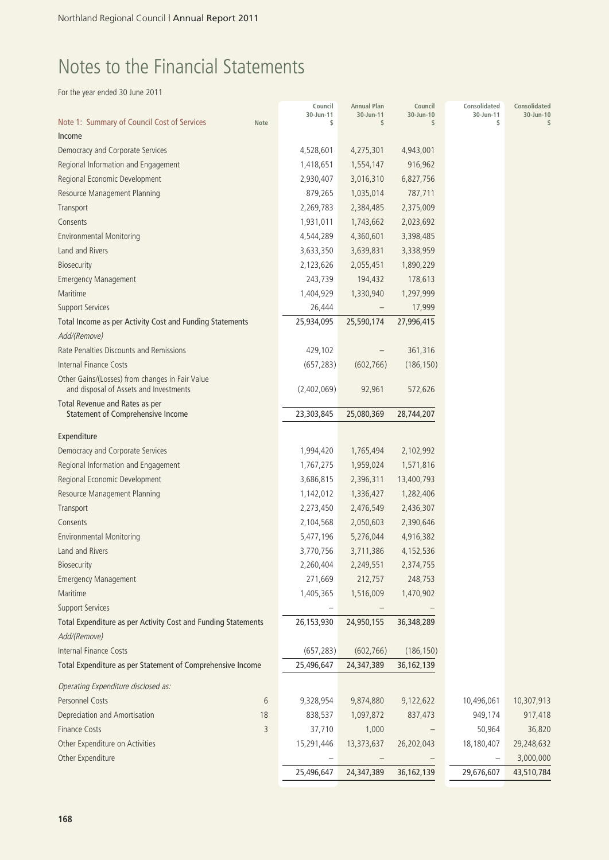|                                                                            | Council<br>30-Jun-11 | Annual Plan<br>30-Jun-11 | Council<br>30-Jun-10 | Consolidated<br>30-Jun-11 | Consolidated<br>30-Jun-10 |
|----------------------------------------------------------------------------|----------------------|--------------------------|----------------------|---------------------------|---------------------------|
| Note 1: Summary of Council Cost of Services<br>Note                        | \$                   | S                        | \$                   | \$                        | S                         |
| Income                                                                     |                      |                          |                      |                           |                           |
| Democracy and Corporate Services                                           | 4,528,601            | 4,275,301                | 4,943,001            |                           |                           |
| Regional Information and Engagement                                        | 1,418,651            | 1,554,147                | 916,962              |                           |                           |
| Regional Economic Development                                              | 2,930,407            | 3,016,310                | 6,827,756            |                           |                           |
| Resource Management Planning                                               | 879,265              | 1,035,014                | 787,711              |                           |                           |
| Transport                                                                  | 2,269,783            | 2,384,485                | 2,375,009            |                           |                           |
| Consents                                                                   | 1,931,011            | 1,743,662                | 2,023,692            |                           |                           |
| <b>Environmental Monitoring</b>                                            | 4,544,289            | 4,360,601                | 3,398,485            |                           |                           |
| Land and Rivers                                                            | 3,633,350            | 3,639,831                | 3,338,959            |                           |                           |
| Biosecurity                                                                | 2,123,626            | 2,055,451                | 1,890,229            |                           |                           |
| <b>Emergency Management</b>                                                | 243,739              | 194,432                  | 178,613              |                           |                           |
| Maritime                                                                   | 1,404,929            | 1,330,940                | 1,297,999            |                           |                           |
| <b>Support Services</b>                                                    | 26,444               |                          | 17,999               |                           |                           |
| Total Income as per Activity Cost and Funding Statements                   | 25,934,095           | 25,590,174               | 27,996,415           |                           |                           |
| Add/(Remove)                                                               |                      |                          |                      |                           |                           |
| Rate Penalties Discounts and Remissions                                    | 429,102              |                          | 361,316              |                           |                           |
| <b>Internal Finance Costs</b>                                              | (657, 283)           | (602, 766)               | (186, 150)           |                           |                           |
| Other Gains/(Losses) from changes in Fair Value                            |                      |                          |                      |                           |                           |
| and disposal of Assets and Investments                                     | (2,402,069)          | 92,961                   | 572,626              |                           |                           |
| Total Revenue and Rates as per<br><b>Statement of Comprehensive Income</b> | 23,303,845           | 25,080,369               | 28,744,207           |                           |                           |
|                                                                            |                      |                          |                      |                           |                           |
| Expenditure                                                                |                      |                          |                      |                           |                           |
| Democracy and Corporate Services                                           | 1,994,420            | 1,765,494                | 2,102,992            |                           |                           |
| Regional Information and Engagement                                        | 1,767,275            | 1,959,024                | 1,571,816            |                           |                           |
| Regional Economic Development                                              | 3,686,815            | 2,396,311                | 13,400,793           |                           |                           |
| Resource Management Planning                                               | 1,142,012            | 1,336,427                | 1,282,406            |                           |                           |
| Transport                                                                  | 2,273,450            | 2,476,549                | 2,436,307            |                           |                           |
| Consents                                                                   | 2,104,568            | 2,050,603                | 2,390,646            |                           |                           |
| <b>Environmental Monitoring</b>                                            | 5,477,196            | 5,276,044                | 4,916,382            |                           |                           |
| Land and Rivers                                                            | 3,770,756            | 3,711,386                | 4, 152, 536          |                           |                           |
| Biosecurity                                                                | 2,260,404            | 2,249,551                | 2,374,755            |                           |                           |
| <b>Emergency Management</b>                                                | 271,669              | 212,757                  | 248,753              |                           |                           |
| Maritime                                                                   | 1,405,365            | 1,516,009                | 1,470,902            |                           |                           |
| <b>Support Services</b>                                                    |                      |                          |                      |                           |                           |
| Total Expenditure as per Activity Cost and Funding Statements              | 26,153,930           | 24,950,155               | 36,348,289           |                           |                           |
| Add/(Remove)                                                               |                      |                          |                      |                           |                           |
| Internal Finance Costs                                                     | (657, 283)           | (602, 766)               | (186, 150)           |                           |                           |
| Total Expenditure as per Statement of Comprehensive Income                 | 25,496,647           | 24,347,389               | 36, 162, 139         |                           |                           |
| Operating Expenditure disclosed as:                                        |                      |                          |                      |                           |                           |
| Personnel Costs                                                            |                      |                          |                      |                           |                           |
| 6<br>18                                                                    | 9,328,954            | 9,874,880                | 9,122,622            | 10,496,061                | 10,307,913                |
| Depreciation and Amortisation<br>3                                         | 838,537              | 1,097,872                | 837,473              | 949,174                   | 917,418                   |
| <b>Finance Costs</b>                                                       | 37,710               | 1,000                    |                      | 50,964                    | 36,820                    |
| Other Expenditure on Activities                                            | 15,291,446           | 13,373,637               | 26,202,043           | 18,180,407                | 29,248,632                |
| Other Expenditure                                                          |                      |                          |                      |                           | 3,000,000                 |
|                                                                            | 25,496,647           | 24,347,389               | 36, 162, 139         | 29,676,607                | 43,510,784                |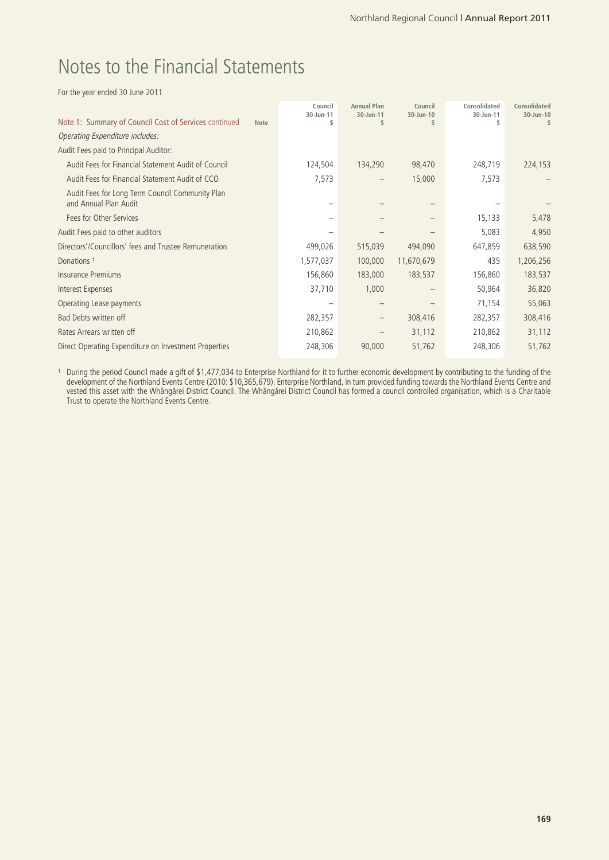For the year ended 30 June 2011

|                                                                          | Council<br>30-Jun-11 | <b>Annual Plan</b><br>30-Jun-11 | Council<br>30-Jun-10     | Consolidated<br>30-Jun-11 | Consolidated<br>30-Jun-10 |
|--------------------------------------------------------------------------|----------------------|---------------------------------|--------------------------|---------------------------|---------------------------|
| Note 1: Summary of Council Cost of Services continued<br><b>Note</b>     |                      |                                 |                          | S                         | \$                        |
| Operating Expenditure includes:                                          |                      |                                 |                          |                           |                           |
| Audit Fees paid to Principal Auditor:                                    |                      |                                 |                          |                           |                           |
| Audit Fees for Financial Statement Audit of Council                      | 124,504              | 134,290                         | 98,470                   | 248,719                   | 224,153                   |
| Audit Fees for Financial Statement Audit of CCO                          | 7,573                | $\qquad \qquad -$               | 15,000                   | 7,573                     |                           |
| Audit Fees for Long Term Council Community Plan<br>and Annual Plan Audit |                      |                                 |                          |                           |                           |
| Fees for Other Services                                                  | -                    |                                 | $\overline{\phantom{m}}$ | 15,133                    | 5,478                     |
| Audit Fees paid to other auditors                                        | -                    |                                 | -                        | 5,083                     | 4,950                     |
| Directors'/Councillors' fees and Trustee Remuneration                    | 499,026              | 515,039                         | 494,090                  | 647,859                   | 638,590                   |
| Donations <sup>1</sup>                                                   | 1,577,037            | 100,000                         | 11,670,679               | 435                       | 1,206,256                 |
| <b>Insurance Premiums</b>                                                | 156,860              | 183,000                         | 183,537                  | 156,860                   | 183,537                   |
| Interest Expenses                                                        | 37,710               | 1,000                           |                          | 50,964                    | 36,820                    |
| Operating Lease payments                                                 |                      |                                 |                          | 71,154                    | 55,063                    |
| Bad Debts written off                                                    | 282,357              | $\qquad \qquad -$               | 308,416                  | 282,357                   | 308,416                   |
| Rates Arrears written off                                                | 210,862              |                                 | 31,112                   | 210,862                   | 31,112                    |
| Direct Operating Expenditure on Investment Properties                    | 248,306              | 90,000                          | 51,762                   | 248,306                   | 51,762                    |

1 During the period Council made a gift of \$1,477,034 to Enterprise Northland for it to further economic development by contributing to the funding of the development of the Northland Events Centre (2010: \$10,365,679). Enterprise Northland, in turn provided funding towards the Northland Events Centre and vested this asset with the Whängärei District Council. The Whängärei District Council has formed a council controlled organisation, which is a Charitable Trust to operate the Northland Events Centre.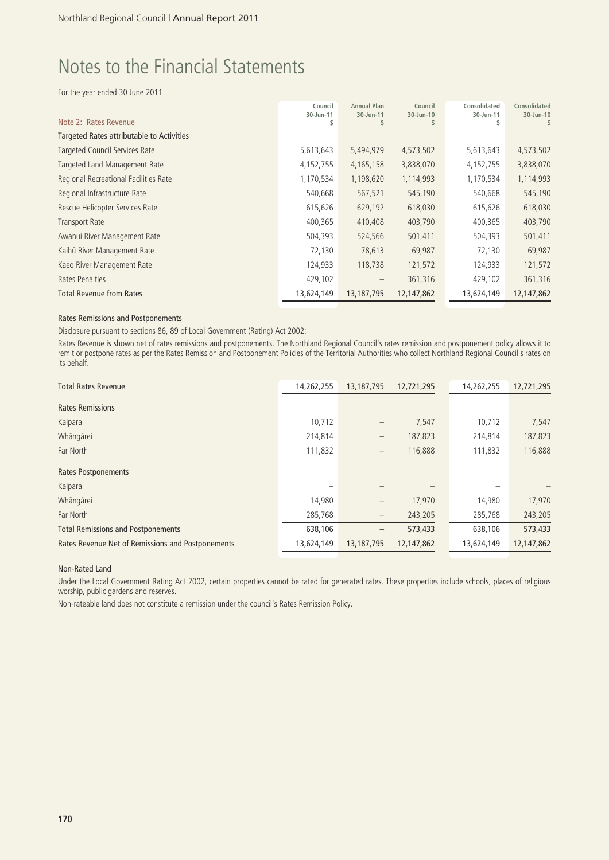For the year ended 30 June 2011

|                                                  | Council    | <b>Annual Plan</b> | Council    | Consolidated | Consolidated |
|--------------------------------------------------|------------|--------------------|------------|--------------|--------------|
|                                                  | 30-Jun-11  | 30-Jun-11          | 30-Jun-10  | 30-Jun-11    | 30-Jun-10    |
| Note 2: Rates Revenue                            |            |                    |            |              | \$           |
| <b>Targeted Rates attributable to Activities</b> |            |                    |            |              |              |
| <b>Targeted Council Services Rate</b>            | 5,613,643  | 5,494,979          | 4,573,502  | 5,613,643    | 4,573,502    |
| Targeted Land Management Rate                    | 4,152,755  | 4, 165, 158        | 3,838,070  | 4,152,755    | 3,838,070    |
| Regional Recreational Facilities Rate            | 1,170,534  | 1,198,620          | 1,114,993  | 1,170,534    | 1,114,993    |
| Regional Infrastructure Rate                     | 540,668    | 567,521            | 545,190    | 540,668      | 545,190      |
| Rescue Helicopter Services Rate                  | 615,626    | 629,192            | 618,030    | 615,626      | 618,030      |
| Transport Rate                                   | 400,365    | 410,408            | 403,790    | 400,365      | 403,790      |
| Awanui River Management Rate                     | 504,393    | 524,566            | 501,411    | 504,393      | 501,411      |
| Kaihū River Management Rate                      | 72,130     | 78,613             | 69,987     | 72,130       | 69,987       |
| Kaeo River Management Rate                       | 124,933    | 118,738            | 121,572    | 124,933      | 121,572      |
| Rates Penalties                                  | 429,102    | $\qquad \qquad -$  | 361,316    | 429,102      | 361,316      |
| <b>Total Revenue from Rates</b>                  | 13,624,149 | 13,187,795         | 12,147,862 | 13,624,149   | 12,147,862   |
|                                                  |            |                    |            |              |              |

### Rates Remissions and Postponements

Disclosure pursuant to sections 86, 89 of Local Government (Rating) Act 2002:

Rates Revenue is shown net of rates remissions and postponements. The Northland Regional Council's rates remission and postponement policy allows it to remit or postpone rates as per the Rates Remission and Postponement Policies of the Territorial Authorities who collect Northland Regional Council's rates on its behalf.

| <b>Total Rates Revenue</b>                        | 14,262,255 | 13,187,795        | 12,721,295 | 14,262,255 | 12,721,295 |
|---------------------------------------------------|------------|-------------------|------------|------------|------------|
| <b>Rates Remissions</b>                           |            |                   |            |            |            |
| Kaipara                                           | 10,712     |                   | 7,547      | 10,712     | 7,547      |
| Whāngārei                                         | 214.814    | -                 | 187,823    | 214.814    | 187,823    |
| Far North                                         | 111,832    | -                 | 116,888    | 111,832    | 116,888    |
| <b>Rates Postponements</b>                        |            |                   |            |            |            |
| Kaipara                                           |            |                   |            |            |            |
| Whāngārei                                         | 14,980     | -                 | 17,970     | 14,980     | 17,970     |
| Far North                                         | 285,768    | $\qquad \qquad -$ | 243,205    | 285,768    | 243,205    |
| <b>Total Remissions and Postponements</b>         | 638,106    | $\qquad \qquad -$ | 573,433    | 638,106    | 573,433    |
| Rates Revenue Net of Remissions and Postponements | 13,624,149 | 13,187,795        | 12,147,862 | 13,624,149 | 12,147,862 |
|                                                   |            |                   |            |            |            |

### Non-Rated Land

Under the Local Government Rating Act 2002, certain properties cannot be rated for generated rates. These properties include schools, places of religious worship, public gardens and reserves.

Non-rateable land does not constitute a remission under the council's Rates Remission Policy.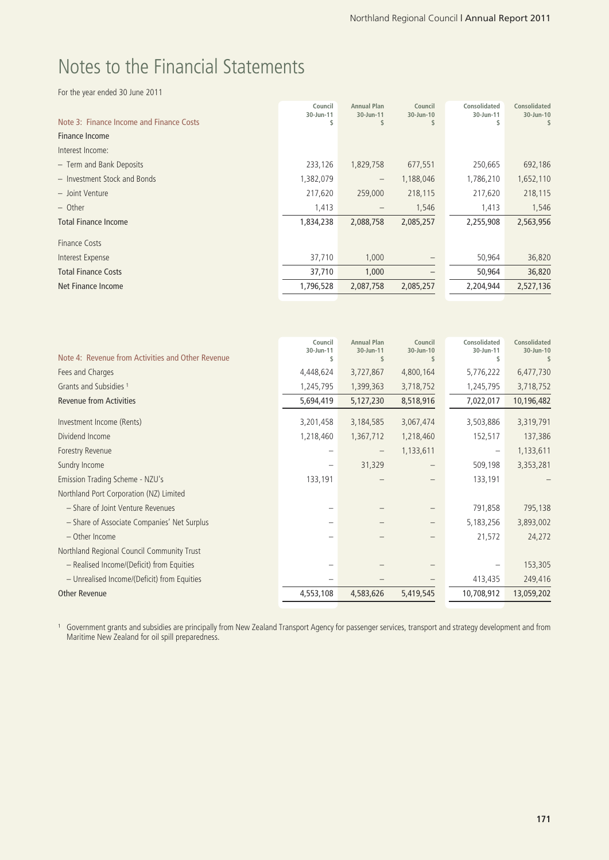For the year ended 30 June 2011

|                                          | Council   | <b>Annual Plan</b> | Council           | Consolidated | Consolidated |
|------------------------------------------|-----------|--------------------|-------------------|--------------|--------------|
| Note 3: Finance Income and Finance Costs | 30-Jun-11 | 30-Jun-11          | 30-Jun-10         | 30-Jun-11    | 30-Jun-10    |
|                                          |           |                    |                   |              |              |
| Finance Income                           |           |                    |                   |              |              |
| Interest Income:                         |           |                    |                   |              |              |
| - Term and Bank Deposits                 | 233,126   | 1,829,758          | 677,551           | 250,665      | 692,186      |
| - Investment Stock and Bonds             | 1,382,079 | $\qquad \qquad -$  | 1,188,046         | 1,786,210    | 1,652,110    |
| - Joint Venture                          | 217,620   | 259,000            | 218,115           | 217,620      | 218,115      |
| $-$ Other                                | 1,413     |                    | 1,546             | 1,413        | 1,546        |
| <b>Total Finance Income</b>              | 1,834,238 | 2,088,758          | 2,085,257         | 2,255,908    | 2,563,956    |
|                                          |           |                    |                   |              |              |
| <b>Finance Costs</b>                     |           |                    |                   |              |              |
| Interest Expense                         | 37,710    | 1,000              | $\qquad \qquad -$ | 50,964       | 36,820       |
| <b>Total Finance Costs</b>               | 37,710    | 1,000              | -                 | 50,964       | 36,820       |
| Net Finance Income                       | 1,796,528 | 2,087,758          | 2,085,257         | 2,204,944    | 2,527,136    |

| Note 4: Revenue from Activities and Other Revenue | Council<br>30-Jun-11<br>\$ | <b>Annual Plan</b><br>30-Jun-11<br>\$ | Council<br>30-Jun-10<br>\$ | Consolidated<br>30-Jun-11<br>\$ | Consolidated<br>30-Jun-10<br>\$ |
|---------------------------------------------------|----------------------------|---------------------------------------|----------------------------|---------------------------------|---------------------------------|
| Fees and Charges                                  | 4,448,624                  | 3,727,867                             | 4,800,164                  | 5,776,222                       | 6,477,730                       |
| Grants and Subsidies <sup>1</sup>                 | 1,245,795                  | 1,399,363                             | 3,718,752                  | 1,245,795                       | 3,718,752                       |
| <b>Revenue from Activities</b>                    | 5,694,419                  | 5,127,230                             | 8,518,916                  | 7,022,017                       | 10,196,482                      |
| Investment Income (Rents)                         | 3,201,458                  | 3,184,585                             | 3,067,474                  | 3,503,886                       | 3,319,791                       |
| Dividend Income                                   | 1,218,460                  | 1,367,712                             | 1,218,460                  | 152,517                         | 137,386                         |
| Forestry Revenue                                  |                            |                                       | 1,133,611                  | $\overline{\phantom{m}}$        | 1,133,611                       |
| Sundry Income                                     |                            | 31,329                                |                            | 509,198                         | 3,353,281                       |
| Emission Trading Scheme - NZU's                   | 133,191                    |                                       |                            | 133,191                         |                                 |
| Northland Port Corporation (NZ) Limited           |                            |                                       |                            |                                 |                                 |
| - Share of Joint Venture Revenues                 |                            |                                       |                            | 791,858                         | 795,138                         |
| - Share of Associate Companies' Net Surplus       |                            |                                       |                            | 5,183,256                       | 3,893,002                       |
| $-$ Other Income                                  |                            |                                       |                            | 21,572                          | 24,272                          |
| Northland Regional Council Community Trust        |                            |                                       |                            |                                 |                                 |
| - Realised Income/(Deficit) from Equities         |                            |                                       |                            |                                 | 153,305                         |
| - Unrealised Income/(Deficit) from Equities       |                            |                                       |                            | 413,435                         | 249,416                         |
| <b>Other Revenue</b>                              | 4,553,108                  | 4,583,626                             | 5,419,545                  | 10,708,912                      | 13,059,202                      |

 $^{\rm 1}$  Government grants and subsidies are principally from New Zealand Transport Agency for passenger services, transport and strategy development and from Maritime New Zealand for oil spill preparedness.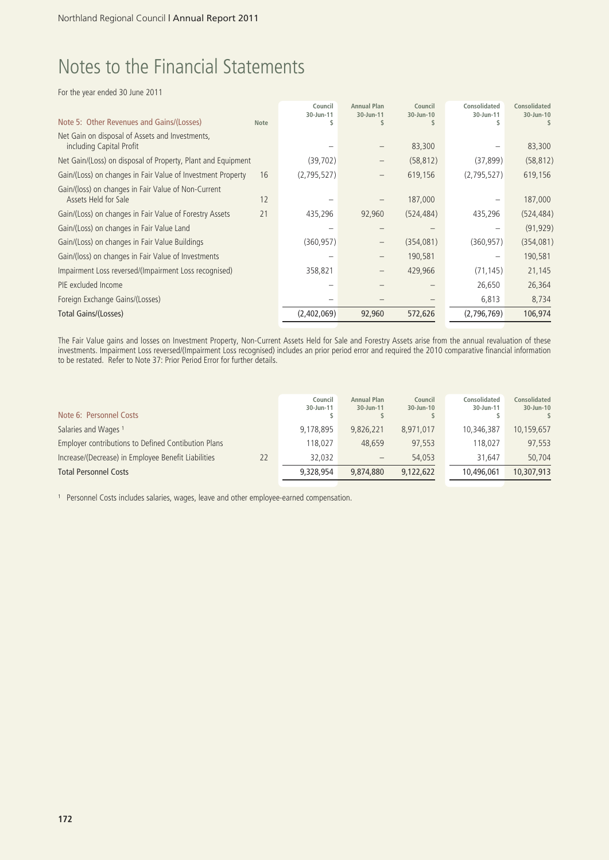For the year ended 30 June 2011

|                                                              |      | Council     | <b>Annual Plan</b> | Council    | Consolidated             | Consolidated |
|--------------------------------------------------------------|------|-------------|--------------------|------------|--------------------------|--------------|
|                                                              |      | 30-Jun-11   | 30-Jun-11          | 30-Jun-10  | 30-Jun-11                | 30-Jun-10    |
| Note 5: Other Revenues and Gains/(Losses)                    | Note | ፍ           |                    |            |                          |              |
| Net Gain on disposal of Assets and Investments,              |      |             |                    |            |                          |              |
| including Capital Profit                                     |      |             |                    | 83,300     |                          | 83,300       |
| Net Gain/(Loss) on disposal of Property, Plant and Equipment |      | (39, 702)   | $\qquad \qquad -$  | (58, 812)  | (37,899)                 | (58, 812)    |
| Gain/(Loss) on changes in Fair Value of Investment Property  | 16   | (2,795,527) |                    | 619,156    | (2,795,527)              | 619,156      |
| Gain/(loss) on changes in Fair Value of Non-Current          |      |             |                    |            |                          |              |
| Assets Held for Sale                                         | 12   |             |                    | 187,000    |                          | 187,000      |
| Gain/(Loss) on changes in Fair Value of Forestry Assets      | 21   | 435,296     | 92,960             | (524, 484) | 435,296                  | (524, 484)   |
| Gain/(Loss) on changes in Fair Value Land                    |      | -           |                    |            | $\overline{\phantom{0}}$ | (91, 929)    |
| Gain/(Loss) on changes in Fair Value Buildings               |      | (360, 957)  |                    | (354, 081) | (360, 957)               | (354,081)    |
| Gain/(loss) on changes in Fair Value of Investments          |      | -           |                    | 190,581    | $\overline{\phantom{m}}$ | 190,581      |
| Impairment Loss reversed/(Impairment Loss recognised)        |      | 358,821     |                    | 429,966    | (71, 145)                | 21,145       |
| PIE excluded Income                                          |      |             |                    |            | 26,650                   | 26,364       |
| Foreign Exchange Gains/(Losses)                              |      |             |                    |            | 6,813                    | 8,734        |
| <b>Total Gains/(Losses)</b>                                  |      | (2,402,069) | 92,960             | 572,626    | (2,796,769)              | 106,974      |

The Fair Value gains and losses on Investment Property, Non-Current Assets Held for Sale and Forestry Assets arise from the annual revaluation of these investments. Impairment Loss reversed/(Impairment Loss recognised) includes an prior period error and required the 2010 comparative financial information to be restated. Refer to Note 37: Prior Period Error for further details.

| Note 6: Personnel Costs                                   | Council<br>30-Jun-11 | <b>Annual Plan</b><br>30-Jun-11 | Council<br>30-Jun-10 | Consolidated<br>30-Jun-11 | Consolidated<br>30-Jun-10 |
|-----------------------------------------------------------|----------------------|---------------------------------|----------------------|---------------------------|---------------------------|
| Salaries and Wages <sup>1</sup>                           | 9,178,895            | 9.826.221                       | 8.971.017            | 10,346,387                | 10,159,657                |
| Employer contributions to Defined Contibution Plans       | 118.027              | 48.659                          | 97.553               | 118.027                   | 97,553                    |
| Increase/(Decrease) in Employee Benefit Liabilities<br>22 | 32.032               |                                 | 54,053               | 31.647                    | 50,704                    |
| <b>Total Personnel Costs</b>                              | 9,328,954            | 9,874,880                       | 9,122,622            | 10,496,061                | 10,307,913                |

<sup>1</sup> Personnel Costs includes salaries, wages, leave and other employee-earned compensation.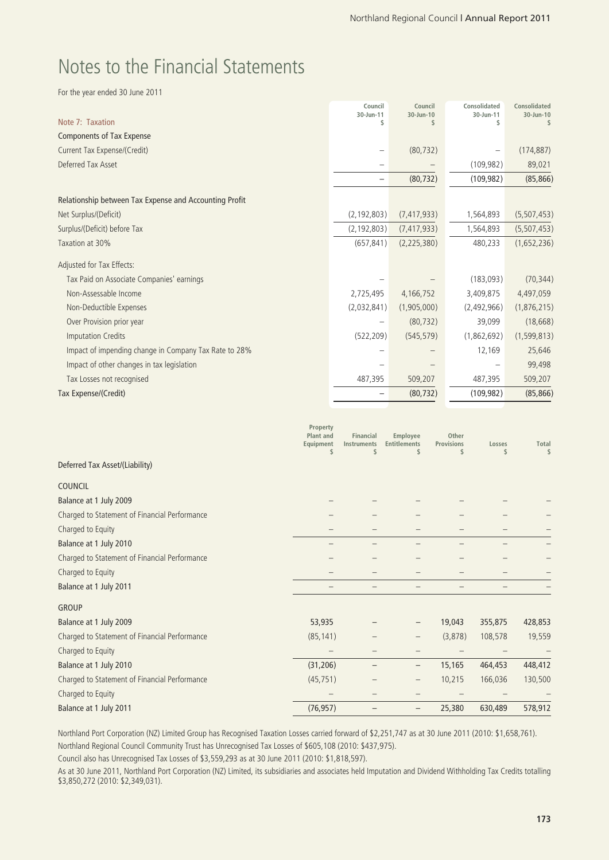For the year ended 30 June 2011

|                                                        | Council         | Council        | Consolidated             | Consolidated  |
|--------------------------------------------------------|-----------------|----------------|--------------------------|---------------|
| Note 7: Taxation                                       | 30-Jun-11<br>\$ | 30-Jun-10<br>S | 30-Jun-11<br>\$          | 30-Jun-10     |
| <b>Components of Tax Expense</b>                       |                 |                |                          |               |
| Current Tax Expense/(Credit)                           |                 | (80, 732)      | $\overline{\phantom{m}}$ | (174, 887)    |
| Deferred Tax Asset                                     |                 |                | (109, 982)               | 89,021        |
|                                                        |                 | (80, 732)      | (109, 982)               | (85, 866)     |
| Relationship between Tax Expense and Accounting Profit |                 |                |                          |               |
| Net Surplus/(Deficit)                                  | (2, 192, 803)   | (7, 417, 933)  | 1,564,893                | (5,507,453)   |
| Surplus/(Deficit) before Tax                           | (2, 192, 803)   | (7, 417, 933)  | 1,564,893                | (5,507,453)   |
| Taxation at 30%                                        | (657, 841)      | (2, 225, 380)  | 480,233                  | (1,652,236)   |
| Adjusted for Tax Effects:                              |                 |                |                          |               |
| Tax Paid on Associate Companies' earnings              |                 |                | (183,093)                | (70, 344)     |
| Non-Assessable Income                                  | 2,725,495       | 4,166,752      | 3,409,875                | 4,497,059     |
| Non-Deductible Expenses                                | (2,032,841)     | (1,905,000)    | (2,492,966)              | (1,876,215)   |
| Over Provision prior year                              |                 | (80, 732)      | 39,099                   | (18, 668)     |
| <b>Imputation Credits</b>                              | (522, 209)      | (545, 579)     | (1,862,692)              | (1, 599, 813) |
| Impact of impending change in Company Tax Rate to 28%  |                 |                | 12,169                   | 25,646        |
| Impact of other changes in tax legislation             |                 |                |                          | 99,498        |
| Tax Losses not recognised                              | 487,395         | 509,207        | 487,395                  | 509,207       |
| Tax Expense/(Credit)                                   |                 | (80, 732)      | (109, 982)               | (85, 866)     |

|                                               | Property<br><b>Plant and</b><br>Equipment<br>\$ | Financial<br>Instruments<br>\$ | Employee<br><b>Entitlements</b><br>\$ | Other<br><b>Provisions</b><br>\$ | Losses<br>\$ | Total<br>\$ |
|-----------------------------------------------|-------------------------------------------------|--------------------------------|---------------------------------------|----------------------------------|--------------|-------------|
| Deferred Tax Asset/(Liability)                |                                                 |                                |                                       |                                  |              |             |
| <b>COUNCIL</b>                                |                                                 |                                |                                       |                                  |              |             |
| Balance at 1 July 2009                        |                                                 |                                |                                       |                                  |              |             |
| Charged to Statement of Financial Performance |                                                 |                                |                                       |                                  |              |             |
| Charged to Equity                             |                                                 |                                |                                       |                                  |              |             |
| Balance at 1 July 2010                        |                                                 |                                |                                       |                                  |              |             |
| Charged to Statement of Financial Performance |                                                 |                                |                                       |                                  |              |             |
| Charged to Equity                             |                                                 |                                |                                       |                                  |              |             |
| Balance at 1 July 2011                        |                                                 |                                |                                       |                                  |              |             |
| <b>GROUP</b>                                  |                                                 |                                |                                       |                                  |              |             |
| Balance at 1 July 2009                        | 53,935                                          |                                |                                       | 19,043                           | 355,875      | 428,853     |
| Charged to Statement of Financial Performance | (85, 141)                                       |                                |                                       | (3,878)                          | 108,578      | 19,559      |
| Charged to Equity                             | -                                               |                                |                                       |                                  |              |             |
| Balance at 1 July 2010                        | (31, 206)                                       |                                | -                                     | 15,165                           | 464,453      | 448,412     |
| Charged to Statement of Financial Performance | (45, 751)                                       |                                | —                                     | 10,215                           | 166,036      | 130,500     |
| Charged to Equity                             |                                                 |                                |                                       |                                  |              |             |
| Balance at 1 July 2011                        | (76, 957)                                       |                                | —                                     | 25,380                           | 630,489      | 578,912     |

Northland Port Corporation (NZ) Limited Group has Recognised Taxation Losses carried forward of \$2,251,747 as at 30 June 2011 (2010: \$1,658,761). Northland Regional Council Community Trust has Unrecognised Tax Losses of \$605,108 (2010: \$437,975).

Council also has Unrecognised Tax Losses of \$3,559,293 as at 30 June 2011 (2010: \$1,818,597).

As at 30 June 2011, Northland Port Corporation (NZ) Limited, its subsidiaries and associates held Imputation and Dividend Withholding Tax Credits totalling \$3,850,272 (2010: \$2,349,031).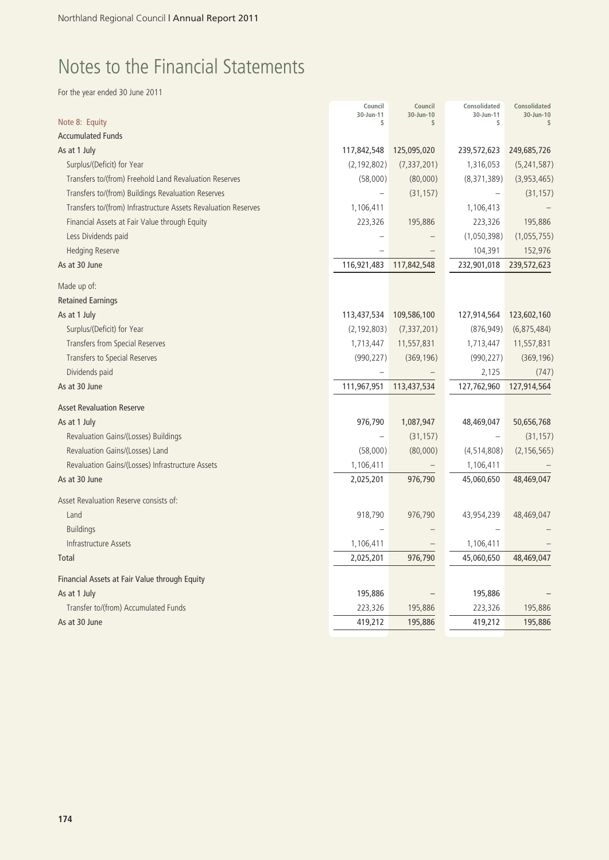|                                                                | Council<br>30-Jun-11 | Council<br>30-Jun-10 | Consolidated<br>30-Jun-11 | Consolidated<br>30-Jun-10 |
|----------------------------------------------------------------|----------------------|----------------------|---------------------------|---------------------------|
| Note 8: Equity                                                 | \$                   | \$                   | \$                        | \$                        |
| <b>Accumulated Funds</b>                                       |                      |                      |                           |                           |
| As at 1 July                                                   | 117,842,548          | 125,095,020          | 239,572,623               | 249,685,726               |
| Surplus/(Deficit) for Year                                     | (2, 192, 802)        | (7, 337, 201)        | 1,316,053                 | (5, 241, 587)             |
| Transfers to/(from) Freehold Land Revaluation Reserves         | (58,000)             | (80,000)             | (8,371,389)               | (3,953,465)               |
| Transfers to/(from) Buildings Revaluation Reserves             |                      | (31, 157)            |                           | (31, 157)                 |
| Transfers to/(from) Infrastructure Assets Revaluation Reserves | 1,106,411            |                      | 1,106,413                 |                           |
| Financial Assets at Fair Value through Equity                  | 223,326              | 195,886              | 223,326                   | 195,886                   |
| Less Dividends paid                                            |                      |                      | (1,050,398)               | (1,055,755)               |
| <b>Hedging Reserve</b>                                         |                      |                      | 104,391                   | 152,976                   |
| As at 30 June                                                  | 116,921,483          | 117,842,548          | 232,901,018               | 239,572,623               |
| Made up of:                                                    |                      |                      |                           |                           |
| <b>Retained Earnings</b>                                       |                      |                      |                           |                           |
| As at 1 July                                                   | 113,437,534          | 109,586,100          | 127,914,564               | 123,602,160               |
| Surplus/(Deficit) for Year                                     | (2, 192, 803)        | (7, 337, 201)        | (876, 949)                | (6,875,484)               |
| <b>Transfers from Special Reserves</b>                         | 1,713,447            | 11,557,831           | 1,713,447                 | 11,557,831                |
| Transfers to Special Reserves                                  | (990, 227)           | (369, 196)           | (990, 227)                | (369, 196)                |
| Dividends paid                                                 |                      |                      | 2,125                     | (747)                     |
| As at 30 June                                                  | 111,967,951          | 113,437,534          | 127,762,960               | 127,914,564               |
| <b>Asset Revaluation Reserve</b>                               |                      |                      |                           |                           |
| As at 1 July                                                   | 976,790              | 1,087,947            | 48,469,047                | 50,656,768                |
| Revaluation Gains/(Losses) Buildings                           |                      | (31, 157)            |                           | (31, 157)                 |
| Revaluation Gains/(Losses) Land                                | (58,000)             | (80,000)             | (4, 514, 808)             | (2, 156, 565)             |
| Revaluation Gains/(Losses) Infrastructure Assets               | 1,106,411            |                      | 1,106,411                 |                           |
| As at 30 June                                                  | 2,025,201            | 976,790              | 45,060,650                | 48,469,047                |
| Asset Revaluation Reserve consists of:                         |                      |                      |                           |                           |
| Land                                                           | 918,790              | 976,790              | 43,954,239                | 48,469,047                |
| <b>Buildings</b>                                               |                      |                      |                           |                           |
| Infrastructure Assets                                          | 1,106,411            |                      | 1,106,411                 |                           |
| Total                                                          | 2,025,201            | 976,790              | 45,060,650                | 48,469,047                |
| Financial Assets at Fair Value through Equity                  |                      |                      |                           |                           |
| As at 1 July                                                   | 195,886              |                      | 195,886                   |                           |
| Transfer to/(from) Accumulated Funds                           | 223,326              | 195,886              | 223,326                   | 195,886                   |
| As at 30 June                                                  | 419,212              | 195,886              | 419,212                   | 195,886                   |
|                                                                |                      |                      |                           |                           |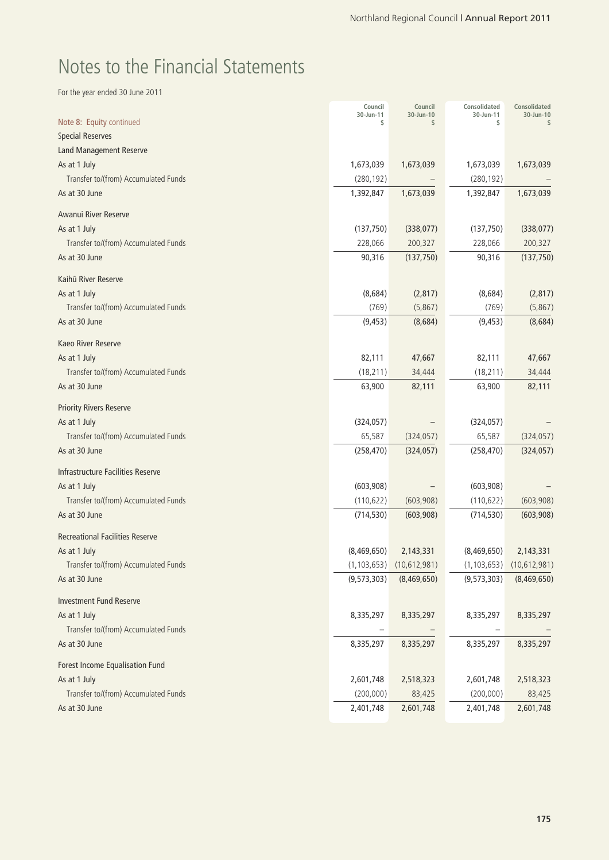|                                          | Council<br>30-Jun-11 | Council<br>30-Jun-10 | Consolidated<br>30-Jun-11 | Consolidated<br>30-Jun-10 |
|------------------------------------------|----------------------|----------------------|---------------------------|---------------------------|
| Note 8: Equity continued                 | \$                   | \$                   | \$                        | \$                        |
| <b>Special Reserves</b>                  |                      |                      |                           |                           |
| <b>Land Management Reserve</b>           |                      |                      |                           |                           |
| As at 1 July                             | 1,673,039            | 1,673,039            | 1,673,039                 | 1,673,039                 |
| Transfer to/(from) Accumulated Funds     | (280, 192)           |                      | (280, 192)                |                           |
| As at 30 June                            | 1,392,847            | 1,673,039            | 1,392,847                 | 1,673,039                 |
| Awanui River Reserve                     |                      |                      |                           |                           |
| As at 1 July                             | (137, 750)           | (338, 077)           | (137,750)                 | (338, 077)                |
| Transfer to/(from) Accumulated Funds     | 228,066              | 200,327              | 228,066                   | 200,327                   |
| As at 30 June                            | 90,316               | (137, 750)           | 90,316                    | (137, 750)                |
| Kaihū River Reserve                      |                      |                      |                           |                           |
| As at 1 July                             | (8,684)              | (2, 817)             | (8,684)                   | (2, 817)                  |
| Transfer to/(from) Accumulated Funds     | (769)                | (5,867)              | (769)                     | (5,867)                   |
| As at 30 June                            | (9, 453)             | (8,684)              | (9, 453)                  | (8,684)                   |
| Kaeo River Reserve                       |                      |                      |                           |                           |
| As at 1 July                             | 82,111               | 47,667               | 82,111                    | 47,667                    |
| Transfer to/(from) Accumulated Funds     | (18, 211)            | 34,444               | (18, 211)                 | 34,444                    |
| As at 30 June                            | 63,900               | 82,111               | 63,900                    | 82,111                    |
| <b>Priority Rivers Reserve</b>           |                      |                      |                           |                           |
| As at 1 July                             | (324, 057)           |                      | (324, 057)                |                           |
| Transfer to/(from) Accumulated Funds     | 65,587               | (324, 057)           | 65,587                    | (324, 057)                |
| As at 30 June                            | (258, 470)           | (324, 057)           | (258, 470)                | (324, 057)                |
| <b>Infrastructure Facilities Reserve</b> |                      |                      |                           |                           |
| As at 1 July                             | (603,908)            |                      | (603,908)                 |                           |
| Transfer to/(from) Accumulated Funds     | (110, 622)           | (603,908)            | (110, 622)                | (603,908)                 |
| As at 30 June                            | (714, 530)           | (603,908)            | (714, 530)                | (603,908)                 |
| <b>Recreational Facilities Reserve</b>   |                      |                      |                           |                           |
| As at 1 July                             | (8,469,650)          | 2,143,331            | (8,469,650)               | 2,143,331                 |
| Transfer to/(from) Accumulated Funds     | (1, 103, 653)        | (10, 612, 981)       | (1, 103, 653)             | (10,612,981)              |
| As at 30 June                            | (9, 573, 303)        | (8,469,650)          | (9,573,303)               | (8,469,650)               |
| <b>Investment Fund Reserve</b>           |                      |                      |                           |                           |
| As at 1 July                             | 8,335,297            | 8,335,297            | 8,335,297                 | 8,335,297                 |
| Transfer to/(from) Accumulated Funds     |                      |                      |                           |                           |
| As at 30 June                            | 8,335,297            | 8,335,297            | 8,335,297                 | 8,335,297                 |
| <b>Forest Income Equalisation Fund</b>   |                      |                      |                           |                           |
| As at 1 July                             | 2,601,748            | 2,518,323            | 2,601,748                 | 2,518,323                 |
| Transfer to/(from) Accumulated Funds     | (200,000)            | 83,425               | (200,000)                 | 83,425                    |
| As at 30 June                            | 2,401,748            | 2,601,748            | 2,401,748                 | 2,601,748                 |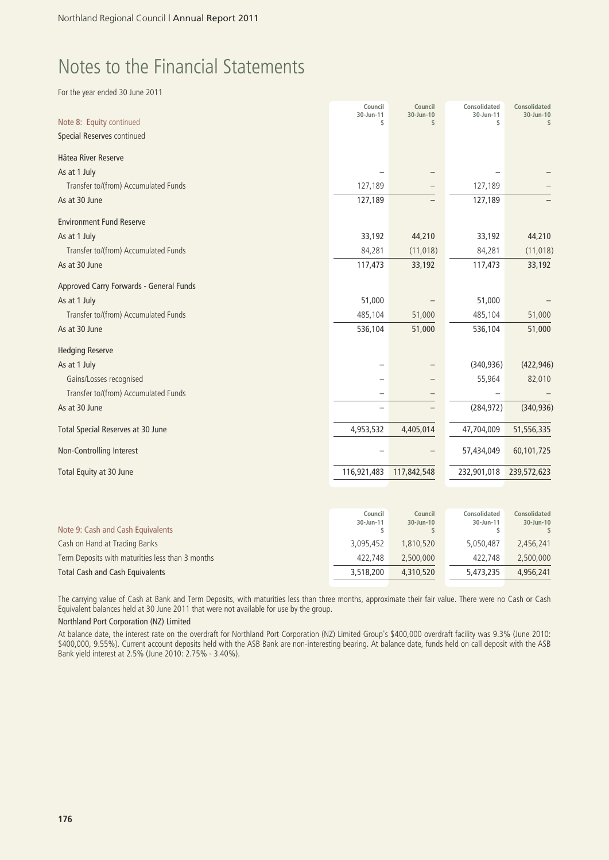For the year ended 30 June 2011

| Note 8: Equity continued<br>Special Reserves continued | Council<br>30-Jun-11<br>\$ | Council<br>30-Jun-10<br>\$ | Consolidated<br>30-Jun-11<br>\$ | Consolidated<br>30-Jun-10<br>$\mathcal{L}$ |
|--------------------------------------------------------|----------------------------|----------------------------|---------------------------------|--------------------------------------------|
| Hātea River Reserve                                    |                            |                            |                                 |                                            |
| As at 1 July                                           |                            |                            |                                 |                                            |
| Transfer to/(from) Accumulated Funds                   | 127,189                    |                            | 127,189                         |                                            |
| As at 30 June                                          | 127,189                    |                            | 127,189                         |                                            |
| <b>Environment Fund Reserve</b>                        |                            |                            |                                 |                                            |
| As at 1 July                                           | 33,192                     | 44,210                     | 33,192                          | 44,210                                     |
| Transfer to/(from) Accumulated Funds                   | 84,281                     | (11, 018)                  | 84,281                          | (11, 018)                                  |
| As at 30 June                                          | 117,473                    | 33,192                     | 117,473                         | 33,192                                     |
| <b>Approved Carry Forwards - General Funds</b>         |                            |                            |                                 |                                            |
| As at 1 July                                           | 51,000                     |                            | 51,000                          |                                            |
| Transfer to/(from) Accumulated Funds                   | 485,104                    | 51,000                     | 485,104                         | 51,000                                     |
| As at 30 June                                          | 536,104                    | 51,000                     | 536,104                         | 51,000                                     |
| <b>Hedging Reserve</b>                                 |                            |                            |                                 |                                            |
| As at 1 July                                           |                            |                            | (340, 936)                      | (422, 946)                                 |
| Gains/Losses recognised                                |                            |                            | 55,964                          | 82,010                                     |
| Transfer to/(from) Accumulated Funds                   |                            |                            |                                 |                                            |
| As at 30 June                                          |                            |                            | (284, 972)                      | (340, 936)                                 |
| <b>Total Special Reserves at 30 June</b>               | 4,953,532                  | 4,405,014                  | 47,704,009                      | 51,556,335                                 |
| Non-Controlling Interest                               |                            |                            | 57,434,049                      | 60,101,725                                 |
| Total Equity at 30 June                                | 116,921,483                | 117,842,548                | 232,901,018                     | 239,572,623                                |
|                                                        |                            |                            |                                 |                                            |
|                                                        | Council<br>30-Jun-11       | Council<br>30-Jun-10       | Consolidated<br>30-Jun-11       | Consolidated<br>30-Jun-10                  |
| Note 9: Cash and Cash Equivalents                      | \$                         | \$                         | \$                              | \$                                         |
| Cash on Hand at Trading Banks                          | 3,095,452                  | 1,810,520                  | 5,050,487                       | 2,456,241                                  |
| Term Deposits with maturities less than 3 months       | 422,748                    | 2,500,000                  | 422,748                         | 2,500,000                                  |
| <b>Total Cash and Cash Equivalents</b>                 | 3,518,200                  | 4,310,520                  | 5,473,235                       | 4,956,241                                  |

The carrying value of Cash at Bank and Term Deposits, with maturities less than three months, approximate their fair value. There were no Cash or Cash Equivalent balances held at 30 June 2011 that were not available for use by the group.

Northland Port Corporation (NZ) Limited

At balance date, the interest rate on the overdraft for Northland Port Corporation (NZ) Limited Group's \$400,000 overdraft facility was 9.3% (June 2010: \$400,000, 9.55%). Current account deposits held with the ASB Bank are non-interesting bearing. At balance date, funds held on call deposit with the ASB Bank yield interest at 2.5% (June 2010: 2.75% - 3.40%).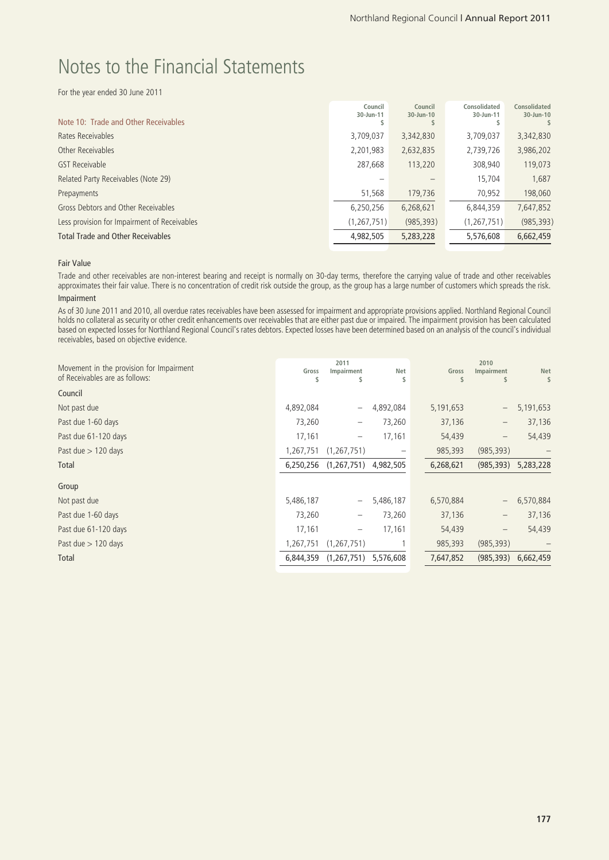For the year ended 30 June 2011

|                                              | Council       | Council    | Consolidated  | Consolidated |
|----------------------------------------------|---------------|------------|---------------|--------------|
|                                              | 30-Jun-11     | 30-Jun-10  | 30-Jun-11     | 30-Jun-10    |
| Note 10: Trade and Other Receivables         |               |            |               |              |
| Rates Receivables                            | 3,709,037     | 3,342,830  | 3,709,037     | 3,342,830    |
| Other Receivables                            | 2,201,983     | 2,632,835  | 2,739,726     | 3,986,202    |
| <b>GST Receivable</b>                        | 287.668       | 113,220    | 308,940       | 119,073      |
| Related Party Receivables (Note 29)          |               |            | 15,704        | 1,687        |
| Prepayments                                  | 51,568        | 179,736    | 70,952        | 198,060      |
| Gross Debtors and Other Receivables          | 6,250,256     | 6,268,621  | 6,844,359     | 7,647,852    |
| Less provision for Impairment of Receivables | (1, 267, 751) | (985, 393) | (1, 267, 751) | (985, 393)   |
| <b>Total Trade and Other Receivables</b>     | 4,982,505     | 5,283,228  | 5,576,608     | 6,662,459    |

### Fair Value

Trade and other receivables are non-interest bearing and receipt is normally on 30-day terms, therefore the carrying value of trade and other receivables approximates their fair value. There is no concentration of credit risk outside the group, as the group has a large number of customers which spreads the risk. Impairment

As of 30 June 2011 and 2010, all overdue rates receivables have been assessed for impairment and appropriate provisions applied. Northland Regional Council holds no collateral as security or other credit enhancements over receivables that are either past due or impaired. The impairment provision has been calculated based on expected losses for Northland Regional Council's rates debtors. Expected losses have been determined based on an analysis of the council's individual receivables, based on objective evidence.

| Movement in the provision for Impairment<br>of Receivables are as follows: | Gross<br>\$ | 2011<br>Impairment       | Net<br>\$                | Gross     | 2010<br>Impairment       | Net<br>\$ |
|----------------------------------------------------------------------------|-------------|--------------------------|--------------------------|-----------|--------------------------|-----------|
| Council                                                                    |             |                          |                          |           |                          |           |
| Not past due                                                               | 4,892,084   | $\qquad \qquad -$        | 4,892,084                | 5,191,653 | $\qquad \qquad -$        | 5,191,653 |
| Past due 1-60 days                                                         | 73,260      | $\qquad \qquad -$        | 73,260                   | 37,136    | $\overline{\phantom{m}}$ | 37,136    |
| Past due 61-120 days                                                       | 17,161      | $\qquad \qquad -$        | 17,161                   | 54,439    | $\overline{\phantom{m}}$ | 54,439    |
| Past due $> 120$ days                                                      | 1,267,751   | (1, 267, 751)            | $\overline{\phantom{m}}$ | 985,393   | (985, 393)               |           |
| Total                                                                      | 6,250,256   | (1, 267, 751)            | 4,982,505                | 6,268,621 | (985, 393)               | 5,283,228 |
| Group                                                                      |             |                          |                          |           |                          |           |
| Not past due                                                               | 5,486,187   | $\overline{\phantom{m}}$ | 5,486,187                | 6,570,884 | $\overline{\phantom{m}}$ | 6,570,884 |
| Past due 1-60 days                                                         | 73,260      | $\qquad \qquad -$        | 73,260                   | 37,136    | $\overline{\phantom{m}}$ | 37,136    |
| Past due 61-120 days                                                       | 17,161      | $\qquad \qquad -$        | 17,161                   | 54,439    | $\qquad \qquad -$        | 54,439    |
| Past due $> 120$ days                                                      | 1,267,751   | (1, 267, 751)            |                          | 985,393   | (985, 393)               |           |
| Total                                                                      | 6,844,359   | (1, 267, 751)            | 5,576,608                | 7,647,852 | (985, 393)               | 6,662,459 |
|                                                                            |             |                          |                          |           |                          |           |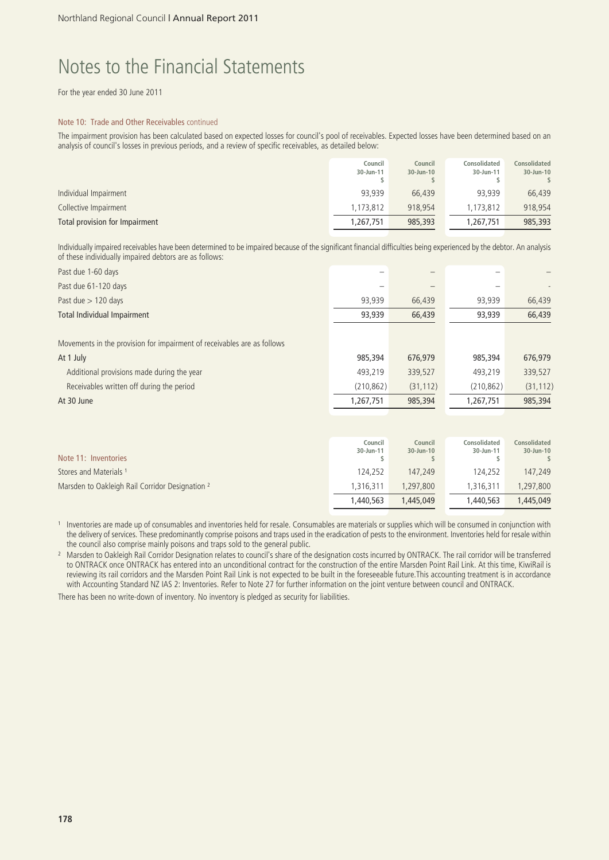For the year ended 30 June 2011

### Note 10: Trade and Other Receivables continued

The impairment provision has been calculated based on expected losses for council's pool of receivables. Expected losses have been determined based on an analysis of council's losses in previous periods, and a review of specific receivables, as detailed below:

|                                | Council<br>30-Jun-11 | Council<br>30-Jun-10 | Consolidated<br>30-Jun-11 | Consolidated<br>30-Jun-10 |
|--------------------------------|----------------------|----------------------|---------------------------|---------------------------|
| Individual Impairment          | 93.939               | 66.439               | 93.939                    | 66,439                    |
| Collective Impairment          | 1.173.812            | 918.954              | 1,173,812                 | 918,954                   |
| Total provision for Impairment | 1,267,751            | 985,393              | 1,267,751                 | 985,393                   |

Individually impaired receivables have been determined to be impaired because of the significant financial difficulties being experienced by the debtor. An analysis of these individually impaired debtors are as follows:

| Past due 1-60 days                                                      |                 |                |                |                            |
|-------------------------------------------------------------------------|-----------------|----------------|----------------|----------------------------|
| Past due 61-120 days                                                    |                 |                |                |                            |
| Past due $> 120$ days                                                   | 93,939          | 66,439         | 93,939         | 66,439                     |
| <b>Total Individual Impairment</b>                                      | 93,939          | 66,439         | 93,939         | 66,439                     |
|                                                                         |                 |                |                |                            |
| Movements in the provision for impairment of receivables are as follows |                 |                |                |                            |
| At 1 July                                                               | 985,394         | 676,979        | 985,394        | 676,979                    |
| Additional provisions made during the year                              | 493,219         | 339,527        | 493,219        | 339,527                    |
| Receivables written off during the period                               | (210, 862)      | (31, 112)      | (210, 862)     | (31, 112)                  |
| At 30 June                                                              | 1,267,751       | 985,394        | 1,267,751      | 985,394                    |
|                                                                         |                 |                |                |                            |
|                                                                         |                 |                |                |                            |
|                                                                         | Council         | Council        | Consolidated   | Consolidated               |
| Note 11: Inventories                                                    | 30-Jun-11<br>\$ | 30-Jun-10<br>S | 30-Jun-11<br>ς | 30-Jun-10<br>$\mathcal{L}$ |
| Stores and Materials <sup>1</sup>                                       | 124,252         | 147,249        | 124,252        | 147,249                    |
| Marsden to Oakleigh Rail Corridor Designation <sup>2</sup>              | 1,316,311       | 1,297,800      | 1,316,311      | 1,297,800                  |
|                                                                         | 1,440,563       | 1,445,049      | 1,440,563      | 1,445,049                  |

<sup>1</sup> Inventories are made up of consumables and inventories held for resale. Consumables are materials or supplies which will be consumed in conjunction with the delivery of services. These predominantly comprise poisons and traps used in the eradication of pests to the environment. Inventories held for resale within the council also comprise mainly poisons and traps sold to the general public.

<sup>2</sup> Marsden to Oakleigh Rail Corridor Designation relates to council's share of the designation costs incurred by ONTRACK. The rail corridor will be transferred to ONTRACK once ONTRACK has entered into an unconditional contract for the construction of the entire Marsden Point Rail Link. At this time, KiwiRail is reviewing its rail corridors and the Marsden Point Rail Link is not expected to be built in the foreseeable future.This accounting treatment is in accordance with Accounting Standard NZ IAS 2: Inventories. Refer to Note 27 for further information on the joint venture between council and ONTRACK.

There has been no write-down of inventory. No inventory is pledged as security for liabilities.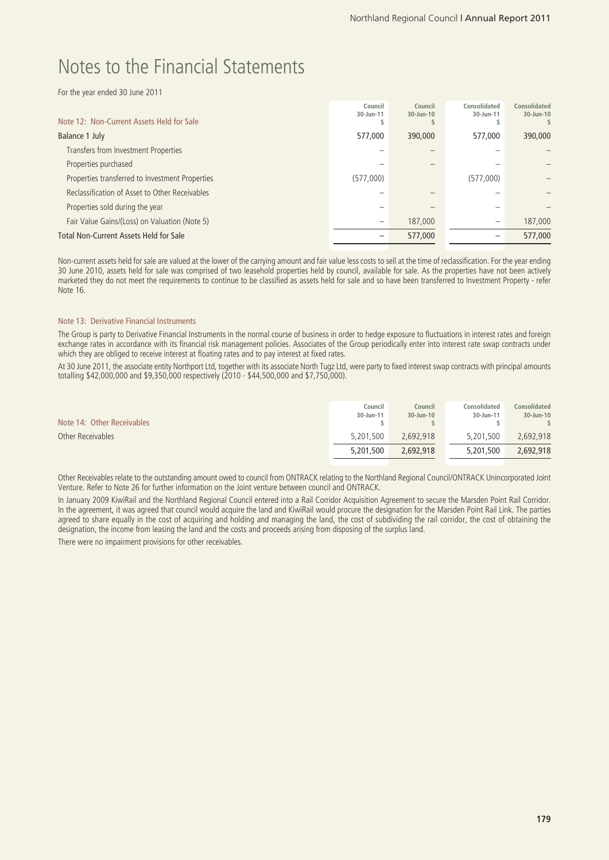For the year ended 30 June 2011

|                                                 | Council   | Council   | Consolidated             | Consolidated |
|-------------------------------------------------|-----------|-----------|--------------------------|--------------|
|                                                 | 30-Jun-11 | 30-Jun-10 | 30-Jun-11                | 30-Jun-10    |
| Note 12: Non-Current Assets Held for Sale       |           |           |                          |              |
| Balance 1 July                                  | 577,000   | 390,000   | 577,000                  | 390,000      |
| Transfers from Investment Properties            |           |           |                          |              |
| Properties purchased                            |           |           |                          |              |
| Properties transferred to Investment Properties | (577,000) |           | (577,000)                |              |
| Reclassification of Asset to Other Receivables  |           |           |                          |              |
| Properties sold during the year                 |           |           |                          |              |
| Fair Value Gains/(Loss) on Valuation (Note 5)   |           | 187,000   | $\overline{\phantom{0}}$ | 187,000      |
| <b>Total Non-Current Assets Held for Sale</b>   |           | 577,000   | -                        | 577,000      |

Non-current assets held for sale are valued at the lower of the carrying amount and fair value less costs to sell at the time of reclassification. For the year ending 30 June 2010, assets held for sale was comprised of two leasehold properties held by council, available for sale. As the properties have not been actively marketed they do not meet the requirements to continue to be classified as assets held for sale and so have been transferred to Investment Property - refer Note 16.

#### Note 13: Derivative Financial Instruments

The Group is party to Derivative Financial Instruments in the normal course of business in order to hedge exposure to fluctuations in interest rates and foreign exchange rates in accordance with its financial risk management policies. Associates of the Group periodically enter into interest rate swap contracts under which they are obliged to receive interest at floating rates and to pay interest at fixed rates.

At 30 June 2011, the associate entity Northport Ltd, together with its associate North Tugz Ltd, were party to fixed interest swap contracts with principal amounts totalling \$42,000,000 and \$9,350,000 respectively (2010 - \$44,500,000 and \$7,750,000).

| Note 14: Other Receivables | Council<br>30-Jun-11 | Council<br>30-Jun-10 | Consolidated<br>30-Jun-11 | Consolidated<br>30-Jun-10 |
|----------------------------|----------------------|----------------------|---------------------------|---------------------------|
| Other Receivables          | 5.201.500            | 2.692.918            | 5.201.500                 | 2,692,918                 |
|                            | 5,201,500            | 2,692,918            | 5,201,500                 | 2,692,918                 |
|                            |                      |                      |                           |                           |

Other Receivables relate to the outstanding amount owed to council from ONTRACK relating to the Northland Regional Council/ONTRACK Unincorporated Joint Venture. Refer to Note 26 for further information on the Joint venture between council and ONTRACK.

In January 2009 KiwiRail and the Northland Regional Council entered into a Rail Corridor Acquisition Agreement to secure the Marsden Point Rail Corridor. In the agreement, it was agreed that council would acquire the land and KiwiRail would procure the designation for the Marsden Point Rail Link. The parties agreed to share equally in the cost of acquiring and holding and managing the land, the cost of subdividing the rail corridor, the cost of obtaining the designation, the income from leasing the land and the costs and proceeds arising from disposing of the surplus land.

There were no impairment provisions for other receivables.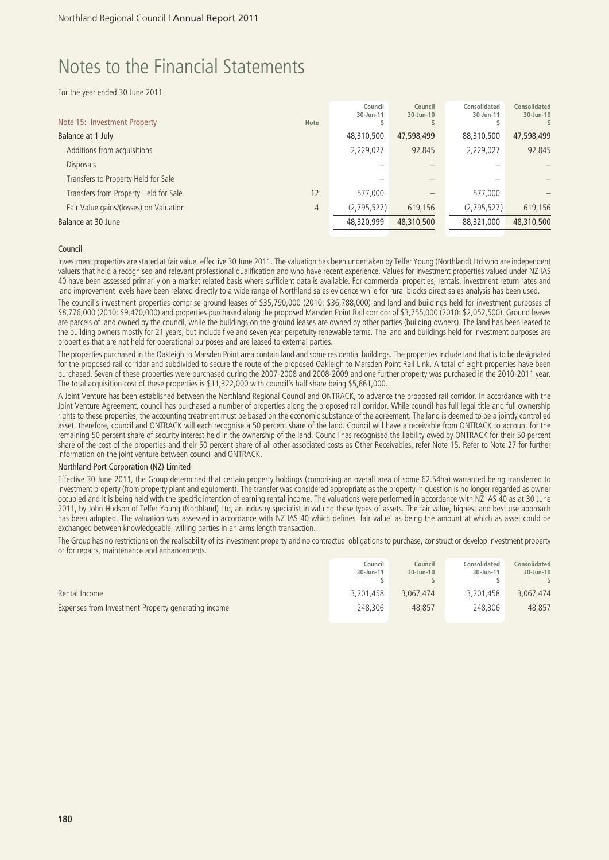For the year ended 30 June 2011

| Note 15: Investment Property           | <b>Note</b> | Council<br>30-Jun-11 | Council<br>30-Jun-10 | Consolidated<br>30-Jun-11 | Consolidated<br>30-Jun-10 |
|----------------------------------------|-------------|----------------------|----------------------|---------------------------|---------------------------|
| Balance at 1 July                      |             | 48,310,500           | 47,598,499           | 88,310,500                | 47,598,499                |
| Additions from acquisitions            |             | 2,229,027            | 92,845               | 2,229,027                 | 92,845                    |
| <b>Disposals</b>                       |             |                      |                      |                           |                           |
| Transfers to Property Held for Sale    |             |                      | -                    |                           |                           |
| Transfers from Property Held for Sale  | 12          | 577.000              |                      | 577.000                   |                           |
| Fair Value gains/(losses) on Valuation | 4           | (2,795,527)          | 619,156              | (2,795,527)               | 619,156                   |
| Balance at 30 June                     |             | 48,320,999           | 48,310,500           | 88,321,000                | 48,310,500                |

#### Council

Investment properties are stated at fair value, effective 30 June 2011. The valuation has been undertaken by Telfer Young (Northland) Ltd who are independent valuers that hold a recognised and relevant professional qualification and who have recent experience. Values for investment properties valued under NZ IAS 40 have been assessed primarily on a market related basis where sufficient data is available. For commercial properties, rentals, investment return rates and land improvement levels have been related directly to a wide range of Northland sales evidence while for rural blocks direct sales analysis has been used.

The council's investment properties comprise ground leases of \$35,790,000 (2010: \$36,788,000) and land and buildings held for investment purposes of \$8,776,000 (2010: \$9,470,000) and properties purchased along the proposed Marsden Point Rail corridor of \$3,755,000 (2010: \$2,052,500). Ground leases are parcels of land owned by the council, while the buildings on the ground leases are owned by other parties (building owners). The land has been leased to the building owners mostly for 21 years, but include five and seven year perpetuity renewable terms. The land and buildings held for investment purposes are properties that are not held for operational purposes and are leased to external parties.

The properties purchased in the Oakleigh to Marsden Point area contain land and some residential buildings. The properties include land that is to be designated for the proposed rail corridor and subdivided to secure the route of the proposed Oakleigh to Marsden Point Rail Link. A total of eight properties have been purchased. Seven of these properties were purchased during the 2007-2008 and 2008-2009 and one further property was purchased in the 2010-2011 year. The total acquisition cost of these properties is \$11,322,000 with council's half share being \$5,661,000.

A Joint Venture has been established between the Northland Regional Council and ONTRACK, to advance the proposed rail corridor. In accordance with the Joint Venture Agreement, council has purchased a number of properties along the proposed rail corridor. While council has full legal title and full ownership rights to these properties, the accounting treatment must be based on the economic substance of the agreement. The land is deemed to be a jointly controlled asset, therefore, council and ONTRACK will each recognise a 50 percent share of the land. Council will have a receivable from ONTRACK to account for the remaining 50 percent share of security interest held in the ownership of the land. Council has recognised the liability owed by ONTRACK for their 50 percent share of the cost of the properties and their 50 percent share of all other associated costs as Other Receivables, refer Note 15. Refer to Note 27 for further information on the joint venture between council and ONTRACK.

#### Northland Port Corporation (NZ) Limited

Effective 30 June 2011, the Group determined that certain property holdings (comprising an overall area of some 62.54ha) warranted being transferred to investment property (from property plant and equipment). The transfer was considered appropriate as the property in question is no longer regarded as owner occupied and it is being held with the specific intention of earning rental income. The valuations were performed in accordance with NZ IAS 40 as at 30 June 2011, by John Hudson of Telfer Young (Northland) Ltd, an industry specialist in valuing these types of assets. The fair value, highest and best use approach has been adopted. The valuation was assessed in accordance with NZ IAS 40 which defines 'fair value' as being the amount at which as asset could be exchanged between knowledgeable, willing parties in an arms length transaction.

The Group has no restrictions on the realisability of its investment property and no contractual obligations to purchase, construct or develop investment property or for repairs, maintenance and enhancements.

| Council<br>30-Jun-11 | Council<br>30-Jun-10 | Consolidated<br>30-Jun-11 | Consolidated<br>30-Jun-10 |
|----------------------|----------------------|---------------------------|---------------------------|
| 3.201.458            | 3.067.474            | 3.201.458                 | 3,067,474                 |
| 248.306              | 48.857               | 248.306                   | 48,857                    |
|                      |                      |                           |                           |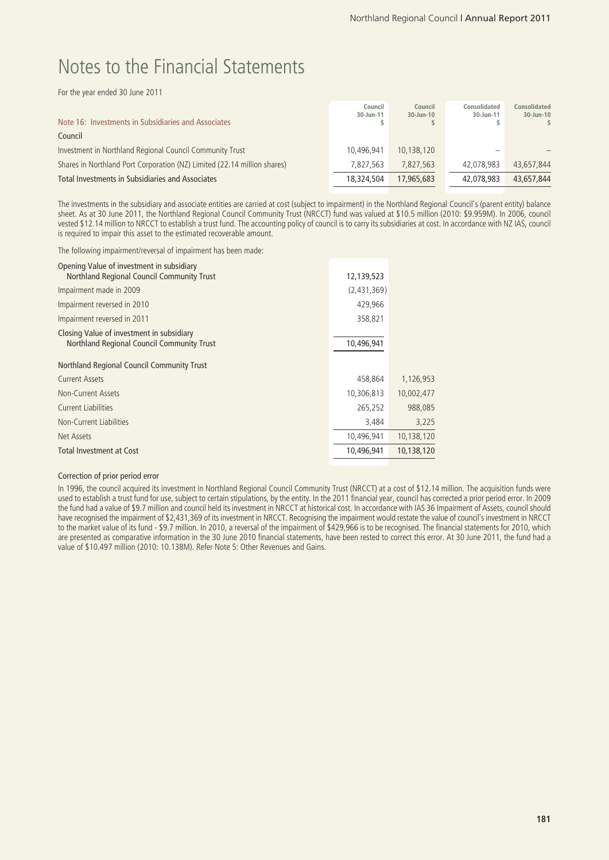For the year ended 30 June 2011

|                                                                          | Council<br>30-Jun-11 | Council<br>30-Jun-10 | Consolidated<br>30-Jun-11 | Consolidated<br>30-Jun-10 |
|--------------------------------------------------------------------------|----------------------|----------------------|---------------------------|---------------------------|
| Note 16: Investments in Subsidiaries and Associates                      |                      |                      |                           |                           |
| Council                                                                  |                      |                      |                           |                           |
| Investment in Northland Regional Council Community Trust                 | 10.496.941           | 10,138,120           |                           |                           |
| Shares in Northland Port Corporation (NZ) Limited (22.14 million shares) | 7.827.563            | 7.827.563            | 42.078.983                | 43,657,844                |
| Total Investments in Subsidiaries and Associates                         | 18,324,504           | 17,965,683           | 42,078,983                | 43,657,844                |

The investments in the subsidiary and associate entities are carried at cost (subject to impairment) in the Northland Regional Council's (parent entity) balance sheet. As at 30 June 2011, the Northland Regional Council Community Trust (NRCCT) fund was valued at \$10.5 million (2010: \$9.959M). In 2006, council vested \$12.14 million to NRCCT to establish a trust fund. The accounting policy of council is to carry its subsidiaries at cost. In accordance with NZ IAS, council is required to impair this asset to the estimated recoverable amount.

The following impairment/reversal of impairment has been made:

| Opening Value of investment in subsidiary                                               |             |            |
|-----------------------------------------------------------------------------------------|-------------|------------|
| Northland Regional Council Community Trust                                              | 12,139,523  |            |
| Impairment made in 2009                                                                 | (2,431,369) |            |
| Impairment reversed in 2010                                                             | 429,966     |            |
| Impairment reversed in 2011                                                             | 358,821     |            |
| Closing Value of investment in subsidiary<br>Northland Regional Council Community Trust | 10,496,941  |            |
| Northland Regional Council Community Trust                                              |             |            |
| <b>Current Assets</b>                                                                   | 458,864     | 1,126,953  |
| Non-Current Assets                                                                      | 10,306,813  | 10,002,477 |
| <b>Current Liabilities</b>                                                              | 265,252     | 988,085    |
| Non-Current Liabilities                                                                 | 3,484       | 3,225      |
| Net Assets                                                                              | 10,496,941  | 10,138,120 |
| Total Investment at Cost                                                                | 10,496,941  | 10,138,120 |

#### Correction of prior period error

In 1996, the council acquired its investment in Northland Regional Council Community Trust (NRCCT) at a cost of \$12.14 million. The acquisition funds were used to establish a trust fund for use, subject to certain stipulations, by the entity. In the 2011 financial year, council has corrected a prior period error. In 2009 the fund had a value of \$9.7 million and council held its investment in NRCCT at historical cost. In accordance with IAS 36 Impairment of Assets, council should have recognised the impairment of \$2,431,369 of its investment in NRCCT. Recognising the impairment would restate the value of council's investment in NRCCT to the market value of its fund - \$9.7 million. In 2010, a reversal of the impairment of \$429,966 is to be recognised. The financial statements for 2010, which are presented as comparative information in the 30 June 2010 financial statements, have been rested to correct this error. At 30 June 2011, the fund had a value of \$10.497 million (2010: 10.138M). Refer Note 5: Other Revenues and Gains.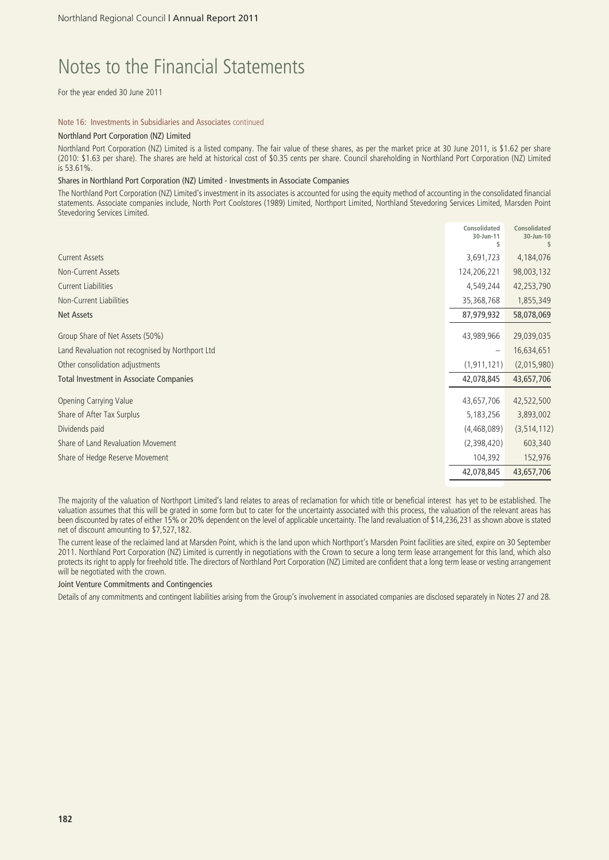#### For the year ended 30 June 2011

#### Note 16: Investments in Subsidiaries and Associates continued

#### Northland Port Corporation (NZ) Limited

Northland Port Corporation (NZ) Limited is a listed company. The fair value of these shares, as per the market price at 30 June 2011, is \$1.62 per share (2010: \$1.63 per share). The shares are held at historical cost of \$0.35 cents per share. Council shareholding in Northland Port Corporation (NZ) Limited is 53.61%.

### Shares in Northland Port Corporation (NZ) Limited - Investments in Associate Companies

The Northland Port Corporation (NZ) Limited's investment in its associates is accounted for using the equity method of accounting in the consolidated financial statements. Associate companies include, North Port Coolstores (1989) Limited, Northport Limited, Northland Stevedoring Services Limited, Marsden Point Stevedoring Services Limited.

|                                                  | Consolidated<br>30-Jun-11<br>\$ | Consolidated<br>30-Jun-10<br>\$ |
|--------------------------------------------------|---------------------------------|---------------------------------|
| <b>Current Assets</b>                            | 3,691,723                       | 4,184,076                       |
| Non-Current Assets                               | 124,206,221                     | 98,003,132                      |
| <b>Current Liabilities</b>                       | 4,549,244                       | 42,253,790                      |
| Non-Current Liabilities                          | 35,368,768                      | 1,855,349                       |
| <b>Net Assets</b>                                | 87,979,932                      | 58,078,069                      |
| Group Share of Net Assets (50%)                  | 43,989,966                      | 29,039,035                      |
| Land Revaluation not recognised by Northport Ltd | $\overline{\phantom{m}}$        | 16,634,651                      |
| Other consolidation adjustments                  | (1, 911, 121)                   | (2,015,980)                     |
| <b>Total Investment in Associate Companies</b>   | 42,078,845                      | 43,657,706                      |
| <b>Opening Carrying Value</b>                    | 43,657,706                      | 42,522,500                      |
| Share of After Tax Surplus                       | 5,183,256                       | 3,893,002                       |
| Dividends paid                                   | (4,468,089)                     | (3, 514, 112)                   |
| Share of Land Revaluation Movement               | (2,398,420)                     | 603,340                         |
| Share of Hedge Reserve Movement                  | 104,392                         | 152,976                         |
|                                                  | 42,078,845                      | 43,657,706                      |

The majority of the valuation of Northport Limited's land relates to areas of reclamation for which title or beneficial interest has yet to be established. The valuation assumes that this will be grated in some form but to cater for the uncertainty associated with this process, the valuation of the relevant areas has been discounted by rates of either 15% or 20% dependent on the level of applicable uncertainty. The land revaluation of \$14,236,231 as shown above is stated net of discount amounting to \$7,527,182.

The current lease of the reclaimed land at Marsden Point, which is the land upon which Northport's Marsden Point facilities are sited, expire on 30 September 2011. Northland Port Corporation (NZ) Limited is currently in negotiations with the Crown to secure a long term lease arrangement for this land, which also protects its right to apply for freehold title. The directors of Northland Port Corporation (NZ) Limited are confident that a long term lease or vesting arrangement will be negotiated with the crown.

#### Joint Venture Commitments and Contingencies

Details of any commitments and contingent liabilities arising from the Group's involvement in associated companies are disclosed separately in Notes 27 and 28.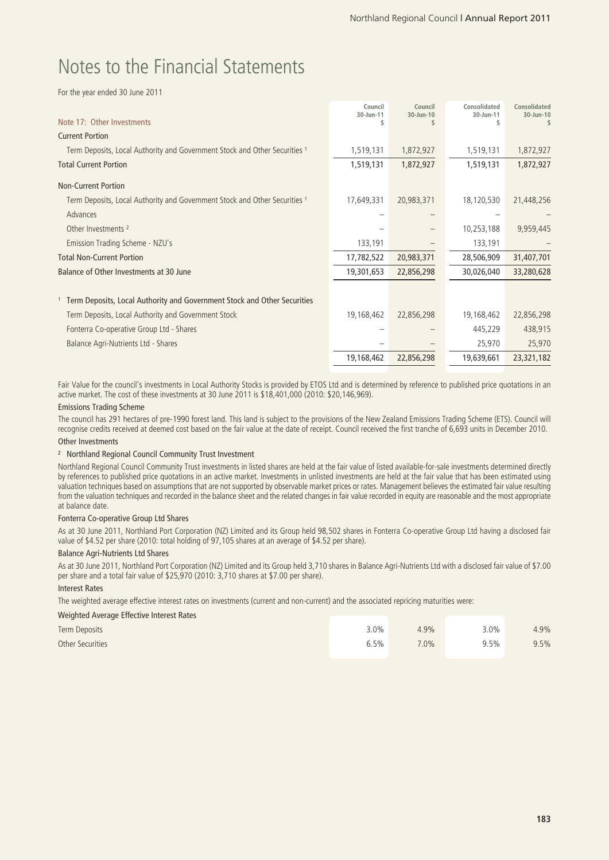For the year ended 30 June 2011

|                                                                            | Council        | Council<br>30-Jun-10 | Consolidated<br>30-Jun-11 | Consolidated<br>30-Jun-10 |
|----------------------------------------------------------------------------|----------------|----------------------|---------------------------|---------------------------|
| Note 17: Other Investments                                                 | 30-Jun-11<br>S |                      | S                         |                           |
| <b>Current Portion</b>                                                     |                |                      |                           |                           |
| Term Deposits, Local Authority and Government Stock and Other Securities 1 | 1,519,131      | 1,872,927            | 1,519,131                 | 1,872,927                 |
| <b>Total Current Portion</b>                                               | 1,519,131      | 1,872,927            | 1,519,131                 | 1,872,927                 |
| <b>Non-Current Portion</b>                                                 |                |                      |                           |                           |
| Term Deposits, Local Authority and Government Stock and Other Securities 1 | 17,649,331     | 20,983,371           | 18,120,530                | 21,448,256                |
| Advances                                                                   |                |                      |                           |                           |
| Other Investments <sup>2</sup>                                             |                |                      | 10,253,188                | 9,959,445                 |
| Emission Trading Scheme - NZU's                                            | 133,191        |                      | 133,191                   |                           |
| <b>Total Non-Current Portion</b>                                           | 17,782,522     | 20,983,371           | 28,506,909                | 31,407,701                |
| Balance of Other Investments at 30 June                                    | 19,301,653     | 22,856,298           | 30,026,040                | 33,280,628                |
|                                                                            |                |                      |                           |                           |
| Term Deposits, Local Authority and Government Stock and Other Securities   |                |                      |                           |                           |
| Term Deposits, Local Authority and Government Stock                        | 19,168,462     | 22,856,298           | 19,168,462                | 22,856,298                |
| Fonterra Co-operative Group Ltd - Shares                                   |                |                      | 445,229                   | 438,915                   |
| Balance Agri-Nutrients Ltd - Shares                                        |                |                      | 25,970                    | 25,970                    |
|                                                                            | 19,168,462     | 22,856,298           | 19,639,661                | 23,321,182                |

Fair Value for the council's investments in Local Authority Stocks is provided by ETOS Ltd and is determined by reference to published price quotations in an active market. The cost of these investments at 30 June 2011 is \$18,401,000 (2010: \$20,146,969).

#### Emissions Trading Scheme

The council has 291 hectares of pre-1990 forest land. This land is subject to the provisions of the New Zealand Emissions Trading Scheme (ETS). Council will recognise credits received at deemed cost based on the fair value at the date of receipt. Council received the first tranche of 6,693 units in December 2010.

### Other Investments

#### ² Northland Regional Council Community Trust Investment

Northland Regional Council Community Trust investments in listed shares are held at the fair value of listed available-for-sale investments determined directly by references to published price quotations in an active market. Investments in unlisted investments are held at the fair value that has been estimated using valuation techniques based on assumptions that are not supported by observable market prices or rates. Management believes the estimated fair value resulting from the valuation techniques and recorded in the balance sheet and the related changes in fair value recorded in equity are reasonable and the most appropriate at balance date.

### Fonterra Co-operative Group Ltd Shares

As at 30 June 2011, Northland Port Corporation (NZ) Limited and its Group held 98,502 shares in Fonterra Co-operative Group Ltd having a disclosed fair value of \$4.52 per share (2010: total holding of 97,105 shares at an average of \$4.52 per share).

### Balance Agri-Nutrients Ltd Shares

As at 30 June 2011, Northland Port Corporation (NZ) Limited and its Group held 3,710 shares in Balance Agri-Nutrients Ltd with a disclosed fair value of \$7.00 per share and a total fair value of \$25,970 (2010: 3,710 shares at \$7.00 per share).

#### Interest Rates

The weighted average effective interest rates on investments (current and non-current) and the associated repricing maturities were:

#### Weighted Average Effective Interest Rates

| <b>Term Deposits</b> | 3.0% | 4.9% | 3.0% | 4.9% |
|----------------------|------|------|------|------|
| Other Securities     | 6.5% | 7.0% | 9.5% | 9.5% |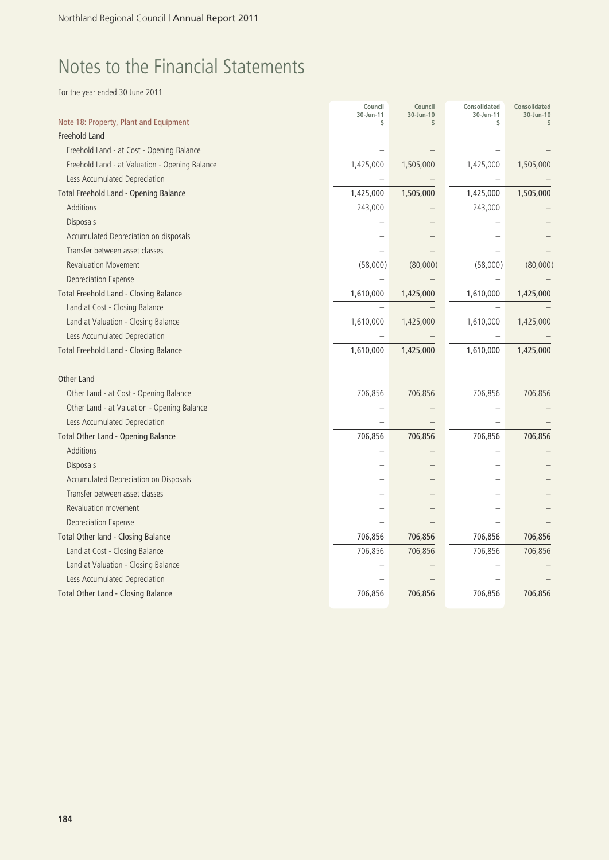|                                                | Council<br>30-Jun-11 | Council<br>30-Jun-10 | Consolidated<br>30-Jun-11 | Consolidated<br>30-Jun-10 |
|------------------------------------------------|----------------------|----------------------|---------------------------|---------------------------|
| Note 18: Property, Plant and Equipment         | \$                   | \$                   | \$                        | \$                        |
| <b>Freehold Land</b>                           |                      |                      |                           |                           |
| Freehold Land - at Cost - Opening Balance      |                      |                      |                           |                           |
| Freehold Land - at Valuation - Opening Balance | 1,425,000            | 1,505,000            | 1,425,000                 | 1,505,000                 |
| Less Accumulated Depreciation                  |                      |                      |                           |                           |
| Total Freehold Land - Opening Balance          | 1,425,000            | 1,505,000            | 1,425,000                 | 1,505,000                 |
| <b>Additions</b>                               | 243,000              |                      | 243,000                   |                           |
| Disposals                                      |                      |                      |                           |                           |
| Accumulated Depreciation on disposals          |                      |                      |                           |                           |
| Transfer between asset classes                 |                      |                      |                           |                           |
| <b>Revaluation Movement</b>                    | (58,000)             | (80,000)             | (58,000)                  | (80,000)                  |
| <b>Depreciation Expense</b>                    |                      |                      |                           |                           |
| <b>Total Freehold Land - Closing Balance</b>   | 1,610,000            | 1,425,000            | 1,610,000                 | 1,425,000                 |
| Land at Cost - Closing Balance                 | L.                   |                      |                           |                           |
| Land at Valuation - Closing Balance            | 1,610,000            | 1,425,000            | 1,610,000                 | 1,425,000                 |
| Less Accumulated Depreciation                  |                      |                      |                           |                           |
| <b>Total Freehold Land - Closing Balance</b>   | 1,610,000            | 1,425,000            | 1,610,000                 | 1,425,000                 |
|                                                |                      |                      |                           |                           |
| <b>Other Land</b>                              |                      |                      |                           |                           |
| Other Land - at Cost - Opening Balance         | 706,856              | 706,856              | 706,856                   | 706,856                   |
| Other Land - at Valuation - Opening Balance    |                      |                      |                           |                           |
| Less Accumulated Depreciation                  | $\equiv$             |                      |                           |                           |
| <b>Total Other Land - Opening Balance</b>      | 706,856              | 706,856              | 706,856                   | 706,856                   |
| Additions                                      |                      |                      |                           |                           |
| Disposals                                      |                      |                      |                           |                           |
| Accumulated Depreciation on Disposals          |                      |                      |                           |                           |
| Transfer between asset classes                 |                      |                      |                           |                           |
| Revaluation movement                           |                      |                      |                           |                           |
| <b>Depreciation Expense</b>                    |                      |                      |                           |                           |
| <b>Total Other land - Closing Balance</b>      | 706,856              | 706,856              | 706,856                   | 706,856                   |
| Land at Cost - Closing Balance                 | 706,856              | 706,856              | 706,856                   | 706,856                   |
| Land at Valuation - Closing Balance            |                      |                      |                           |                           |
| Less Accumulated Depreciation                  |                      |                      |                           |                           |
| <b>Total Other Land - Closing Balance</b>      | 706,856              | 706,856              | 706,856                   | 706,856                   |
|                                                |                      |                      |                           |                           |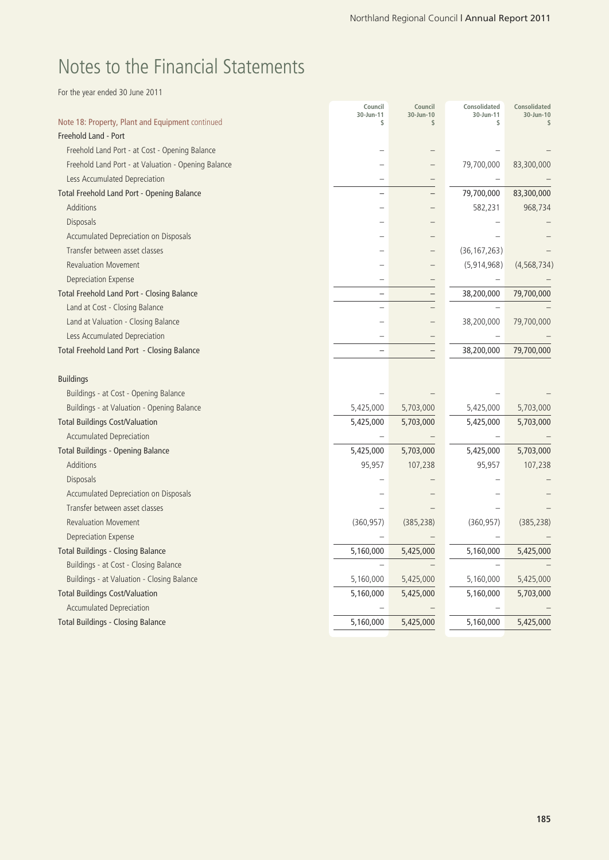|                                                     | Council<br>30-Jun-11     | Council<br>30-Jun-10 | Consolidated<br>30-Jun-11 | Consolidated<br>30-Jun-10 |
|-----------------------------------------------------|--------------------------|----------------------|---------------------------|---------------------------|
| Note 18: Property, Plant and Equipment continued    | \$                       | \$                   | S                         | \$                        |
| Freehold Land - Port                                |                          |                      |                           |                           |
| Freehold Land Port - at Cost - Opening Balance      |                          |                      |                           |                           |
| Freehold Land Port - at Valuation - Opening Balance |                          |                      | 79,700,000                | 83,300,000                |
| Less Accumulated Depreciation                       |                          |                      |                           |                           |
| <b>Total Freehold Land Port - Opening Balance</b>   | $\overline{\phantom{0}}$ |                      | 79,700,000                | 83,300,000                |
| Additions                                           |                          |                      | 582,231                   | 968,734                   |
| Disposals                                           |                          |                      |                           |                           |
| Accumulated Depreciation on Disposals               |                          |                      |                           |                           |
| Transfer between asset classes                      |                          |                      | (36, 167, 263)            |                           |
| <b>Revaluation Movement</b>                         |                          |                      | (5,914,968)               | (4, 568, 734)             |
| <b>Depreciation Expense</b>                         |                          |                      |                           |                           |
| <b>Total Freehold Land Port - Closing Balance</b>   | $\overline{\phantom{0}}$ |                      | 38,200,000                | 79,700,000                |
| Land at Cost - Closing Balance                      |                          |                      |                           |                           |
| Land at Valuation - Closing Balance                 |                          |                      | 38,200,000                | 79,700,000                |
| Less Accumulated Depreciation                       |                          |                      |                           |                           |
| Total Freehold Land Port - Closing Balance          |                          |                      | 38,200,000                | 79,700,000                |
| <b>Buildings</b>                                    |                          |                      |                           |                           |
| Buildings - at Cost - Opening Balance               |                          |                      |                           |                           |
| Buildings - at Valuation - Opening Balance          | 5,425,000                | 5,703,000            | 5,425,000                 | 5,703,000                 |
| <b>Total Buildings Cost/Valuation</b>               | 5,425,000                | 5,703,000            | 5,425,000                 | 5,703,000                 |
| <b>Accumulated Depreciation</b>                     |                          |                      |                           |                           |
| <b>Total Buildings - Opening Balance</b>            | 5,425,000                | 5,703,000            | 5,425,000                 | 5,703,000                 |
| Additions                                           | 95,957                   | 107,238              | 95,957                    | 107,238                   |
| Disposals                                           |                          |                      |                           |                           |
| Accumulated Depreciation on Disposals               |                          |                      |                           |                           |
| Transfer between asset classes                      |                          |                      |                           |                           |
| <b>Revaluation Movement</b>                         | (360, 957)               | (385, 238)           | (360, 957)                | (385, 238)                |
| <b>Depreciation Expense</b>                         |                          |                      |                           |                           |
| <b>Total Buildings - Closing Balance</b>            | 5,160,000                | 5,425,000            | 5,160,000                 | 5,425,000                 |
| Buildings - at Cost - Closing Balance               |                          |                      |                           |                           |
| Buildings - at Valuation - Closing Balance          | 5,160,000                | 5,425,000            | 5,160,000                 | 5,425,000                 |
| <b>Total Buildings Cost/Valuation</b>               | 5,160,000                | 5,425,000            | 5,160,000                 | 5,703,000                 |
| <b>Accumulated Depreciation</b>                     |                          |                      |                           |                           |
| <b>Total Buildings - Closing Balance</b>            | 5,160,000                | 5,425,000            | 5,160,000                 | 5,425,000                 |
|                                                     |                          |                      |                           |                           |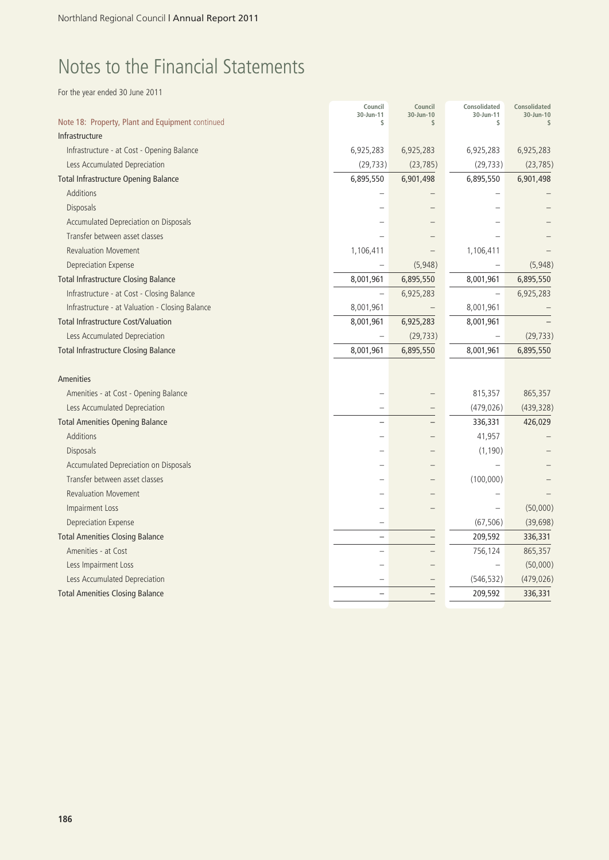|                                                  | Council<br>30-Jun-11     | Council<br>30-Jun-10 | Consolidated<br>30-Jun-11 | Consolidated<br>30-Jun-10 |
|--------------------------------------------------|--------------------------|----------------------|---------------------------|---------------------------|
| Note 18: Property, Plant and Equipment continued | \$                       | \$                   | \$                        | \$                        |
| Infrastructure                                   |                          |                      |                           |                           |
| Infrastructure - at Cost - Opening Balance       | 6,925,283                | 6,925,283            | 6,925,283                 | 6,925,283                 |
| Less Accumulated Depreciation                    | (29, 733)                | (23, 785)            | (29, 733)                 | (23, 785)                 |
| <b>Total Infrastructure Opening Balance</b>      | 6,895,550                | 6,901,498            | 6,895,550                 | 6,901,498                 |
| <b>Additions</b>                                 |                          |                      |                           |                           |
| <b>Disposals</b>                                 |                          |                      |                           |                           |
| Accumulated Depreciation on Disposals            |                          |                      |                           |                           |
| Transfer between asset classes                   |                          |                      |                           |                           |
| <b>Revaluation Movement</b>                      | 1,106,411                |                      | 1,106,411                 |                           |
| <b>Depreciation Expense</b>                      |                          | (5,948)              |                           | (5,948)                   |
| <b>Total Infrastructure Closing Balance</b>      | 8,001,961                | 6,895,550            | 8,001,961                 | 6,895,550                 |
| Infrastructure - at Cost - Closing Balance       | $\overline{\phantom{0}}$ | 6,925,283            | $\overline{\phantom{0}}$  | 6,925,283                 |
| Infrastructure - at Valuation - Closing Balance  | 8,001,961                |                      | 8,001,961                 |                           |
| <b>Total Infrastructure Cost/Valuation</b>       | 8,001,961                | 6,925,283            | 8,001,961                 |                           |
| Less Accumulated Depreciation                    |                          | (29, 733)            |                           | (29, 733)                 |
| <b>Total Infrastructure Closing Balance</b>      | 8,001,961                | 6,895,550            | 8,001,961                 | 6,895,550                 |
|                                                  |                          |                      |                           |                           |
| <b>Amenities</b>                                 |                          |                      |                           |                           |
| Amenities - at Cost - Opening Balance            |                          |                      | 815,357                   | 865,357                   |
| Less Accumulated Depreciation                    |                          |                      | (479, 026)                | (439, 328)                |
| <b>Total Amenities Opening Balance</b>           | ═                        |                      | 336,331                   | 426,029                   |
| <b>Additions</b>                                 |                          |                      | 41,957                    |                           |
| Disposals                                        |                          |                      | (1, 190)                  |                           |
| Accumulated Depreciation on Disposals            |                          |                      |                           |                           |
| Transfer between asset classes                   |                          |                      | (100,000)                 |                           |
| <b>Revaluation Movement</b>                      |                          |                      |                           |                           |
| <b>Impairment Loss</b>                           |                          |                      |                           | (50,000)                  |
| <b>Depreciation Expense</b>                      |                          |                      | (67, 506)                 | (39, 698)                 |
| <b>Total Amenities Closing Balance</b>           | $\equiv$                 |                      | 209,592                   | 336,331                   |
| Amenities - at Cost                              |                          |                      | 756,124                   | 865,357                   |
| Less Impairment Loss                             |                          |                      | $\overline{\phantom{0}}$  | (50,000)                  |
| Less Accumulated Depreciation                    |                          |                      | (546, 532)                | (479, 026)                |
| <b>Total Amenities Closing Balance</b>           | $\qquad \qquad -$        |                      | 209,592                   | 336,331                   |
|                                                  |                          |                      |                           |                           |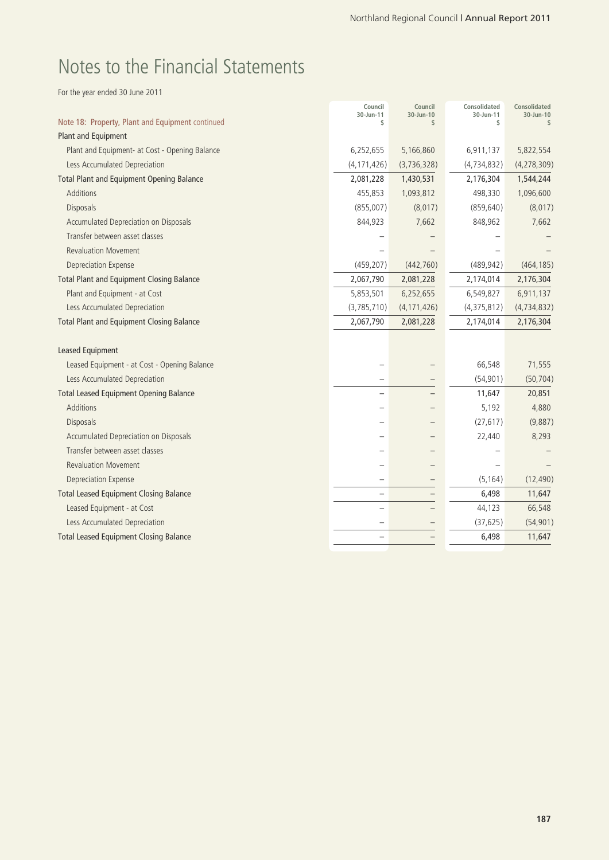|                                                  | Council<br>30-Jun-11     | Council<br>30-Jun-10     | Consolidated<br>30-Jun-11 | Consolidated<br>30-Jun-10 |
|--------------------------------------------------|--------------------------|--------------------------|---------------------------|---------------------------|
| Note 18: Property, Plant and Equipment continued | \$                       | \$                       | \$                        | $\mathsf{\$}$             |
| Plant and Equipment                              |                          |                          |                           |                           |
| Plant and Equipment- at Cost - Opening Balance   | 6,252,655                | 5,166,860                | 6,911,137                 | 5,822,554                 |
| Less Accumulated Depreciation                    | (4, 171, 426)            | (3, 736, 328)            | (4, 734, 832)             | (4, 278, 309)             |
| <b>Total Plant and Equipment Opening Balance</b> | 2,081,228                | 1,430,531                | 2,176,304                 | 1,544,244                 |
| <b>Additions</b>                                 | 455,853                  | 1,093,812                | 498,330                   | 1,096,600                 |
| Disposals                                        | (855,007)                | (8,017)                  | (859, 640)                | (8,017)                   |
| Accumulated Depreciation on Disposals            | 844,923                  | 7,662                    | 848,962                   | 7,662                     |
| Transfer between asset classes                   |                          |                          |                           |                           |
| <b>Revaluation Movement</b>                      |                          |                          |                           |                           |
| <b>Depreciation Expense</b>                      | (459, 207)               | (442, 760)               | (489, 942)                | (464, 185)                |
| <b>Total Plant and Equipment Closing Balance</b> | 2,067,790                | 2,081,228                | 2,174,014                 | 2,176,304                 |
| Plant and Equipment - at Cost                    | 5,853,501                | 6,252,655                | 6,549,827                 | 6,911,137                 |
| Less Accumulated Depreciation                    | (3,785,710)              | (4, 171, 426)            | (4,375,812)               | (4,734,832)               |
| <b>Total Plant and Equipment Closing Balance</b> | 2,067,790                | 2,081,228                | 2,174,014                 | 2,176,304                 |
|                                                  |                          |                          |                           |                           |
| <b>Leased Equipment</b>                          |                          |                          |                           |                           |
| Leased Equipment - at Cost - Opening Balance     |                          |                          | 66,548                    | 71,555                    |
| Less Accumulated Depreciation                    |                          |                          | (54, 901)                 | (50, 704)                 |
| <b>Total Leased Equipment Opening Balance</b>    |                          |                          | 11,647                    | 20,851                    |
| <b>Additions</b>                                 |                          |                          | 5,192                     | 4,880                     |
| Disposals                                        |                          |                          | (27, 617)                 | (9,887)                   |
| Accumulated Depreciation on Disposals            |                          |                          | 22,440                    | 8,293                     |
| Transfer between asset classes                   |                          |                          |                           |                           |
| <b>Revaluation Movement</b>                      |                          |                          |                           |                           |
| <b>Depreciation Expense</b>                      |                          | $\overline{\phantom{0}}$ | (5, 164)                  | (12, 490)                 |
| <b>Total Leased Equipment Closing Balance</b>    | $\overline{\phantom{0}}$ | —                        | 6,498                     | 11,647                    |
| Leased Equipment - at Cost                       |                          |                          | 44,123                    | 66,548                    |
| Less Accumulated Depreciation                    |                          |                          | (37, 625)                 | (54, 901)                 |
| <b>Total Leased Equipment Closing Balance</b>    |                          |                          | 6,498                     | 11,647                    |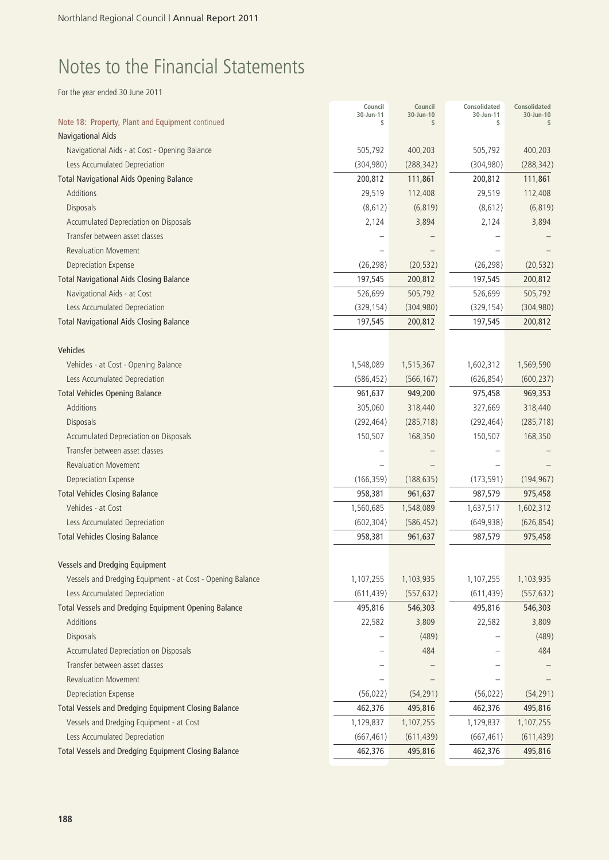|                                                             | Council<br>30-Jun-11 | Council<br>30-Jun-10 | Consolidated<br>30-Jun-11 | Consolidated<br>30-Jun-10 |
|-------------------------------------------------------------|----------------------|----------------------|---------------------------|---------------------------|
| Note 18: Property, Plant and Equipment continued            | \$                   | \$                   | \$                        | \$                        |
| <b>Navigational Aids</b>                                    |                      |                      |                           |                           |
| Navigational Aids - at Cost - Opening Balance               | 505,792              | 400,203              | 505,792                   | 400,203                   |
| Less Accumulated Depreciation                               | (304, 980)           | (288, 342)           | (304, 980)                | (288, 342)                |
| <b>Total Navigational Aids Opening Balance</b>              | 200,812              | 111,861              | 200,812                   | 111,861                   |
| Additions                                                   | 29,519               | 112,408              | 29,519                    | 112,408                   |
| Disposals                                                   | (8,612)              | (6, 819)             | (8,612)                   | (6, 819)                  |
| Accumulated Depreciation on Disposals                       | 2,124                | 3,894                | 2,124                     | 3,894                     |
| Transfer between asset classes                              |                      |                      |                           |                           |
| <b>Revaluation Movement</b>                                 |                      |                      |                           |                           |
| <b>Depreciation Expense</b>                                 | (26, 298)            | (20, 532)            | (26, 298)                 | (20, 532)                 |
| <b>Total Navigational Aids Closing Balance</b>              | 197,545              | 200,812              | 197,545                   | 200,812                   |
| Navigational Aids - at Cost                                 | 526,699              | 505,792              | 526,699                   | 505,792                   |
| Less Accumulated Depreciation                               | (329, 154)           | (304, 980)           | (329, 154)                | (304, 980)                |
| <b>Total Navigational Aids Closing Balance</b>              | 197,545              | 200,812              | 197,545                   | 200,812                   |
| Vehicles                                                    |                      |                      |                           |                           |
| Vehicles - at Cost - Opening Balance                        | 1,548,089            | 1,515,367            | 1,602,312                 | 1,569,590                 |
| Less Accumulated Depreciation                               | (586, 452)           | (566, 167)           | (626, 854)                | (600, 237)                |
| <b>Total Vehicles Opening Balance</b>                       | 961,637              | 949,200              | 975,458                   | 969,353                   |
| <b>Additions</b>                                            | 305,060              | 318,440              | 327,669                   | 318,440                   |
| Disposals                                                   | (292, 464)           | (285, 718)           | (292, 464)                | (285, 718)                |
| Accumulated Depreciation on Disposals                       | 150,507              | 168,350              | 150,507                   | 168,350                   |
| Transfer between asset classes                              |                      |                      |                           |                           |
| <b>Revaluation Movement</b>                                 |                      |                      |                           |                           |
| <b>Depreciation Expense</b>                                 | (166, 359)           | (188, 635)           | (173, 591)                | (194, 967)                |
| <b>Total Vehicles Closing Balance</b>                       | 958,381              | 961,637              | 987,579                   | 975,458                   |
| Vehicles - at Cost                                          | 1,560,685            | 1,548,089            | 1,637,517                 | 1,602,312                 |
| Less Accumulated Depreciation                               | (602, 304)           | (586, 452)           | (649, 938)                | (626, 854)                |
| <b>Total Vehicles Closing Balance</b>                       | 958,381              | 961,637              | 987,579                   | 975,458                   |
|                                                             |                      |                      |                           |                           |
| <b>Vessels and Dredging Equipment</b>                       | 1,107,255            |                      |                           |                           |
| Vessels and Dredging Equipment - at Cost - Opening Balance  |                      | 1,103,935            | 1,107,255                 | 1,103,935                 |
| Less Accumulated Depreciation                               | (611, 439)           | (557, 632)           | (611, 439)                | (557, 632)                |
| Total Vessels and Dredging Equipment Opening Balance        | 495,816              | 546,303              | 495,816                   | 546,303                   |
| Additions                                                   | 22,582               | 3,809                | 22,582                    | 3,809                     |
| Disposals                                                   |                      | (489)                |                           | (489)                     |
| Accumulated Depreciation on Disposals                       |                      | 484                  |                           | 484                       |
| Transfer between asset classes                              |                      |                      |                           |                           |
| <b>Revaluation Movement</b>                                 |                      |                      |                           |                           |
| <b>Depreciation Expense</b>                                 | (56, 022)            | (54, 291)            | (56, 022)                 | (54, 291)                 |
| <b>Total Vessels and Dredging Equipment Closing Balance</b> | 462,376              | 495,816              | 462,376                   | 495,816                   |
| Vessels and Dredging Equipment - at Cost                    | 1,129,837            | 1,107,255            | 1,129,837                 | 1,107,255                 |
| Less Accumulated Depreciation                               | (667, 461)           | (611, 439)           | (667, 461)                | (611, 439)                |
| <b>Total Vessels and Dredging Equipment Closing Balance</b> | 462,376              | 495,816              | 462,376                   | 495,816                   |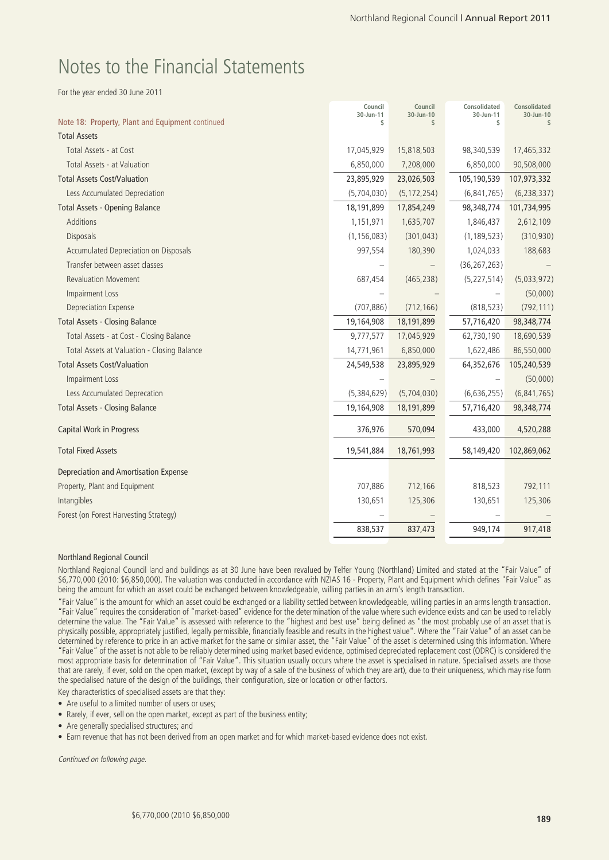For the year ended 30 June 2011

|                                                  | Council<br>30-Jun-11 | Council<br>30-Jun-10 | Consolidated<br>30-Jun-11 | Consolidated<br>30-Jun-10 |
|--------------------------------------------------|----------------------|----------------------|---------------------------|---------------------------|
| Note 18: Property, Plant and Equipment continued | \$                   | \$                   | \$                        | \$                        |
| <b>Total Assets</b>                              |                      |                      |                           |                           |
| Total Assets - at Cost                           | 17,045,929           | 15,818,503           | 98,340,539                | 17,465,332                |
| <b>Total Assets - at Valuation</b>               | 6,850,000            | 7,208,000            | 6,850,000                 | 90,508,000                |
| <b>Total Assets Cost/Valuation</b>               | 23,895,929           | 23,026,503           | 105,190,539               | 107,973,332               |
| Less Accumulated Depreciation                    | (5,704,030)          | (5, 172, 254)        | (6,841,765)               | (6, 238, 337)             |
| <b>Total Assets - Opening Balance</b>            | 18,191,899           | 17,854,249           | 98,348,774                | 101,734,995               |
| Additions                                        | 1,151,971            | 1,635,707            | 1,846,437                 | 2,612,109                 |
| <b>Disposals</b>                                 | (1, 156, 083)        | (301, 043)           | (1, 189, 523)             | (310, 930)                |
| Accumulated Depreciation on Disposals            | 997,554              | 180,390              | 1,024,033                 | 188,683                   |
| Transfer between asset classes                   |                      |                      | (36, 267, 263)            |                           |
| <b>Revaluation Movement</b>                      | 687,454              | (465, 238)           | (5, 227, 514)             | (5,033,972)               |
| Impairment Loss                                  |                      |                      |                           | (50,000)                  |
| <b>Depreciation Expense</b>                      | (707, 886)           | (712, 166)           | (818, 523)                | (792, 111)                |
| <b>Total Assets - Closing Balance</b>            | 19,164,908           | 18,191,899           | 57,716,420                | 98,348,774                |
| Total Assets - at Cost - Closing Balance         | 9,777,577            | 17,045,929           | 62,730,190                | 18,690,539                |
| Total Assets at Valuation - Closing Balance      | 14,771,961           | 6,850,000            | 1,622,486                 | 86,550,000                |
| <b>Total Assets Cost/Valuation</b>               | 24,549,538           | 23,895,929           | 64,352,676                | 105,240,539               |
| <b>Impairment Loss</b>                           |                      |                      |                           | (50,000)                  |
| Less Accumulated Deprecation                     | (5,384,629)          | (5,704,030)          | (6,636,255)               | (6,841,765)               |
| <b>Total Assets - Closing Balance</b>            | 19,164,908           | 18,191,899           | 57,716,420                | 98,348,774                |
| <b>Capital Work in Progress</b>                  | 376,976              | 570,094              | 433,000                   | 4,520,288                 |
| <b>Total Fixed Assets</b>                        | 19,541,884           | 18,761,993           | 58,149,420                | 102,869,062               |
| Depreciation and Amortisation Expense            |                      |                      |                           |                           |
| Property, Plant and Equipment                    | 707,886              | 712,166              | 818,523                   | 792,111                   |
| Intangibles                                      | 130,651              | 125,306              | 130,651                   | 125,306                   |
| Forest (on Forest Harvesting Strategy)           |                      |                      |                           |                           |
|                                                  | 838,537              | 837,473              | 949,174                   | 917,418                   |

#### Northland Regional Council

Northland Regional Council land and buildings as at 30 June have been revalued by Telfer Young (Northland) Limited and stated at the "Fair Value" of \$6,770,000 (2010: \$6,850,000). The valuation was conducted in accordance with NZIAS 16 - Property, Plant and Equipment which defines "Fair Value" as being the amount for which an asset could be exchanged between knowledgeable, willing parties in an arm's length transaction.

"Fair Value" is the amount for which an asset could be exchanged or a liability settled between knowledgeable, willing parties in an arms length transaction. "Fair Value" requires the consideration of "market-based" evidence for the determination of the value where such evidence exists and can be used to reliably determine the value. The "Fair Value" is assessed with reference to the "highest and best use" being defined as "the most probably use of an asset that is physically possible, appropriately justified, legally permissible, financially feasible and results in the highest value". Where the "Fair Value" of an asset can be determined by reference to price in an active market for the same or similar asset, the "Fair Value" of the asset is determined using this information. Where "Fair Value" of the asset is not able to be reliably determined using market based evidence, optimised depreciated replacement cost (ODRC) is considered the most appropriate basis for determination of "Fair Value". This situation usually occurs where the asset is specialised in nature. Specialised assets are those that are rarely, if ever, sold on the open market, (except by way of a sale of the business of which they are art), due to their uniqueness, which may rise form the specialised nature of the design of the buildings, their configuration, size or location or other factors.

Key characteristics of specialised assets are that they:

- Are useful to a limited number of users or uses;
- Rarely, if ever, sell on the open market, except as part of the business entity;
- Are generally specialised structures; and
- Earn revenue that has not been derived from an open market and for which market-based evidence does not exist.

Continued on following page.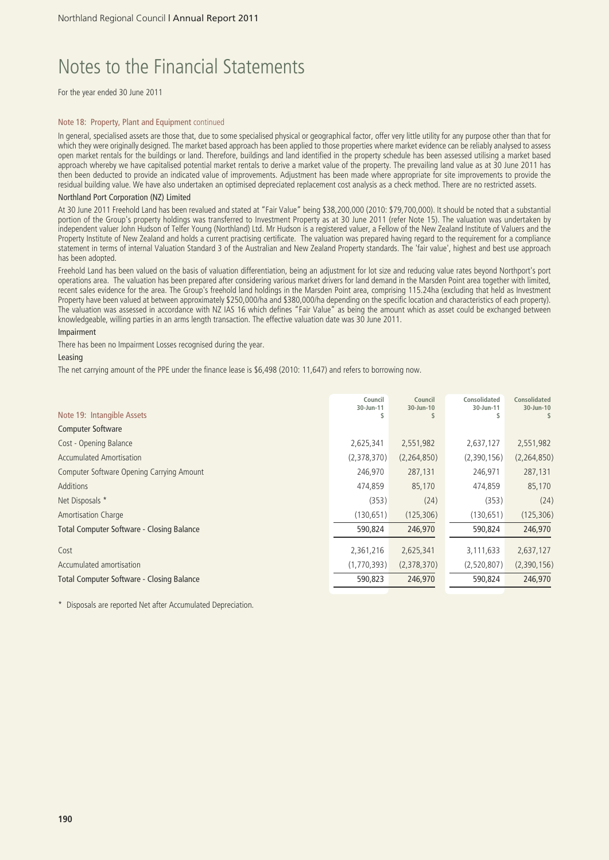For the year ended 30 June 2011

#### Note 18: Property, Plant and Equipment continued

In general, specialised assets are those that, due to some specialised physical or geographical factor, offer very little utility for any purpose other than that for which they were originally designed. The market based approach has been applied to those properties where market evidence can be reliably analysed to assess open market rentals for the buildings or land. Therefore, buildings and land identified in the property schedule has been assessed utilising a market based approach whereby we have capitalised potential market rentals to derive a market value of the property. The prevailing land value as at 30 June 2011 has then been deducted to provide an indicated value of improvements. Adjustment has been made where appropriate for site improvements to provide the residual building value. We have also undertaken an optimised depreciated replacement cost analysis as a check method. There are no restricted assets.

#### Northland Port Corporation (NZ) Limited

At 30 June 2011 Freehold Land has been revalued and stated at "Fair Value" being \$38,200,000 (2010: \$79,700,000). It should be noted that a substantial portion of the Group's property holdings was transferred to Investment Property as at 30 June 2011 (refer Note 15). The valuation was undertaken by independent valuer John Hudson of Telfer Young (Northland) Ltd. Mr Hudson is a registered valuer, a Fellow of the New Zealand Institute of Valuers and the Property Institute of New Zealand and holds a current practising certificate. The valuation was prepared having regard to the requirement for a compliance statement in terms of internal Valuation Standard 3 of the Australian and New Zealand Property standards. The 'fair value', highest and best use approach has been adopted.

Freehold Land has been valued on the basis of valuation differentiation, being an adjustment for lot size and reducing value rates beyond Northport's port operations area. The valuation has been prepared after considering various market drivers for land demand in the Marsden Point area together with limited, recent sales evidence for the area. The Group's freehold land holdings in the Marsden Point area, comprising 115.24ha (excluding that held as Investment Property have been valued at between approximately \$250,000/ha and \$380,000/ha depending on the specific location and characteristics of each property). The valuation was assessed in accordance with NZ IAS 16 which defines "Fair Value" as being the amount which as asset could be exchanged between knowledgeable, willing parties in an arms length transaction. The effective valuation date was 30 June 2011.

#### Impairment

There has been no Impairment Losses recognised during the year.

#### Leasing

The net carrying amount of the PPE under the finance lease is \$6,498 (2010: 11,647) and refers to borrowing now.

|                                                  | Council       | Council        | Consolidated | Consolidated  |
|--------------------------------------------------|---------------|----------------|--------------|---------------|
| Note 19: Intangible Assets                       | 30-Jun-11     | 30-Jun-10<br>S | 30-Jun-11    | 30-Jun-10     |
| <b>Computer Software</b>                         |               |                |              |               |
| Cost - Opening Balance                           | 2,625,341     | 2,551,982      | 2,637,127    | 2,551,982     |
| <b>Accumulated Amortisation</b>                  | (2,378,370)   | (2, 264, 850)  | (2,390,156)  | (2, 264, 850) |
| Computer Software Opening Carrying Amount        | 246,970       | 287,131        | 246,971      | 287,131       |
| <b>Additions</b>                                 | 474,859       | 85,170         | 474,859      | 85,170        |
| Net Disposals *                                  | (353)         | (24)           | (353)        | (24)          |
| Amortisation Charge                              | (130, 651)    | (125, 306)     | (130, 651)   | (125, 306)    |
| <b>Total Computer Software - Closing Balance</b> | 590,824       | 246,970        | 590,824      | 246,970       |
| Cost                                             | 2,361,216     | 2,625,341      | 3,111,633    | 2,637,127     |
| Accumulated amortisation                         | (1, 770, 393) | (2,378,370)    | (2,520,807)  | (2,390,156)   |
| <b>Total Computer Software - Closing Balance</b> | 590,823       | 246,970        | 590,824      | 246,970       |
|                                                  |               |                |              |               |

\* Disposals are reported Net after Accumulated Depreciation.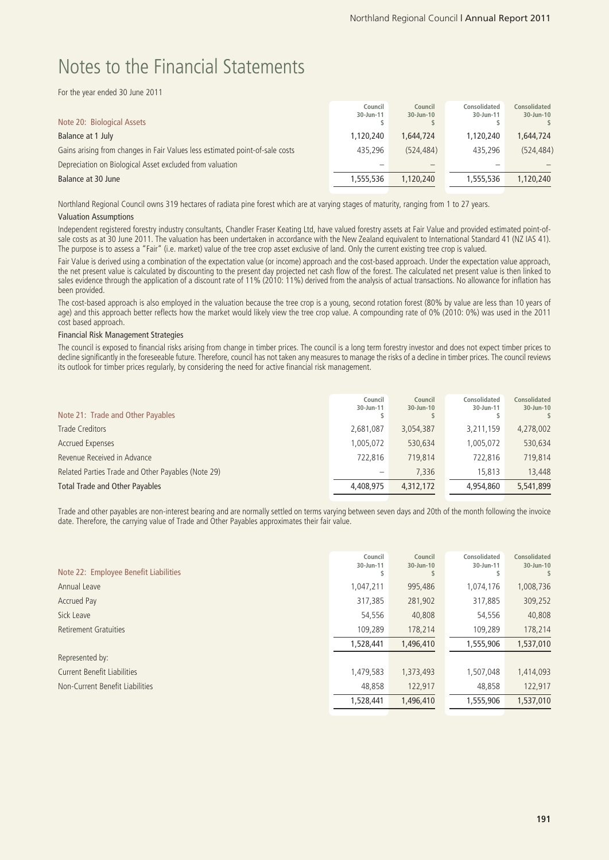For the year ended 30 June 2011

| Note 20: Biological Assets                                                   | Council<br>30-Jun-11 | Council<br>30-Jun-10 | Consolidated<br>30-Jun-11 | Consolidated<br>30-Jun-10 |
|------------------------------------------------------------------------------|----------------------|----------------------|---------------------------|---------------------------|
| Balance at 1 July                                                            | 1.120.240            | 1,644,724            | 1.120.240                 | 1,644,724                 |
| Gains arising from changes in Fair Values less estimated point-of-sale costs | 435.296              | (524.484)            | 435.296                   | (524, 484)                |
| Depreciation on Biological Asset excluded from valuation                     |                      | -                    |                           |                           |
| Balance at 30 June                                                           | 1,555,536            | 1.120.240            | 1,555,536                 | 1,120,240                 |

Northland Regional Council owns 319 hectares of radiata pine forest which are at varying stages of maturity, ranging from 1 to 27 years.

### Valuation Assumptions

Independent registered forestry industry consultants, Chandler Fraser Keating Ltd, have valued forestry assets at Fair Value and provided estimated point-ofsale costs as at 30 June 2011. The valuation has been undertaken in accordance with the New Zealand equivalent to International Standard 41 (NZ IAS 41). The purpose is to assess a "Fair" (i.e. market) value of the tree crop asset exclusive of land. Only the current existing tree crop is valued.

Fair Value is derived using a combination of the expectation value (or income) approach and the cost-based approach. Under the expectation value approach, the net present value is calculated by discounting to the present day projected net cash flow of the forest. The calculated net present value is then linked to sales evidence through the application of a discount rate of 11% (2010: 11%) derived from the analysis of actual transactions. No allowance for inflation has been provided.

The cost-based approach is also employed in the valuation because the tree crop is a young, second rotation forest (80% by value are less than 10 years of age) and this approach better reflects how the market would likely view the tree crop value. A compounding rate of 0% (2010: 0%) was used in the 2011 cost based approach.

#### Financial Risk Management Strategies

The council is exposed to financial risks arising from change in timber prices. The council is a long term forestry investor and does not expect timber prices to decline significantly in the foreseeable future. Therefore, council has not taken any measures to manage the risks of a decline in timber prices. The council reviews its outlook for timber prices regularly, by considering the need for active financial risk management.

| Note 21: Trade and Other Payables                  | Council<br>30-Jun-11 | Council<br>30-Jun-10 | Consolidated<br>30-Jun-11 | Consolidated<br>30-Jun-10 |
|----------------------------------------------------|----------------------|----------------------|---------------------------|---------------------------|
| <b>Trade Creditors</b>                             | 2,681,087            | 3,054,387            | 3,211,159                 | 4,278,002                 |
| <b>Accrued Expenses</b>                            | 1,005,072            | 530,634              | 1,005,072                 | 530,634                   |
| Revenue Received in Advance                        | 722.816              | 719.814              | 722.816                   | 719,814                   |
| Related Parties Trade and Other Payables (Note 29) |                      | 7.336                | 15.813                    | 13,448                    |
| <b>Total Trade and Other Payables</b>              | 4,408,975            | 4,312,172            | 4,954,860                 | 5,541,899                 |

Trade and other payables are non-interest bearing and are normally settled on terms varying between seven days and 20th of the month following the invoice date. Therefore, the carrying value of Trade and Other Payables approximates their fair value.

|                                       | Council<br>30-Jun-11 | Council<br>30-Jun-10 | Consolidated<br>30-Jun-11 | Consolidated<br>30-Jun-10 |
|---------------------------------------|----------------------|----------------------|---------------------------|---------------------------|
| Note 22: Employee Benefit Liabilities |                      |                      |                           |                           |
| Annual Leave                          | 1,047,211            | 995,486              | 1,074,176                 | 1,008,736                 |
| Accrued Pay                           | 317,385              | 281,902              | 317,885                   | 309,252                   |
| Sick Leave                            | 54,556               | 40,808               | 54,556                    | 40,808                    |
| <b>Retirement Gratuities</b>          | 109,289              | 178.214              | 109.289                   | 178,214                   |
|                                       | 1,528,441            | 1,496,410            | 1,555,906                 | 1,537,010                 |
| Represented by:                       |                      |                      |                           |                           |
| <b>Current Benefit Liabilities</b>    | 1,479,583            | 1,373,493            | 1,507,048                 | 1,414,093                 |
| Non-Current Benefit Liabilities       | 48,858               | 122.917              | 48,858                    | 122,917                   |
|                                       | 1,528,441            | 1,496,410            | 1,555,906                 | 1,537,010                 |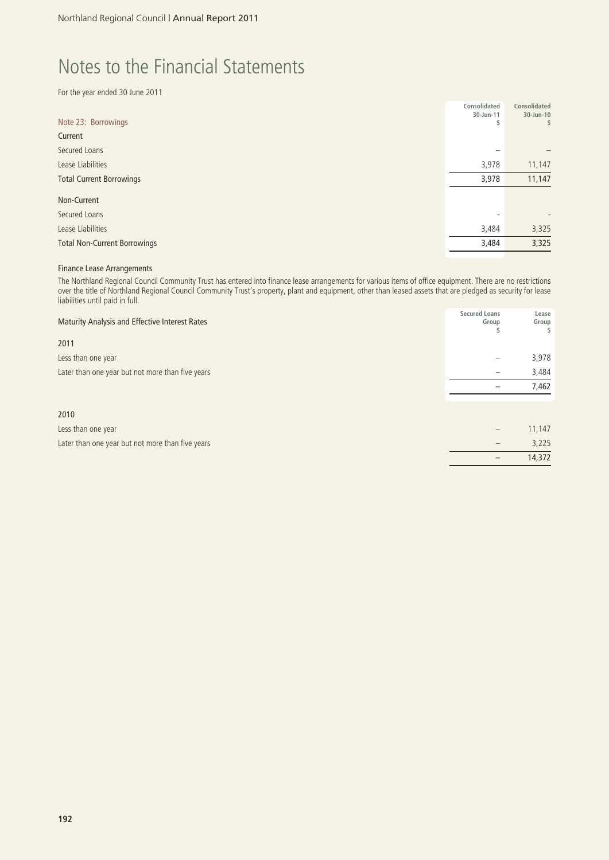For the year ended 30 June 2011

| Consolidated                                 | Consolidated             |
|----------------------------------------------|--------------------------|
| 30-Jun-11                                    | 30-Jun-10                |
| Note 23: Borrowings                          | S                        |
| Current                                      |                          |
| Secured Loans                                |                          |
| Lease Liabilities<br>3,978                   | 11,147                   |
| <b>Total Current Borrowings</b><br>3,978     | 11,147                   |
| Non-Current                                  |                          |
|                                              |                          |
| Secured Loans<br>-                           | $\overline{\phantom{a}}$ |
| Lease Liabilities<br>3,484                   | 3,325                    |
| <b>Total Non-Current Borrowings</b><br>3,484 | 3,325                    |

#### Finance Lease Arrangements

The Northland Regional Council Community Trust has entered into finance lease arrangements for various items of office equipment. There are no restrictions over the title of Northland Regional Council Community Trust's property, plant and equipment, other than leased assets that are pledged as security for lease liabilities until paid in full.

| Maturity Analysis and Effective Interest Rates   | <b>Secured Loans</b><br>Group | Lease<br>Group |
|--------------------------------------------------|-------------------------------|----------------|
| 2011                                             |                               |                |
| Less than one year                               | -                             | 3,978          |
| Later than one year but not more than five years |                               | 3,484          |
|                                                  |                               | 7,462          |
| 2010                                             |                               |                |
| Less than one year                               | -                             | 11,147         |
| Later than one year but not more than five years | —                             | 3,225          |
|                                                  | —                             | 14,372         |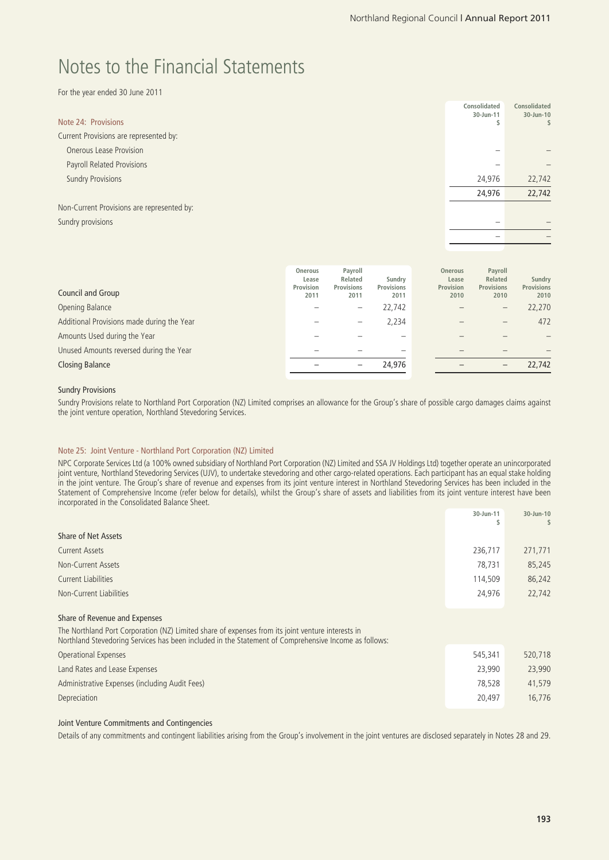### For the year ended 30 June 2011

|                                            |                   |                           |                           |                   | Consolidated              | Consolidated              |
|--------------------------------------------|-------------------|---------------------------|---------------------------|-------------------|---------------------------|---------------------------|
| Note 24: Provisions                        |                   |                           |                           |                   | 30-Jun-11<br>\$           | 30-Jun-10<br>S            |
| Current Provisions are represented by:     |                   |                           |                           |                   |                           |                           |
| <b>Onerous Lease Provision</b>             |                   |                           |                           |                   | -                         |                           |
| <b>Payroll Related Provisions</b>          |                   |                           |                           |                   |                           |                           |
| <b>Sundry Provisions</b>                   |                   |                           |                           |                   | 24,976                    | 22,742                    |
|                                            |                   |                           |                           |                   | 24,976                    | 22,742                    |
| Non-Current Provisions are represented by: |                   |                           |                           |                   |                           |                           |
| Sundry provisions                          |                   |                           |                           |                   | -                         |                           |
|                                            |                   |                           |                           |                   |                           |                           |
|                                            |                   |                           |                           |                   |                           |                           |
|                                            | Onerous           | Payroll                   |                           | <b>Onerous</b>    | Payroll                   |                           |
|                                            | Lease             | Related                   | Sundry                    | Lease             | <b>Related</b>            | Sundry                    |
| Council and Group                          | Provision<br>2011 | <b>Provisions</b><br>2011 | <b>Provisions</b><br>2011 | Provision<br>2010 | <b>Provisions</b><br>2010 | <b>Provisions</b><br>2010 |
| Opening Balance                            |                   | $\qquad \qquad -$         | 22,742                    |                   |                           | 22,270                    |

| Closing Balance                            |                          |   | 24.976 |   | 22,742 |
|--------------------------------------------|--------------------------|---|--------|---|--------|
| Unused Amounts reversed during the Year    |                          |   |        |   |        |
| Amounts Used during the Year               |                          |   | -      |   |        |
| Additional Provisions made during the Year |                          | - | 4.234  | — | 472    |
| Opening Dalance                            | $\overline{\phantom{a}}$ |   | 22.142 |   | 22,210 |

#### Sundry Provisions

Sundry Provisions relate to Northland Port Corporation (NZ) Limited comprises an allowance for the Group's share of possible cargo damages claims against the joint venture operation, Northland Stevedoring Services.

### Note 25: Joint Venture - Northland Port Corporation (NZ) Limited

NPC Corporate Services Ltd (a 100% owned subsidiary of Northland Port Corporation (NZ) Limited and SSA JV Holdings Ltd) together operate an unincorporated joint venture, Northland Stevedoring Services (UJV), to undertake stevedoring and other cargo-related operations. Each participant has an equal stake holding in the joint venture. The Group's share of revenue and expenses from its joint venture interest in Northland Stevedoring Services has been included in the Statement of Comprehensive Income (refer below for details), whilst the Group's share of assets and liabilities from its joint venture interest have been incorporated in the Consolidated Balance Sheet.

|                                                                                                                                                                                                                                             | 30-Jun-11 | 30-Jun-10 |
|---------------------------------------------------------------------------------------------------------------------------------------------------------------------------------------------------------------------------------------------|-----------|-----------|
| <b>Share of Net Assets</b>                                                                                                                                                                                                                  |           |           |
| <b>Current Assets</b>                                                                                                                                                                                                                       | 236,717   | 271,771   |
| Non-Current Assets                                                                                                                                                                                                                          | 78,731    | 85,245    |
| <b>Current Liabilities</b>                                                                                                                                                                                                                  | 114,509   | 86,242    |
| Non-Current Liabilities                                                                                                                                                                                                                     | 24,976    | 22,742    |
| Share of Revenue and Expenses<br>The Northland Port Corporation (NZ) Limited share of expenses from its joint venture interests in<br>Northland Stevedoring Services has been included in the Statement of Comprehensive Income as follows: |           |           |
| <b>Operational Expenses</b>                                                                                                                                                                                                                 | 545,341   | 520,718   |
| Land Rates and Lease Expenses                                                                                                                                                                                                               | 23,990    | 23,990    |
| Administrative Expenses (including Audit Fees)                                                                                                                                                                                              | 78,528    | 41,579    |
| Depreciation                                                                                                                                                                                                                                | 20,497    | 16,776    |

#### Joint Venture Commitments and Contingencies

Details of any commitments and contingent liabilities arising from the Group's involvement in the joint ventures are disclosed separately in Notes 28 and 29.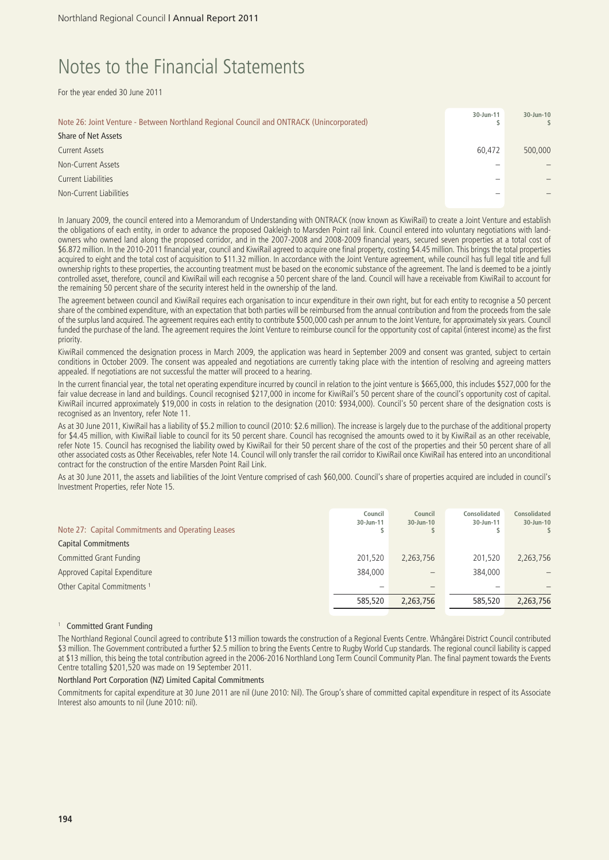For the year ended 30 June 2011

| Note 26: Joint Venture - Between Northland Regional Council and ONTRACK (Unincorporated) | 30-Jun-11 | 30-Jun-10 |
|------------------------------------------------------------------------------------------|-----------|-----------|
| <b>Share of Net Assets</b>                                                               |           |           |
| <b>Current Assets</b>                                                                    | 60.472    | 500,000   |
| Non-Current Assets                                                                       |           |           |
| <b>Current Liabilities</b>                                                               |           |           |
| Non-Current Liabilities                                                                  |           |           |
|                                                                                          |           |           |

In January 2009, the council entered into a Memorandum of Understanding with ONTRACK (now known as KiwiRail) to create a Joint Venture and establish the obligations of each entity, in order to advance the proposed Oakleigh to Marsden Point rail link. Council entered into voluntary negotiations with landowners who owned land along the proposed corridor, and in the 2007-2008 and 2008-2009 financial years, secured seven properties at a total cost of \$6.872 million. In the 2010-2011 financial year, council and KiwiRail agreed to acquire one final property, costing \$4.45 million. This brings the total properties acquired to eight and the total cost of acquisition to \$11.32 million. In accordance with the Joint Venture agreement, while council has full legal title and full ownership rights to these properties, the accounting treatment must be based on the economic substance of the agreement. The land is deemed to be a jointly controlled asset, therefore, council and KiwiRail will each recognise a 50 percent share of the land. Council will have a receivable from KiwiRail to account for the remaining 50 percent share of the security interest held in the ownership of the land.

The agreement between council and KiwiRail requires each organisation to incur expenditure in their own right, but for each entity to recognise a 50 percent share of the combined expenditure, with an expectation that both parties will be reimbursed from the annual contribution and from the proceeds from the sale of the surplus land acquired. The agreement requires each entity to contribute \$500,000 cash per annum to the Joint Venture, for approximately six years. Council funded the purchase of the land. The agreement requires the Joint Venture to reimburse council for the opportunity cost of capital (interest income) as the first priority.

KiwiRail commenced the designation process in March 2009, the application was heard in September 2009 and consent was granted, subject to certain conditions in October 2009. The consent was appealed and negotiations are currently taking place with the intention of resolving and agreeing matters appealed. If negotiations are not successful the matter will proceed to a hearing.

In the current financial year, the total net operating expenditure incurred by council in relation to the joint venture is \$665,000, this includes \$527,000 for the fair value decrease in land and buildings. Council recognised \$217,000 in income for KiwiRail's 50 percent share of the council's opportunity cost of capital. KiwiRail incurred approximately \$19,000 in costs in relation to the designation (2010: \$934,000). Council's 50 percent share of the designation costs is recognised as an Inventory, refer Note 11.

As at 30 June 2011, KiwiRail has a liability of \$5.2 million to council (2010: \$2.6 million). The increase is largely due to the purchase of the additional property for \$4.45 million, with KiwiRail liable to council for its 50 percent share. Council has recognised the amounts owed to it by KiwiRail as an other receivable, refer Note 15. Council has recognised the liability owed by KiwiRail for their 50 percent share of the cost of the properties and their 50 percent share of all other associated costs as Other Receivables, refer Note 14. Council will only transfer the rail corridor to KiwiRail once KiwiRail has entered into an unconditional contract for the construction of the entire Marsden Point Rail Link.

As at 30 June 2011, the assets and liabilities of the Joint Venture comprised of cash \$60,000. Council's share of properties acquired are included in council's Investment Properties, refer Note 15.

| Council<br>30-Jun-11 | Council<br>30-Jun-10 | Consolidated<br>30-Jun-11 | Consolidated<br>30-Jun-10 |
|----------------------|----------------------|---------------------------|---------------------------|
|                      |                      |                           |                           |
| 201,520              | 2,263,756            | 201,520                   | 2,263,756                 |
| 384.000              | $\qquad \qquad -$    | 384,000                   |                           |
|                      |                      | -                         |                           |
| 585,520              | 2,263,756            | 585,520                   | 2,263,756                 |
|                      |                      |                           |                           |

#### <sup>1</sup> Committed Grant Funding

The Northland Regional Council agreed to contribute \$13 million towards the construction of a Regional Events Centre. Whängärei District Council contributed \$3 million. The Government contributed a further \$2.5 million to bring the Events Centre to Rugby World Cup standards. The regional council liability is capped at \$13 million, this being the total contribution agreed in the 2006-2016 Northland Long Term Council Community Plan. The final payment towards the Events Centre totalling \$201,520 was made on 19 September 2011.

#### Northland Port Corporation (NZ) Limited Capital Commitments

Commitments for capital expenditure at 30 June 2011 are nil (June 2010: Nil). The Group's share of committed capital expenditure in respect of its Associate Interest also amounts to nil (June 2010: nil).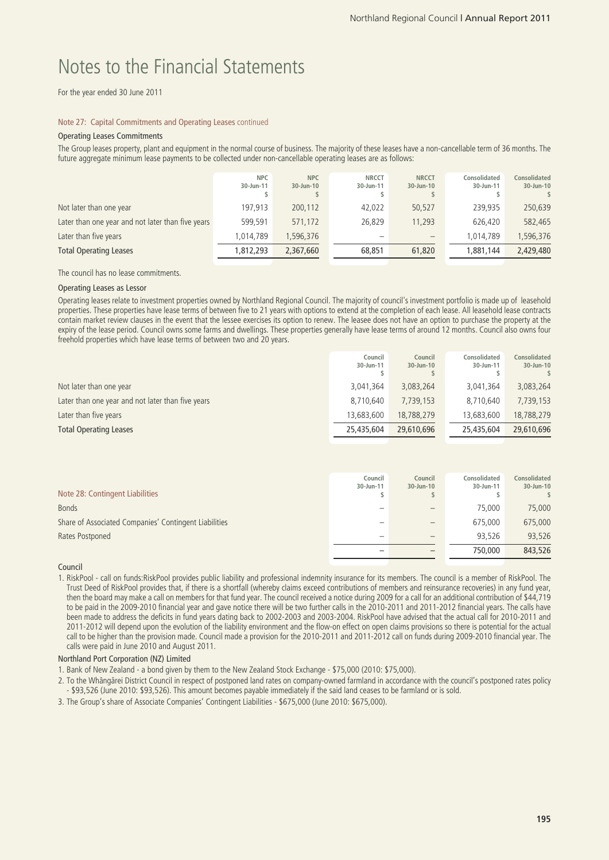For the year ended 30 June 2011

#### Note 27: Capital Commitments and Operating Leases continued

#### Operating Leases Commitments

The Group leases property, plant and equipment in the normal course of business. The majority of these leases have a non-cancellable term of 36 months. The future aggregate minimum lease payments to be collected under non-cancellable operating leases are as follows:

| <b>Total Operating Leases</b>                     | 1,812,293               | 2,367,660               | 68,851                    | 61,820                    | 1,881,144                 | 2,429,480                 |
|---------------------------------------------------|-------------------------|-------------------------|---------------------------|---------------------------|---------------------------|---------------------------|
| Later than five years                             | 1,014,789               | 1,596,376               |                           |                           | 1,014,789                 | 1,596,376                 |
| Later than one year and not later than five years | 599.591                 | 571,172                 | 26,829                    | 11,293                    | 626,420                   | 582,465                   |
| Not later than one year                           | 197.913                 | 200,112                 | 42.022                    | 50,527                    | 239.935                   | 250,639                   |
|                                                   | <b>NPC</b><br>30-Jun-11 | <b>NPC</b><br>30-Jun-10 | <b>NRCCT</b><br>30-Jun-11 | <b>NRCCT</b><br>30-Jun-10 | Consolidated<br>30-Jun-11 | Consolidated<br>30-Jun-10 |

The council has no lease commitments.

#### Operating Leases as Lessor

Operating leases relate to investment properties owned by Northland Regional Council. The majority of council's investment portfolio is made up of leasehold properties. These properties have lease terms of between five to 21 years with options to extend at the completion of each lease. All leasehold lease contracts contain market review clauses in the event that the lessee exercises its option to renew. The leasee does not have an option to purchase the property at the expiry of the lease period. Council owns some farms and dwellings. These properties generally have lease terms of around 12 months. Council also owns four freehold properties which have lease terms of between two and 20 years.

|                                                   | Council<br>30-Jun-11 | Council<br>30-Jun-10 | Consolidated<br>30-Jun-11 | Consolidated<br>30-Jun-10 |
|---------------------------------------------------|----------------------|----------------------|---------------------------|---------------------------|
| Not later than one year                           | 3,041,364            | 3,083,264            | 3.041.364                 | 3,083,264                 |
| Later than one year and not later than five years | 8,710,640            | 7,739,153            | 8,710,640                 | 7,739,153                 |
| Later than five years                             | 13,683,600           | 18,788,279           | 13,683,600                | 18,788,279                |
| <b>Total Operating Leases</b>                     | 25,435,604           | 29,610,696           | 25,435,604                | 29,610,696                |

| Note 28: Contingent Liabilities                       | Council<br>30-Jun-11 | Council<br>30-Jun-10 | Consolidated<br>30-Jun-11 | Consolidated<br>30-Jun-10 |
|-------------------------------------------------------|----------------------|----------------------|---------------------------|---------------------------|
| <b>Bonds</b>                                          |                      |                      | 75,000                    | 75,000                    |
| Share of Associated Companies' Contingent Liabilities |                      |                      | 675,000                   | 675,000                   |
| Rates Postponed                                       |                      |                      | 93.526                    | 93,526                    |
|                                                       |                      |                      | 750,000                   | 843,526                   |

Council

1. RiskPool - call on funds:RiskPool provides public liability and professional indemnity insurance for its members. The council is a member of RiskPool. The Trust Deed of RiskPool provides that, if there is a shortfall (whereby claims exceed contributions of members and reinsurance recoveries) in any fund year, then the board may make a call on members for that fund year. The council received a notice during 2009 for a call for an additional contribution of \$44,719 to be paid in the 2009-2010 financial year and gave notice there will be two further calls in the 2010-2011 and 2011-2012 financial years. The calls have been made to address the deficits in fund years dating back to 2002-2003 and 2003-2004. RiskPool have advised that the actual call for 2010-2011 and 2011-2012 will depend upon the evolution of the liability environment and the flow-on effect on open claims provisions so there is potential for the actual call to be higher than the provision made. Council made a provision for the 2010-2011 and 2011-2012 call on funds during 2009-2010 financial year. The calls were paid in June 2010 and August 2011.

#### Northland Port Corporation (NZ) Limited

- 1. Bank of New Zealand a bond given by them to the New Zealand Stock Exchange \$75,000 (2010: \$75,000).
- 2. To the Whängärei District Council in respect of postponed land rates on company-owned farmland in accordance with the council's postponed rates policy - \$93,526 (June 2010: \$93,526). This amount becomes payable immediately if the said land ceases to be farmland or is sold.

3. The Group's share of Associate Companies' Contingent Liabilities - \$675,000 (June 2010: \$675,000).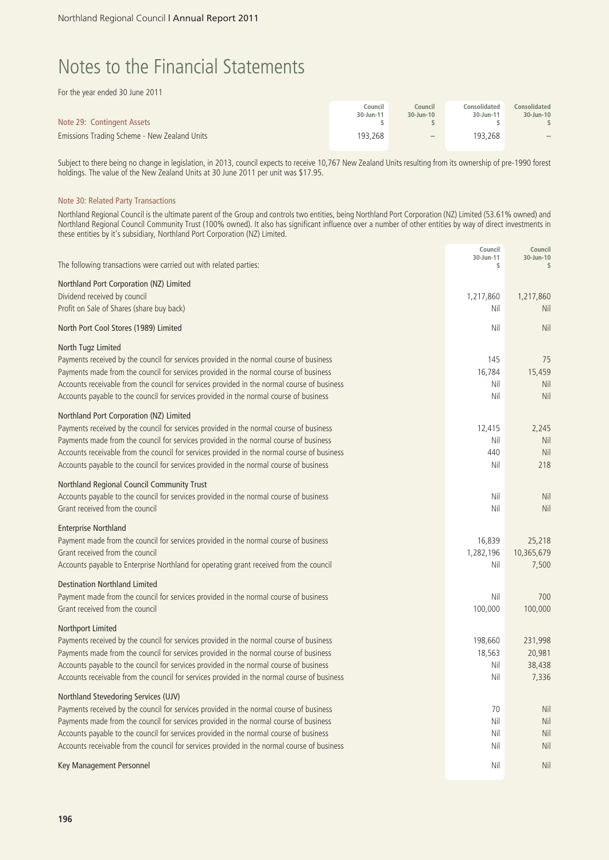For the year ended 30 June 2011

| Note 29: Contingent Assets                   | Council   | Council      | Consolidated | Consolidated             |
|----------------------------------------------|-----------|--------------|--------------|--------------------------|
|                                              | 30-Jun-11 | $30$ -Jun-10 | 30-Jun-11    | 30-Jun-10                |
| Emissions Trading Scheme - New Zealand Units | 193.268   |              | 193.268      | $\overline{\phantom{0}}$ |

Subject to there being no change in legislation, in 2013, council expects to receive 10,767 New Zealand Units resulting from its ownership of pre-1990 forest holdings. The value of the New Zealand Units at 30 June 2011 per unit was \$17.95.

#### Note 30: Related Party Transactions

Northland Regional Council is the ultimate parent of the Group and controls two entities, being Northland Port Corporation (NZ) Limited (53.61% owned) and Northland Regional Council Community Trust (100% owned). It also has significant influence over a number of other entities by way of direct investments in these entities by it's subsidiary, Northland Port Corporation (NZ) Limited.

|                                                                                             | Council         | Council         |
|---------------------------------------------------------------------------------------------|-----------------|-----------------|
| The following transactions were carried out with related parties:                           | 30-Jun-11<br>\$ | 30-Jun-10<br>\$ |
| Northland Port Corporation (NZ) Limited                                                     |                 |                 |
| Dividend received by council                                                                | 1,217,860       | 1,217,860       |
| Profit on Sale of Shares (share buy back)                                                   | Nil             | <b>Nil</b>      |
| North Port Cool Stores (1989) Limited                                                       | Nil             | <b>Nil</b>      |
| North Tugz Limited                                                                          |                 |                 |
| Payments received by the council for services provided in the normal course of business     | 145             | 75              |
| Payments made from the council for services provided in the normal course of business       | 16,784          | 15,459          |
| Accounts receivable from the council for services provided in the normal course of business | Nil             | Nil             |
| Accounts payable to the council for services provided in the normal course of business      | Nil             | Nil             |
| Northland Port Corporation (NZ) Limited                                                     |                 |                 |
| Payments received by the council for services provided in the normal course of business     | 12,415          | 2,245           |
| Payments made from the council for services provided in the normal course of business       | Nil             | Nil             |
| Accounts receivable from the council for services provided in the normal course of business | 440             | Nil             |
| Accounts payable to the council for services provided in the normal course of business      | Nil             | 218             |
| Northland Regional Council Community Trust                                                  |                 |                 |
| Accounts payable to the council for services provided in the normal course of business      | Nil             | <b>Nil</b>      |
| Grant received from the council                                                             | Nil             | Nil             |
| <b>Enterprise Northland</b>                                                                 |                 |                 |
| Payment made from the council for services provided in the normal course of business        | 16,839          | 25,218          |
| Grant received from the council                                                             | 1,282,196       | 10,365,679      |
| Accounts payable to Enterprise Northland for operating grant received from the council      | Nil             | 7,500           |
| <b>Destination Northland Limited</b>                                                        |                 |                 |
| Payment made from the council for services provided in the normal course of business        | Nil             | 700             |
| Grant received from the council                                                             | 100,000         | 100,000         |
| Northport Limited                                                                           |                 |                 |
| Payments received by the council for services provided in the normal course of business     | 198,660         | 231,998         |
| Payments made from the council for services provided in the normal course of business       | 18,563          | 20,981          |
| Accounts payable to the council for services provided in the normal course of business      | Nil             | 38,438          |
| Accounts receivable from the council for services provided in the normal course of business | Nil             | 7,336           |
| <b>Northland Stevedoring Services (UJV)</b>                                                 |                 |                 |
| Payments received by the council for services provided in the normal course of business     | 70              | Nil             |
| Payments made from the council for services provided in the normal course of business       | Nil             | Nil             |
| Accounts payable to the council for services provided in the normal course of business      | Nil             | Nil             |
| Accounts receivable from the council for services provided in the normal course of business | Nil             | Nil             |
| Key Management Personnel                                                                    | Nil             | Nil             |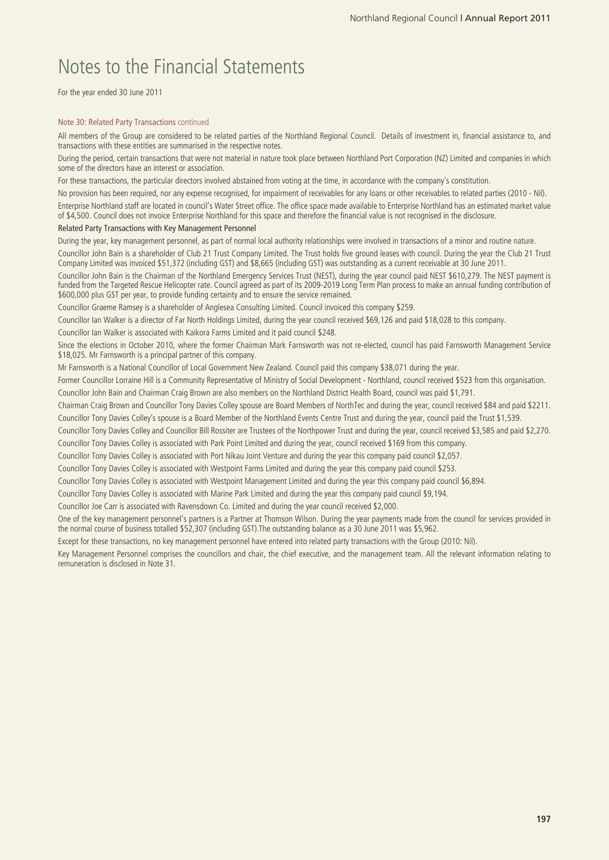For the year ended 30 June 2011

#### Note 30: Related Party Transactions continued

All members of the Group are considered to be related parties of the Northland Regional Council. Details of investment in, financial assistance to, and transactions with these entities are summarised in the respective notes.

During the period, certain transactions that were not material in nature took place between Northland Port Corporation (NZ) Limited and companies in which some of the directors have an interest or association.

For these transactions, the particular directors involved abstained from voting at the time, in accordance with the company's constitution.

No provision has been required, nor any expense recognised, for impairment of receivables for any loans or other receivables to related parties (2010 - Nil). Enterprise Northland staff are located in council's Water Street office. The office space made available to Enterprise Northland has an estimated market value of \$4,500. Council does not invoice Enterprise Northland for this space and therefore the financial value is not recognised in the disclosure.

#### Related Party Transactions with Key Management Personnel

During the year, key management personnel, as part of normal local authority relationships were involved in transactions of a minor and routine nature.

Councillor John Bain is a shareholder of Club 21 Trust Company Limited. The Trust holds five ground leases with council. During the year the Club 21 Trust Company Limited was invoiced \$51,372 (including GST) and \$8,665 (including GST) was outstanding as a current receivable at 30 June 2011.

Councillor John Bain is the Chairman of the Northland Emergency Services Trust (NEST), during the year council paid NEST \$610,279. The NEST payment is funded from the Targeted Rescue Helicopter rate. Council agreed as part of its 2009-2019 Long Term Plan process to make an annual funding contribution of \$600,000 plus GST per year, to provide funding certainty and to ensure the service remained.

Councillor Graeme Ramsey is a shareholder of Anglesea Consulting Limited. Council invoiced this company \$259.

Councillor Ian Walker is a director of Far North Holdings Limited, during the year council received \$69,126 and paid \$18,028 to this company.

Councillor Ian Walker is associated with Kaikora Farms Limited and it paid council \$248.

Since the elections in October 2010, where the former Chairman Mark Farnsworth was not re-elected, council has paid Farnsworth Management Service \$18,025. Mr Farnsworth is a principal partner of this company.

Mr Farnsworth is a National Councillor of Local Government New Zealand. Council paid this company \$38,071 during the year.

Former Councillor Lorraine Hill is a Community Representative of Ministry of Social Development - Northland, council received \$523 from this organisation. Councillor John Bain and Chairman Craig Brown are also members on the Northland District Health Board, council was paid \$1,791.

Chairman Craig Brown and Councillor Tony Davies Colley spouse are Board Members of NorthTec and during the year, council received \$84 and paid \$2211. Councillor Tony Davies Colley's spouse is a Board Member of the Northland Events Centre Trust and during the year, council paid the Trust \$1,539.

Councillor Tony Davies Colley and Councillor Bill Rossiter are Trustees of the Northpower Trust and during the year, council received \$3,585 and paid \$2,270.

Councillor Tony Davies Colley is associated with Park Point Limited and during the year, council received \$169 from this company.

Councillor Tony Davies Colley is associated with Port Nikau Joint Venture and during the year this company paid council \$2,057.

Councillor Tony Davies Colley is associated with Westpoint Farms Limited and during the year this company paid council \$253.

Councillor Tony Davies Colley is associated with Westpoint Management Limited and during the year this company paid council \$6,894.

Councillor Tony Davies Colley is associated with Marine Park Limited and during the year this company paid council \$9,194.

Councillor Joe Carr is associated with Ravensdown Co. Limited and during the year council received \$2,000.

One of the key management personnel's partners is a Partner at Thomson Wilson. During the year payments made from the council for services provided in the normal course of business totalled \$52,307 (including GST).The outstanding balance as a 30 June 2011 was \$5,962.

Except for these transactions, no key management personnel have entered into related party transactions with the Group (2010: Nil).

Key Management Personnel comprises the councillors and chair, the chief executive, and the management team. All the relevant information relating to remuneration is disclosed in Note 31.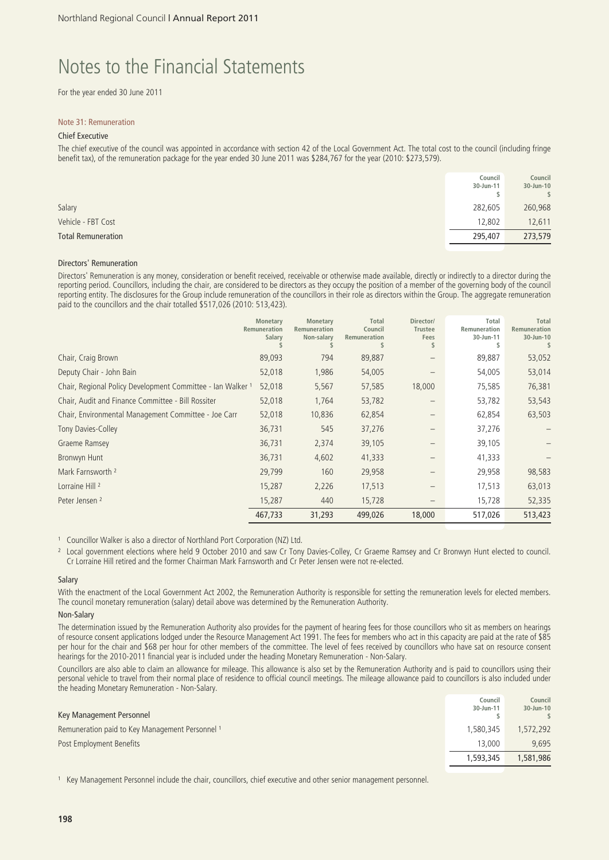For the year ended 30 June 2011

#### Note 31: Remuneration

#### Chief Executive

The chief executive of the council was appointed in accordance with section 42 of the Local Government Act. The total cost to the council (including fringe benefit tax), of the remuneration package for the year ended 30 June 2011 was \$284,767 for the year (2010: \$273,579).

|                           | Council   | Council   |
|---------------------------|-----------|-----------|
|                           | 30-Jun-11 | 30-Jun-10 |
|                           |           |           |
| Salary                    | 282,605   | 260,968   |
| Vehicle - FBT Cost        | 12,802    | 12,611    |
| <b>Total Remuneration</b> | 295,407   | 273,579   |
|                           |           |           |

#### Directors' Remuneration

Directors' Remuneration is any money, consideration or benefit received, receivable or otherwise made available, directly or indirectly to a director during the reporting period. Councillors, including the chair, are considered to be directors as they occupy the position of a member of the governing body of the council reporting entity. The disclosures for the Group include remuneration of the councillors in their role as directors within the Group. The aggregate remuneration paid to the councillors and the chair totalled \$517,026 (2010: 513,423).

|                                                             | Monetary<br>Remuneration<br>Salary | <b>Monetary</b><br>Remuneration<br>Non-salary | Total<br>Council<br>Remuneration | Director/<br>Trustee<br>Fees | Total<br>Remuneration<br>30-Jun-11 | Total<br>Remuneration<br>30-Jun-10 |
|-------------------------------------------------------------|------------------------------------|-----------------------------------------------|----------------------------------|------------------------------|------------------------------------|------------------------------------|
| Chair, Craig Brown                                          | 89,093                             | 794                                           | 89,887                           |                              | 89,887                             | 53,052                             |
| Deputy Chair - John Bain                                    | 52,018                             | 1,986                                         | 54,005                           |                              | 54,005                             | 53,014                             |
| Chair, Regional Policy Development Committee - Ian Walker 1 | 52,018                             | 5,567                                         | 57,585                           | 18,000                       | 75,585                             | 76,381                             |
| Chair, Audit and Finance Committee - Bill Rossiter          | 52,018                             | 1.764                                         | 53,782                           |                              | 53,782                             | 53,543                             |
| Chair, Environmental Management Committee - Joe Carr        | 52,018                             | 10,836                                        | 62,854                           |                              | 62,854                             | 63,503                             |
| Tony Davies-Colley                                          | 36,731                             | 545                                           | 37,276                           |                              | 37,276                             |                                    |
| Graeme Ramsey                                               | 36,731                             | 2,374                                         | 39,105                           |                              | 39,105                             |                                    |
| Bronwyn Hunt                                                | 36,731                             | 4,602                                         | 41,333                           |                              | 41,333                             |                                    |
| Mark Farnsworth 2                                           | 29,799                             | 160                                           | 29,958                           |                              | 29,958                             | 98,583                             |
| Lorraine Hill <sup>2</sup>                                  | 15,287                             | 2,226                                         | 17,513                           |                              | 17,513                             | 63,013                             |
| Peter Jensen <sup>2</sup>                                   | 15,287                             | 440                                           | 15,728                           |                              | 15,728                             | 52,335                             |
|                                                             | 467,733                            | 31,293                                        | 499,026                          | 18,000                       | 517,026                            | 513,423                            |

<sup>1</sup> Councillor Walker is also a director of Northland Port Corporation (NZ) Ltd.

<sup>2</sup> Local government elections where held 9 October 2010 and saw Cr Tony Davies-Colley, Cr Graeme Ramsey and Cr Bronwyn Hunt elected to council. Cr Lorraine Hill retired and the former Chairman Mark Farnsworth and Cr Peter Jensen were not re-elected.

#### Salary

With the enactment of the Local Government Act 2002, the Remuneration Authority is responsible for setting the remuneration levels for elected members. The council monetary remuneration (salary) detail above was determined by the Remuneration Authority.

#### Non-Salary

The determination issued by the Remuneration Authority also provides for the payment of hearing fees for those councillors who sit as members on hearings of resource consent applications lodged under the Resource Management Act 1991. The fees for members who act in this capacity are paid at the rate of \$85 per hour for the chair and \$68 per hour for other members of the committee. The level of fees received by councillors who have sat on resource consent hearings for the 2010-2011 financial year is included under the heading Monetary Remuneration - Non-Salary.

Councillors are also able to claim an allowance for mileage. This allowance is also set by the Remuneration Authority and is paid to councillors using their personal vehicle to travel from their normal place of residence to official council meetings. The mileage allowance paid to councillors is also included under the heading Monetary Remuneration - Non-Salary.

|                                                            | Council   | Council   |
|------------------------------------------------------------|-----------|-----------|
| Key Management Personnel                                   | 30-Jun-11 | 30-Jun-10 |
| Remuneration paid to Key Management Personnel <sup>1</sup> | 1,580,345 | 1,572,292 |
| Post Employment Benefits                                   | 13.000    | 9.695     |
|                                                            | 1,593,345 | 1,581,986 |
|                                                            |           |           |

<sup>1</sup> Key Management Personnel include the chair, councillors, chief executive and other senior management personnel.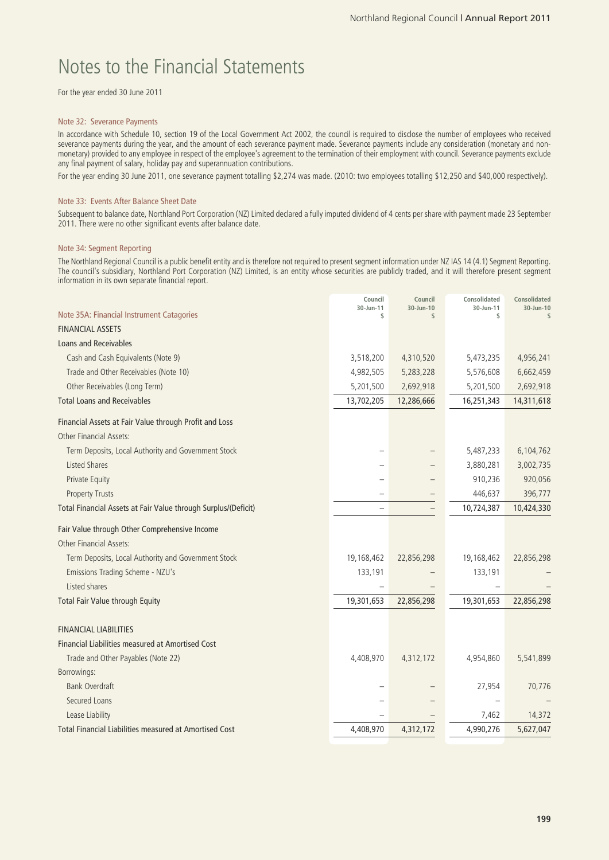For the year ended 30 June 2011

#### Note 32: Severance Payments

In accordance with Schedule 10, section 19 of the Local Government Act 2002, the council is required to disclose the number of employees who received severance payments during the year, and the amount of each severance payment made. Severance payments include any consideration (monetary and nonmonetary) provided to any employee in respect of the employee's agreement to the termination of their employment with council. Severance payments exclude any final payment of salary, holiday pay and superannuation contributions.

For the year ending 30 June 2011, one severance payment totalling \$2,274 was made. (2010: two employees totalling \$12,250 and \$40,000 respectively).

#### Note 33: Events After Balance Sheet Date

Subsequent to balance date, Northland Port Corporation (NZ) Limited declared a fully imputed dividend of 4 cents per share with payment made 23 September 2011. There were no other significant events after balance date.

#### Note 34: Segment Reporting

The Northland Regional Council is a public benefit entity and is therefore not required to present segment information under NZ IAS 14 (4.1) Segment Reporting. The council's subsidiary, Northland Port Corporation (NZ) Limited, is an entity whose securities are publicly traded, and it will therefore present segment information in its own separate financial report.

|                                                                | Council<br>30-Jun-11 | Council<br>30-Jun-10 | Consolidated<br>30-Jun-11 | Consolidated<br>30-Jun-10 |
|----------------------------------------------------------------|----------------------|----------------------|---------------------------|---------------------------|
| Note 35A: Financial Instrument Catagories                      | \$                   | \$                   | \$                        | \$                        |
| <b>FINANCIAL ASSETS</b>                                        |                      |                      |                           |                           |
| <b>Loans and Receivables</b>                                   |                      |                      |                           |                           |
| Cash and Cash Equivalents (Note 9)                             | 3,518,200            | 4,310,520            | 5,473,235                 | 4,956,241                 |
| Trade and Other Receivables (Note 10)                          | 4,982,505            | 5,283,228            | 5,576,608                 | 6,662,459                 |
| Other Receivables (Long Term)                                  | 5,201,500            | 2,692,918            | 5,201,500                 | 2,692,918                 |
| <b>Total Loans and Receivables</b>                             | 13,702,205           | 12,286,666           | 16,251,343                | 14,311,618                |
| Financial Assets at Fair Value through Profit and Loss         |                      |                      |                           |                           |
| Other Financial Assets:                                        |                      |                      |                           |                           |
| Term Deposits, Local Authority and Government Stock            |                      |                      | 5,487,233                 | 6,104,762                 |
| <b>Listed Shares</b>                                           |                      |                      | 3,880,281                 | 3,002,735                 |
| <b>Private Equity</b>                                          |                      |                      | 910,236                   | 920,056                   |
| <b>Property Trusts</b>                                         |                      |                      | 446,637                   | 396,777                   |
| Total Financial Assets at Fair Value through Surplus/(Deficit) |                      |                      | 10,724,387                | 10,424,330                |
| Fair Value through Other Comprehensive Income                  |                      |                      |                           |                           |
| <b>Other Financial Assets:</b>                                 |                      |                      |                           |                           |
| Term Deposits, Local Authority and Government Stock            | 19,168,462           | 22,856,298           | 19,168,462                | 22,856,298                |
| Emissions Trading Scheme - NZU's                               | 133,191              |                      | 133,191                   |                           |
| Listed shares                                                  |                      |                      |                           |                           |
| <b>Total Fair Value through Equity</b>                         | 19,301,653           | 22,856,298           | 19,301,653                | 22,856,298                |
| <b>FINANCIAL LIABILITIES</b>                                   |                      |                      |                           |                           |
| Financial Liabilities measured at Amortised Cost               |                      |                      |                           |                           |
| Trade and Other Payables (Note 22)                             | 4,408,970            | 4,312,172            | 4,954,860                 | 5,541,899                 |
| Borrowings:                                                    |                      |                      |                           |                           |
| <b>Bank Overdraft</b>                                          |                      |                      | 27,954                    | 70,776                    |
| Secured Loans                                                  |                      |                      |                           |                           |
| Lease Liability                                                |                      |                      | 7,462                     | 14,372                    |
| <b>Total Financial Liabilities measured at Amortised Cost</b>  | 4,408,970            | 4,312,172            | 4,990,276                 | 5,627,047                 |
|                                                                |                      |                      |                           |                           |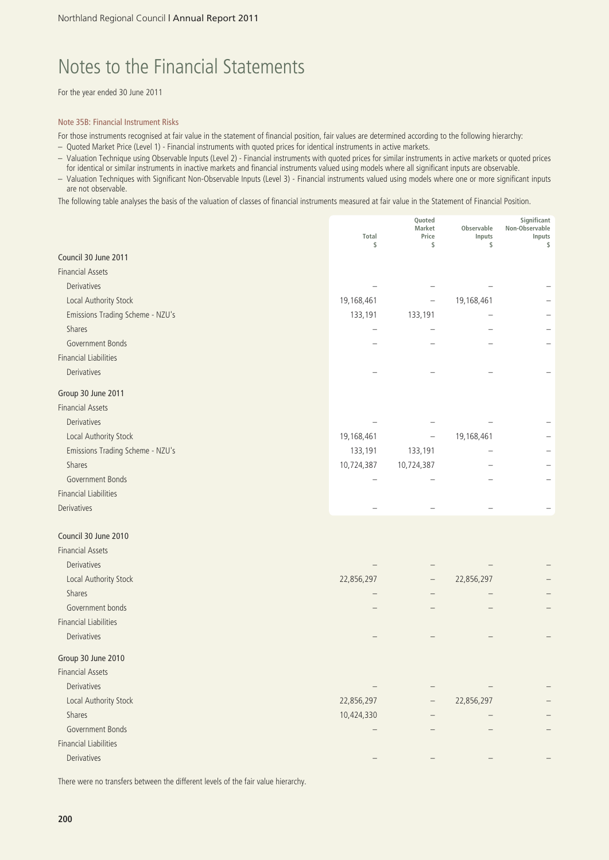For the year ended 30 June 2011

#### Note 35B: Financial Instrument Risks

For those instruments recognised at fair value in the statement of financial position, fair values are determined according to the following hierarchy:

- Quoted Market Price (Level 1) Financial instruments with quoted prices for identical instruments in active markets.
- Valuation Technique using Observable Inputs (Level 2) Financial instruments with quoted prices for similar instruments in active markets or quoted prices for identical or similar instruments in inactive markets and financial instruments valued using models where all significant inputs are observable.
- Valuation Techniques with Significant Non-Observable Inputs (Level 3) Financial instruments valued using models where one or more significant inputs are not observable.

The following table analyses the basis of the valuation of classes of financial instruments measured at fair value in the Statement of Financial Position.

|                                  | Total<br>\$ | Quoted<br><b>Market</b><br>Price<br>\$ | Observable<br>Inputs<br>\$ | Significant<br>Non-Observable<br>Inputs<br>\$ |
|----------------------------------|-------------|----------------------------------------|----------------------------|-----------------------------------------------|
| Council 30 June 2011             |             |                                        |                            |                                               |
| <b>Financial Assets</b>          |             |                                        |                            |                                               |
| <b>Derivatives</b>               |             |                                        |                            |                                               |
| Local Authority Stock            | 19,168,461  |                                        | 19,168,461                 |                                               |
| Emissions Trading Scheme - NZU's | 133,191     | 133,191                                |                            |                                               |
| Shares                           |             |                                        |                            |                                               |
| Government Bonds                 |             |                                        |                            |                                               |
| <b>Financial Liabilities</b>     |             |                                        |                            |                                               |
| Derivatives                      |             |                                        |                            |                                               |
| Group 30 June 2011               |             |                                        |                            |                                               |
| <b>Financial Assets</b>          |             |                                        |                            |                                               |
| Derivatives                      |             |                                        |                            |                                               |
| Local Authority Stock            | 19,168,461  |                                        | 19,168,461                 |                                               |
| Emissions Trading Scheme - NZU's | 133,191     | 133,191                                |                            |                                               |
| Shares                           | 10,724,387  | 10,724,387                             |                            |                                               |
| Government Bonds                 |             |                                        |                            |                                               |
| <b>Financial Liabilities</b>     |             |                                        |                            |                                               |
| Derivatives                      |             |                                        |                            |                                               |
| Council 30 June 2010             |             |                                        |                            |                                               |
| <b>Financial Assets</b>          |             |                                        |                            |                                               |
| Derivatives                      |             |                                        |                            |                                               |
| Local Authority Stock            | 22,856,297  |                                        | 22,856,297                 |                                               |
| Shares                           |             |                                        |                            |                                               |
| Government bonds                 |             |                                        |                            |                                               |
| <b>Financial Liabilities</b>     |             |                                        |                            |                                               |
| Derivatives                      |             |                                        |                            |                                               |
| Group 30 June 2010               |             |                                        |                            |                                               |
| <b>Financial Assets</b>          |             |                                        |                            |                                               |
| Derivatives                      |             |                                        |                            |                                               |
| Local Authority Stock            | 22,856,297  |                                        | 22,856,297                 |                                               |
| Shares                           | 10,424,330  |                                        |                            |                                               |
| Government Bonds                 |             |                                        |                            |                                               |
| <b>Financial Liabilities</b>     |             |                                        |                            |                                               |
| Derivatives                      |             |                                        |                            |                                               |

There were no transfers between the different levels of the fair value hierarchy.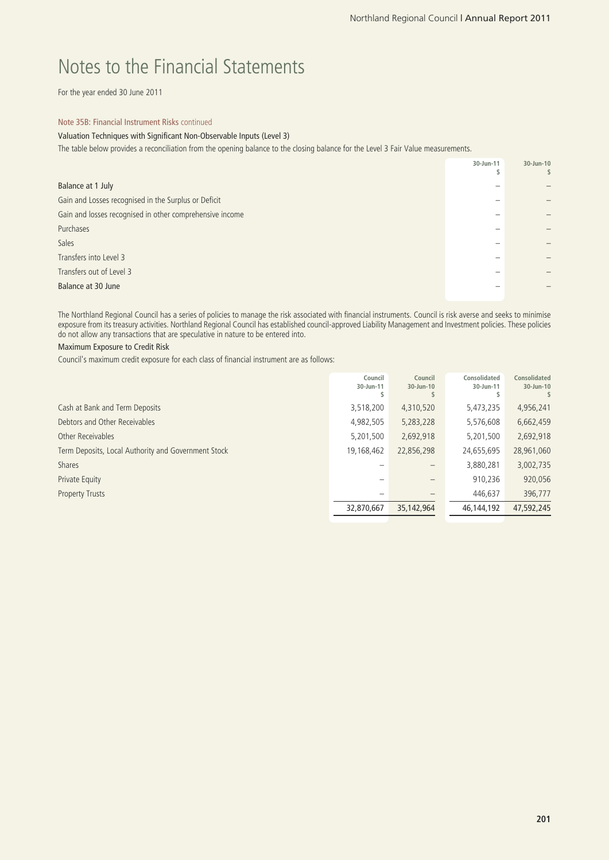For the year ended 30 June 2011

#### Note 35B: Financial Instrument Risks continued

### Valuation Techniques with Significant Non-Observable Inputs (Level 3)

The table below provides a reconciliation from the opening balance to the closing balance for the Level 3 Fair Value measurements.

|                                                          | 30-Jun-11 | $30 - Jun-10$ |
|----------------------------------------------------------|-----------|---------------|
|                                                          | \$        | S             |
| Balance at 1 July                                        |           |               |
| Gain and Losses recognised in the Surplus or Deficit     |           |               |
| Gain and losses recognised in other comprehensive income | –         |               |
| Purchases                                                |           |               |
| Sales                                                    |           |               |
| Transfers into Level 3                                   | –         |               |
| Transfers out of Level 3                                 | –         |               |
| Balance at 30 June                                       |           |               |
|                                                          |           |               |

The Northland Regional Council has a series of policies to manage the risk associated with financial instruments. Council is risk averse and seeks to minimise exposure from its treasury activities. Northland Regional Council has established council-approved Liability Management and Investment policies. These policies do not allow any transactions that are speculative in nature to be entered into.

#### Maximum Exposure to Credit Risk

Council's maximum credit exposure for each class of financial instrument are as follows:

|                                                     | Council    | Council    | Consolidated | Consolidated |
|-----------------------------------------------------|------------|------------|--------------|--------------|
|                                                     | 30-Jun-11  | 30-Jun-10  | 30-Jun-11    | 30-Jun-10    |
|                                                     |            |            |              |              |
| Cash at Bank and Term Deposits                      | 3,518,200  | 4,310,520  | 5,473,235    | 4,956,241    |
| Debtors and Other Receivables                       | 4,982,505  | 5,283,228  | 5,576,608    | 6,662,459    |
| Other Receivables                                   | 5,201,500  | 2,692,918  | 5,201,500    | 2,692,918    |
| Term Deposits, Local Authority and Government Stock | 19,168,462 | 22,856,298 | 24,655,695   | 28,961,060   |
| <b>Shares</b>                                       |            |            | 3,880,281    | 3,002,735    |
| Private Equity                                      |            |            | 910,236      | 920,056      |
| <b>Property Trusts</b>                              |            |            | 446,637      | 396,777      |
|                                                     | 32,870,667 | 35,142,964 | 46,144,192   | 47,592,245   |
|                                                     |            |            |              |              |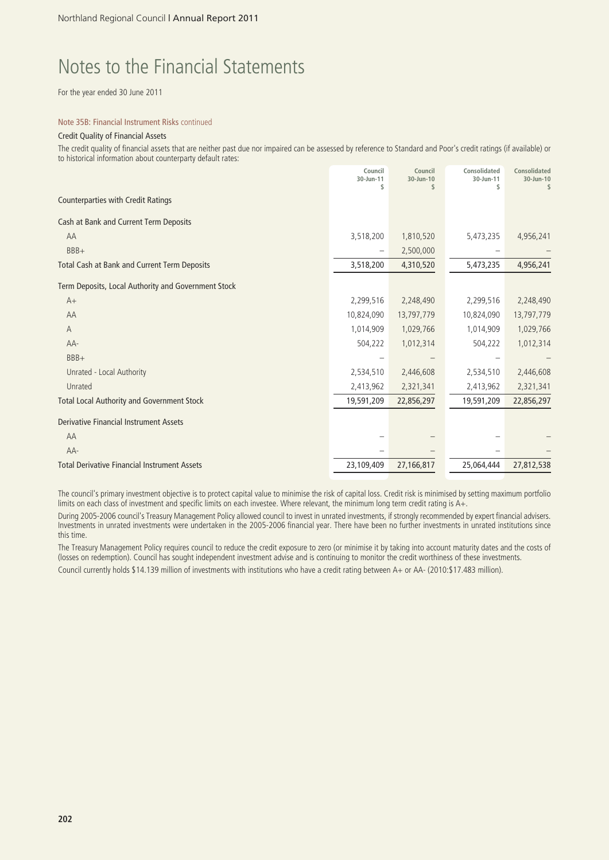For the year ended 30 June 2011

### Note 35B: Financial Instrument Risks continued

#### Credit Quality of Financial Assets

The credit quality of financial assets that are neither past due nor impaired can be assessed by reference to Standard and Poor's credit ratings (if available) or to historical information about counterparty default rates:

|                                                     | Council<br>30-Jun-11     | Council<br>30-Jun-10 | Consolidated<br>30-Jun-11 | Consolidated<br>30-Jun-10 |
|-----------------------------------------------------|--------------------------|----------------------|---------------------------|---------------------------|
|                                                     | \$                       | \$                   | \$                        | \$.                       |
| <b>Counterparties with Credit Ratings</b>           |                          |                      |                           |                           |
| Cash at Bank and Current Term Deposits              |                          |                      |                           |                           |
| AA                                                  | 3,518,200                | 1,810,520            | 5,473,235                 | 4,956,241                 |
| $BBB+$                                              | $\overline{\phantom{m}}$ | 2,500,000            |                           |                           |
| <b>Total Cash at Bank and Current Term Deposits</b> | 3,518,200                | 4,310,520            | 5,473,235                 | 4,956,241                 |
| Term Deposits, Local Authority and Government Stock |                          |                      |                           |                           |
| $A+$                                                | 2,299,516                | 2,248,490            | 2,299,516                 | 2,248,490                 |
| AA                                                  | 10,824,090               | 13,797,779           | 10,824,090                | 13,797,779                |
| A                                                   | 1,014,909                | 1,029,766            | 1,014,909                 | 1,029,766                 |
| $AA-$                                               | 504,222                  | 1,012,314            | 504,222                   | 1,012,314                 |
| $BBB+$                                              |                          |                      |                           |                           |
| Unrated - Local Authority                           | 2,534,510                | 2,446,608            | 2,534,510                 | 2,446,608                 |
| Unrated                                             | 2,413,962                | 2,321,341            | 2,413,962                 | 2,321,341                 |
| <b>Total Local Authority and Government Stock</b>   | 19,591,209               | 22,856,297           | 19,591,209                | 22,856,297                |
| <b>Derivative Financial Instrument Assets</b>       |                          |                      |                           |                           |
| AA                                                  |                          |                      |                           |                           |
| $AA-$                                               |                          |                      |                           |                           |
| <b>Total Derivative Financial Instrument Assets</b> | 23,109,409               | 27,166,817           | 25.064.444                | 27,812,538                |

The council's primary investment objective is to protect capital value to minimise the risk of capital loss. Credit risk is minimised by setting maximum portfolio limits on each class of investment and specific limits on each investee. Where relevant, the minimum long term credit rating is A+.

During 2005-2006 council's Treasury Management Policy allowed council to invest in unrated investments, if strongly recommended by expert financial advisers. Investments in unrated investments were undertaken in the 2005-2006 financial year. There have been no further investments in unrated institutions since this time.

The Treasury Management Policy requires council to reduce the credit exposure to zero (or minimise it by taking into account maturity dates and the costs of (losses on redemption). Council has sought independent investment advise and is continuing to monitor the credit worthiness of these investments.

Council currently holds \$14.139 million of investments with institutions who have a credit rating between A+ or AA- (2010:\$17.483 million).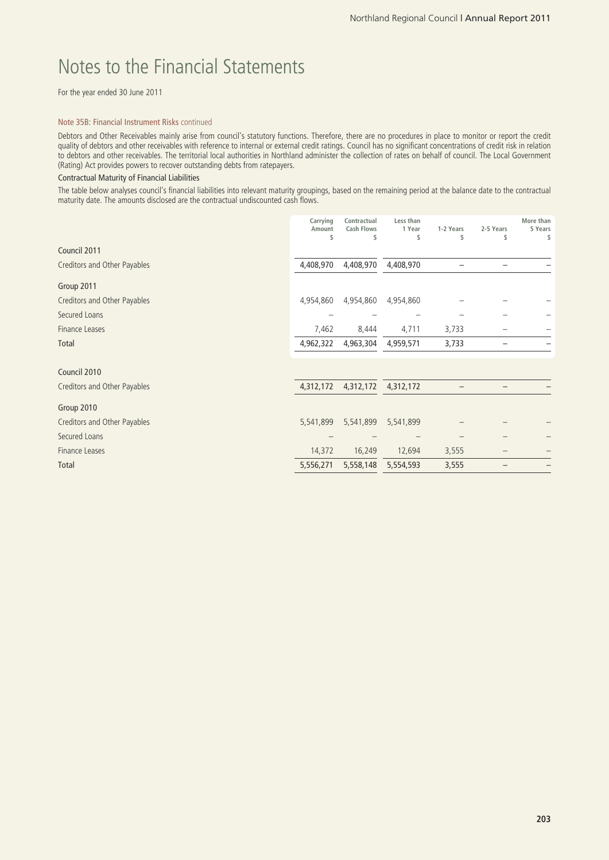### For the year ended 30 June 2011

#### Note 35B: Financial Instrument Risks continued

Debtors and Other Receivables mainly arise from council's statutory functions. Therefore, there are no procedures in place to monitor or report the credit quality of debtors and other receivables with reference to internal or external credit ratings. Council has no significant concentrations of credit risk in relation to debtors and other receivables. The territorial local authorities in Northland administer the collection of rates on behalf of council. The Local Government (Rating) Act provides powers to recover outstanding debts from ratepayers.

#### Contractual Maturity of Financial Liabilities

The table below analyses council's financial liabilities into relevant maturity groupings, based on the remaining period at the balance date to the contractual maturity date. The amounts disclosed are the contractual undiscounted cash flows.

|                              | Carrying<br>Amount | Contractual<br><b>Cash Flows</b> | Less than<br>1 Year | 1-2 Years | 2-5 Years | More than<br>5 Years |
|------------------------------|--------------------|----------------------------------|---------------------|-----------|-----------|----------------------|
|                              | \$                 | \$                               | \$                  | \$        | \$        | \$                   |
| Council 2011                 |                    |                                  |                     |           |           |                      |
| Creditors and Other Payables | 4,408,970          | 4,408,970                        | 4,408,970           |           |           |                      |
| Group 2011                   |                    |                                  |                     |           |           |                      |
| Creditors and Other Payables | 4,954,860          | 4,954,860                        | 4,954,860           |           |           |                      |
| Secured Loans                |                    |                                  |                     |           |           |                      |
| <b>Finance Leases</b>        | 7,462              | 8,444                            | 4,711               | 3,733     |           |                      |
| Total                        | 4,962,322          | 4,963,304                        | 4,959,571           | 3,733     |           |                      |
|                              |                    |                                  |                     |           |           |                      |
| Council 2010                 |                    |                                  |                     |           |           |                      |
| Creditors and Other Payables | 4,312,172          | 4,312,172                        | 4,312,172           |           |           |                      |
| Group 2010                   |                    |                                  |                     |           |           |                      |
| Creditors and Other Payables | 5,541,899          | 5,541,899                        | 5,541,899           |           |           |                      |
| Secured Loans                |                    |                                  |                     |           |           |                      |
| <b>Finance Leases</b>        | 14,372             | 16,249                           | 12,694              | 3,555     |           |                      |
| Total                        | 5,556,271          | 5,558,148                        | 5,554,593           | 3,555     |           |                      |
|                              |                    |                                  |                     |           |           |                      |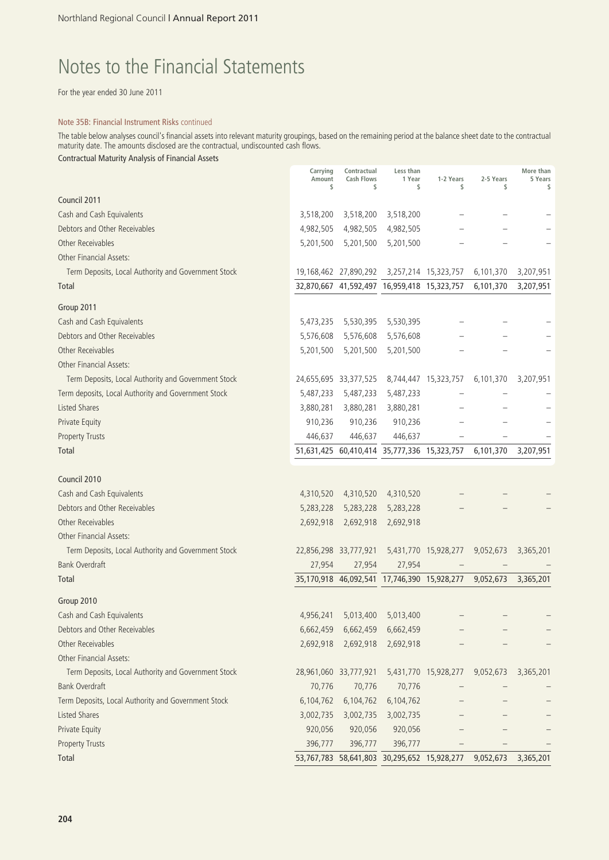For the year ended 30 June 2011

### Note 35B: Financial Instrument Risks continued

The table below analyses council's financial assets into relevant maturity groupings, based on the remaining period at the balance sheet date to the contractual maturity date. The amounts disclosed are the contractual, undiscounted cash flows.

Contractual Maturity Analysis of Financial Assets

|                                                     | Carrying<br>Amount<br>S | Contractual<br><b>Cash Flows</b><br>\$ | Less than<br>1 Year<br>\$                   | 1-2 Years<br>\$                             | 2-5 Years<br>\$ | More than<br>5 Years<br>\$ |
|-----------------------------------------------------|-------------------------|----------------------------------------|---------------------------------------------|---------------------------------------------|-----------------|----------------------------|
| Council 2011                                        |                         |                                        |                                             |                                             |                 |                            |
| Cash and Cash Equivalents                           | 3,518,200               | 3,518,200                              | 3,518,200                                   |                                             |                 |                            |
| Debtors and Other Receivables                       | 4,982,505               | 4,982,505                              | 4,982,505                                   |                                             |                 |                            |
| Other Receivables                                   | 5,201,500               | 5,201,500                              | 5,201,500                                   |                                             |                 |                            |
| <b>Other Financial Assets:</b>                      |                         |                                        |                                             |                                             |                 |                            |
| Term Deposits, Local Authority and Government Stock |                         | 19,168,462 27,890,292                  |                                             | 3,257,214 15,323,757                        | 6,101,370       | 3,207,951                  |
| Total                                               |                         |                                        | 32,870,667 41,592,497 16,959,418 15,323,757 |                                             | 6,101,370       | 3,207,951                  |
| Group 2011                                          |                         |                                        |                                             |                                             |                 |                            |
| Cash and Cash Equivalents                           | 5,473,235               | 5,530,395                              | 5,530,395                                   |                                             |                 |                            |
| Debtors and Other Receivables                       | 5,576,608               | 5,576,608                              | 5,576,608                                   |                                             |                 |                            |
| Other Receivables                                   | 5,201,500               | 5,201,500                              | 5,201,500                                   |                                             |                 |                            |
| Other Financial Assets:                             |                         |                                        |                                             |                                             |                 |                            |
| Term Deposits, Local Authority and Government Stock |                         | 24,655,695 33,377,525                  |                                             | 8,744,447 15,323,757                        | 6,101,370       | 3,207,951                  |
| Term deposits, Local Authority and Government Stock | 5,487,233               | 5,487,233                              | 5,487,233                                   |                                             |                 |                            |
| <b>Listed Shares</b>                                | 3,880,281               | 3,880,281                              | 3,880,281                                   |                                             |                 |                            |
| Private Equity                                      | 910,236                 | 910,236                                | 910,236                                     |                                             |                 |                            |
| <b>Property Trusts</b>                              | 446,637                 | 446,637                                | 446,637                                     |                                             |                 |                            |
| Total                                               |                         |                                        | 51,631,425 60,410,414 35,777,336 15,323,757 |                                             | 6,101,370       | 3,207,951                  |
| Council 2010                                        |                         |                                        |                                             |                                             |                 |                            |
| Cash and Cash Equivalents                           | 4,310,520               | 4,310,520                              | 4,310,520                                   |                                             |                 |                            |
| Debtors and Other Receivables                       | 5,283,228               | 5,283,228                              | 5,283,228                                   |                                             |                 |                            |
| <b>Other Receivables</b>                            | 2,692,918               | 2,692,918                              | 2,692,918                                   |                                             |                 |                            |
| <b>Other Financial Assets:</b>                      |                         |                                        |                                             |                                             |                 |                            |
| Term Deposits, Local Authority and Government Stock |                         | 22,856,298 33,777,921                  |                                             | 5,431,770 15,928,277                        | 9,052,673       | 3,365,201                  |
| <b>Bank Overdraft</b>                               | 27,954                  | 27,954                                 | 27,954                                      |                                             |                 |                            |
| Total                                               |                         |                                        |                                             | 35,170,918 46,092,541 17,746,390 15,928,277 | 9,052,673       | 3,365,201                  |
| Group 2010                                          |                         |                                        |                                             |                                             |                 |                            |
| Cash and Cash Equivalents                           | 4,956,241               | 5,013,400                              | 5,013,400                                   |                                             |                 |                            |
| Debtors and Other Receivables                       | 6,662,459               | 6,662,459                              | 6,662,459                                   |                                             |                 |                            |
| <b>Other Receivables</b>                            | 2,692,918               | 2,692,918                              | 2,692,918                                   |                                             |                 |                            |
| <b>Other Financial Assets:</b>                      |                         |                                        |                                             |                                             |                 |                            |
| Term Deposits, Local Authority and Government Stock | 28,961,060 33,777,921   |                                        |                                             | 5,431,770 15,928,277                        | 9,052,673       | 3,365,201                  |
| <b>Bank Overdraft</b>                               | 70,776                  | 70,776                                 | 70,776                                      |                                             |                 |                            |
| Term Deposits, Local Authority and Government Stock | 6,104,762               | 6,104,762                              | 6,104,762                                   |                                             |                 |                            |
| <b>Listed Shares</b>                                | 3,002,735               | 3,002,735                              | 3,002,735                                   |                                             |                 |                            |
| <b>Private Equity</b>                               | 920,056                 | 920,056                                | 920,056                                     |                                             |                 |                            |
| <b>Property Trusts</b>                              | 396,777                 | 396,777                                | 396,777                                     |                                             |                 |                            |
| Total                                               |                         |                                        | 53,767,783 58,641,803 30,295,652 15,928,277 |                                             | 9,052,673       | 3,365,201                  |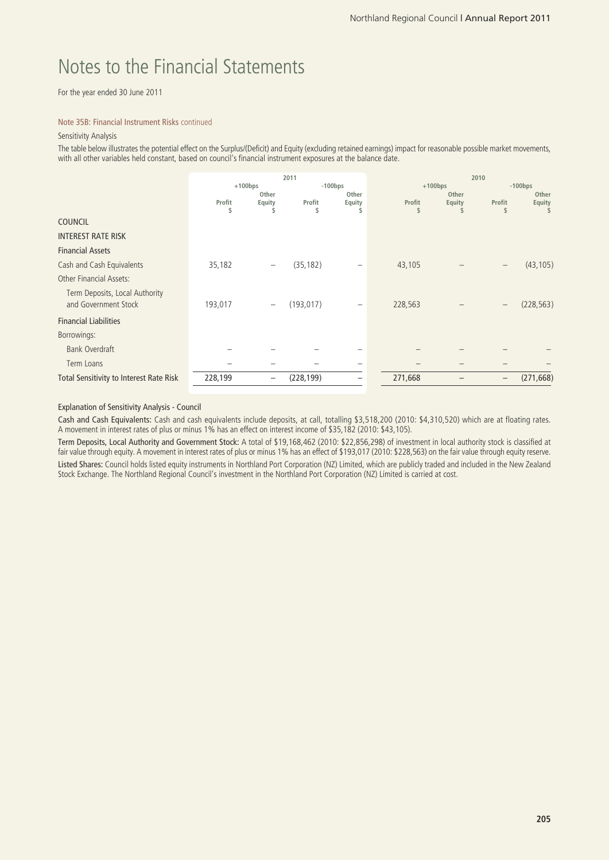For the year ended 30 June 2011

### Note 35B: Financial Instrument Risks continued

#### Sensitivity Analysis

The table below illustrates the potential effect on the Surplus/(Deficit) and Equity (excluding retained earnings) impact for reasonable possible market movements, with all other variables held constant, based on council's financial instrument exposures at the balance date.

|                                                        | 2011    |                          |            |                          |         | 2010            |        |                 |
|--------------------------------------------------------|---------|--------------------------|------------|--------------------------|---------|-----------------|--------|-----------------|
|                                                        |         | $+100bps$                |            | $-100$ bps               |         | $+100bps$       |        | $-100$ bps      |
|                                                        | Profit  | Other<br>Equity          | Profit     | Other<br>Equity          | Profit  | Other<br>Equity | Profit | Other<br>Equity |
| <b>COUNCIL</b>                                         | \$      | S                        | \$         | S                        | \$      | S               | \$     | \$              |
| <b>INTEREST RATE RISK</b>                              |         |                          |            |                          |         |                 |        |                 |
| <b>Financial Assets</b>                                |         |                          |            |                          |         |                 |        |                 |
| Cash and Cash Equivalents                              | 35,182  | $\overline{\phantom{m}}$ | (35, 182)  | $\qquad \qquad -$        | 43,105  |                 | -      | (43, 105)       |
| <b>Other Financial Assets:</b>                         |         |                          |            |                          |         |                 |        |                 |
| Term Deposits, Local Authority<br>and Government Stock | 193,017 | $\overline{\phantom{m}}$ | (193, 017) | $\overline{\phantom{m}}$ | 228,563 |                 | —      | (228, 563)      |
| <b>Financial Liabilities</b>                           |         |                          |            |                          |         |                 |        |                 |
| Borrowings:                                            |         |                          |            |                          |         |                 |        |                 |
| <b>Bank Overdraft</b>                                  |         |                          |            |                          |         |                 |        |                 |
| Term Loans                                             |         |                          |            |                          |         |                 |        |                 |
| <b>Total Sensitivity to Interest Rate Risk</b>         | 228,199 | $\overline{\phantom{m}}$ | (228, 199) |                          | 271,668 |                 | —      | (271, 668)      |

# Explanation of Sensitivity Analysis - Council

Cash and Cash Equivalents: Cash and cash equivalents include deposits, at call, totalling \$3,518,200 (2010: \$4,310,520) which are at floating rates. A movement in interest rates of plus or minus 1% has an effect on interest income of \$35,182 (2010: \$43,105).

Term Deposits, Local Authority and Government Stock: A total of \$19,168,462 (2010: \$22,856,298) of investment in local authority stock is classified at fair value through equity. A movement in interest rates of plus or minus 1% has an effect of \$193,017 (2010: \$228,563) on the fair value through equity reserve. Listed Shares: Council holds listed equity instruments in Northland Port Corporation (NZ) Limited, which are publicly traded and included in the New Zealand Stock Exchange. The Northland Regional Council's investment in the Northland Port Corporation (NZ) Limited is carried at cost.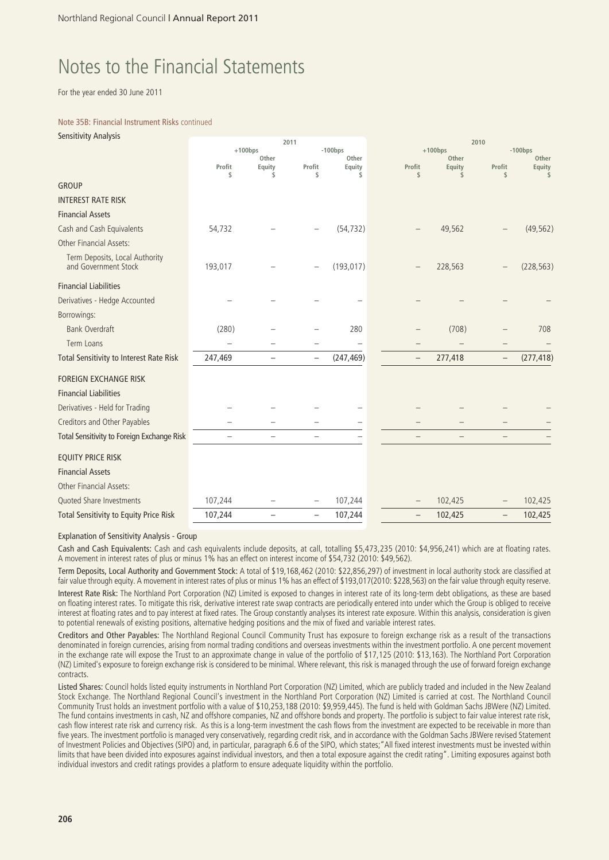For the year ended 30 June 2011

#### Note 35B: Financial Instrument Risks continued

#### Sensitivity Analysis

|                                                        |         |                          | 2011                     |                 |                          |                 | 2010                     |                 |
|--------------------------------------------------------|---------|--------------------------|--------------------------|-----------------|--------------------------|-----------------|--------------------------|-----------------|
|                                                        |         | $+100$ bps               |                          | $-100$ bps      |                          | $+100$ bps      |                          | $-100$ bps      |
|                                                        | Profit  | Other<br>Equity          | Profit                   | Other<br>Equity | Profit                   | Other<br>Equity | Profit                   | Other<br>Equity |
|                                                        | \$      | \$                       | \$                       | \$              | \$                       | \$              | \$                       | \$              |
| <b>GROUP</b>                                           |         |                          |                          |                 |                          |                 |                          |                 |
| <b>INTEREST RATE RISK</b>                              |         |                          |                          |                 |                          |                 |                          |                 |
| <b>Financial Assets</b>                                |         |                          |                          |                 |                          |                 |                          |                 |
| Cash and Cash Equivalents                              | 54,732  |                          |                          | (54, 732)       |                          | 49,562          |                          | (49, 562)       |
| <b>Other Financial Assets:</b>                         |         |                          |                          |                 |                          |                 |                          |                 |
| Term Deposits, Local Authority<br>and Government Stock | 193,017 |                          |                          | (193, 017)      |                          | 228,563         |                          | (228, 563)      |
| <b>Financial Liabilities</b>                           |         |                          |                          |                 |                          |                 |                          |                 |
| Derivatives - Hedge Accounted                          |         |                          |                          |                 |                          |                 |                          |                 |
| Borrowings:                                            |         |                          |                          |                 |                          |                 |                          |                 |
| <b>Bank Overdraft</b>                                  | (280)   |                          |                          | 280             |                          | (708)           |                          | 708             |
| Term Loans                                             |         |                          |                          |                 |                          |                 |                          |                 |
| <b>Total Sensitivity to Interest Rate Risk</b>         | 247,469 | $\qquad \qquad -$        | $\overline{\phantom{m}}$ | (247, 469)      | $\overline{\phantom{0}}$ | 277,418         | $\overline{\phantom{0}}$ | (277, 418)      |
| <b>FOREIGN EXCHANGE RISK</b>                           |         |                          |                          |                 |                          |                 |                          |                 |
| <b>Financial Liabilities</b>                           |         |                          |                          |                 |                          |                 |                          |                 |
| Derivatives - Held for Trading                         |         |                          |                          |                 |                          |                 |                          |                 |
| Creditors and Other Payables                           |         |                          |                          |                 |                          |                 |                          |                 |
| Total Sensitivity to Foreign Exchange Risk             |         | $\overline{\phantom{0}}$ | L.                       |                 |                          |                 |                          |                 |
| <b>EQUITY PRICE RISK</b>                               |         |                          |                          |                 |                          |                 |                          |                 |
| <b>Financial Assets</b>                                |         |                          |                          |                 |                          |                 |                          |                 |
| <b>Other Financial Assets:</b>                         |         |                          |                          |                 |                          |                 |                          |                 |
| Quoted Share Investments                               | 107,244 |                          |                          | 107,244         |                          | 102,425         |                          | 102,425         |
| <b>Total Sensitivity to Equity Price Risk</b>          | 107,244 |                          | $\overline{\phantom{0}}$ | 107,244         |                          | 102,425         |                          | 102,425         |
|                                                        |         |                          |                          |                 |                          |                 |                          |                 |

Explanation of Sensitivity Analysis - Group

Cash and Cash Equivalents: Cash and cash equivalents include deposits, at call, totalling \$5,473,235 (2010: \$4,956,241) which are at floating rates. A movement in interest rates of plus or minus 1% has an effect on interest income of \$54,732 (2010: \$49,562).

Term Deposits, Local Authority and Government Stock: A total of \$19,168,462 (2010: \$22,856,297) of investment in local authority stock are classified at fair value through equity. A movement in interest rates of plus or minus 1% has an effect of \$193,017(2010: \$228,563) on the fair value through equity reserve. Interest Rate Risk: The Northland Port Corporation (NZ) Limited is exposed to changes in interest rate of its long-term debt obligations, as these are based on floating interest rates. To mitigate this risk, derivative interest rate swap contracts are periodically entered into under which the Group is obliged to receive

interest at floating rates and to pay interest at fixed rates. The Group constantly analyses its interest rate exposure. Within this analysis, consideration is given to potential renewals of existing positions, alternative hedging positions and the mix of fixed and variable interest rates.

Creditors and Other Payables: The Northland Regional Council Community Trust has exposure to foreign exchange risk as a result of the transactions denominated in foreign currencies, arising from normal trading conditions and overseas investments within the investment portfolio. A one percent movement in the exchange rate will expose the Trust to an approximate change in value of the portfolio of \$17,125 (2010: \$13,163). The Northland Port Corporation (NZ) Limited's exposure to foreign exchange risk is considered to be minimal. Where relevant, this risk is managed through the use of forward foreign exchange contracts.

Listed Shares: Council holds listed equity instruments in Northland Port Corporation (NZ) Limited, which are publicly traded and included in the New Zealand Stock Exchange. The Northland Regional Council's investment in the Northland Port Corporation (NZ) Limited is carried at cost. The Northland Council Community Trust holds an investment portfolio with a value of \$10,253,188 (2010: \$9,959,445). The fund is held with Goldman Sachs JBWere (NZ) Limited. The fund contains investments in cash, NZ and offshore companies, NZ and offshore bonds and property. The portfolio is subject to fair value interest rate risk, cash flow interest rate risk and currency risk. As this is a long-term investment the cash flows from the investment are expected to be receivable in more than five years. The investment portfolio is managed very conservatively, regarding credit risk, and in accordance with the Goldman Sachs JBWere revised Statement of Investment Policies and Objectives (SIPO) and, in particular, paragraph 6.6 of the SIPO, which states;"All fixed interest investments must be invested within limits that have been divided into exposures against individual investors, and then a total exposure against the credit rating". Limiting exposures against both individual investors and credit ratings provides a platform to ensure adequate liquidity within the portfolio.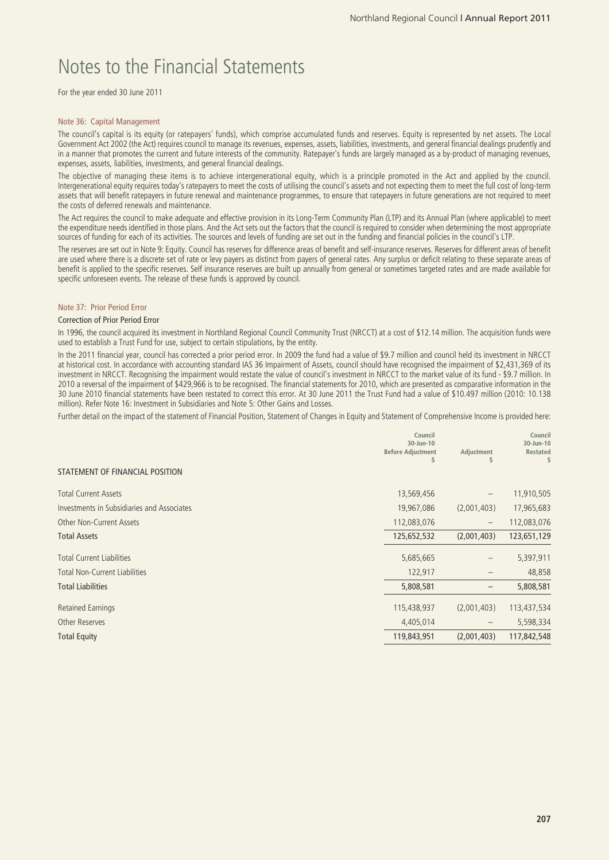For the year ended 30 June 2011

#### Note 36: Capital Management

The council's capital is its equity (or ratepayers' funds), which comprise accumulated funds and reserves. Equity is represented by net assets. The Local Government Act 2002 (the Act) requires council to manage its revenues, expenses, assets, liabilities, investments, and general financial dealings prudently and in a manner that promotes the current and future interests of the community. Ratepayer's funds are largely managed as a by-product of managing revenues, expenses, assets, liabilities, investments, and general financial dealings.

The objective of managing these items is to achieve intergenerational equity, which is a principle promoted in the Act and applied by the council. Intergenerational equity requires today's ratepayers to meet the costs of utilising the council's assets and not expecting them to meet the full cost of long-term assets that will benefit ratepayers in future renewal and maintenance programmes, to ensure that ratepayers in future generations are not required to meet the costs of deferred renewals and maintenance.

The Act requires the council to make adequate and effective provision in its Long-Term Community Plan (LTP) and its Annual Plan (where applicable) to meet the expenditure needs identified in those plans. And the Act sets out the factors that the council is required to consider when determining the most appropriate sources of funding for each of its activities. The sources and levels of funding are set out in the funding and financial policies in the council's LTP.

The reserves are set out in Note 9: Equity. Council has reserves for difference areas of benefit and self-insurance reserves. Reserves for different areas of benefit are used where there is a discrete set of rate or levy payers as distinct from payers of general rates. Any surplus or deficit relating to these separate areas of benefit is applied to the specific reserves. Self insurance reserves are built up annually from general or sometimes targeted rates and are made available for specific unforeseen events. The release of these funds is approved by council.

#### Note 37: Prior Period Error

#### Correction of Prior Period Error

In 1996, the council acquired its investment in Northland Regional Council Community Trust (NRCCT) at a cost of \$12.14 million. The acquisition funds were used to establish a Trust Fund for use, subject to certain stipulations, by the entity.

In the 2011 financial year, council has corrected a prior period error. In 2009 the fund had a value of \$9.7 million and council held its investment in NRCCT at historical cost. In accordance with accounting standard IAS 36 Impairment of Assets, council should have recognised the impairment of \$2,431,369 of its investment in NRCCT. Recognising the impairment would restate the value of council's investment in NRCCT to the market value of its fund - \$9.7 million. In 2010 a reversal of the impairment of \$429,966 is to be recognised. The financial statements for 2010, which are presented as comparative information in the 30 June 2010 financial statements have been restated to correct this error. At 30 June 2011 the Trust Fund had a value of \$10.497 million (2010: 10.138 million). Refer Note 16: Investment in Subsidiaries and Note 5: Other Gains and Losses.

Further detail on the impact of the statement of Financial Position, Statement of Changes in Equity and Statement of Comprehensive Income is provided here:

|                                            | Council<br>30-Jun-10<br><b>Before Adjustment</b> | Adjustment               | Council<br>30-Jun-10<br><b>Restated</b><br>\$ |
|--------------------------------------------|--------------------------------------------------|--------------------------|-----------------------------------------------|
| STATEMENT OF FINANCIAL POSITION            |                                                  |                          |                                               |
| <b>Total Current Assets</b>                | 13,569,456                                       | $\overline{\phantom{m}}$ | 11,910,505                                    |
| Investments in Subsidiaries and Associates | 19,967,086                                       | (2,001,403)              | 17,965,683                                    |
| <b>Other Non-Current Assets</b>            | 112,083,076                                      | $\qquad \qquad -$        | 112,083,076                                   |
| <b>Total Assets</b>                        | 125,652,532                                      | (2,001,403)              | 123,651,129                                   |
| <b>Total Current Liabilities</b>           | 5,685,665                                        | —                        | 5,397,911                                     |
| <b>Total Non-Current Liabilities</b>       | 122,917                                          |                          | 48,858                                        |
| <b>Total Liabilities</b>                   | 5,808,581                                        | -                        | 5,808,581                                     |
| <b>Retained Earnings</b>                   | 115,438,937                                      | (2,001,403)              | 113,437,534                                   |
| <b>Other Reserves</b>                      | 4,405,014                                        |                          | 5,598,334                                     |
| <b>Total Equity</b>                        | 119,843,951                                      | (2,001,403)              | 117,842,548                                   |